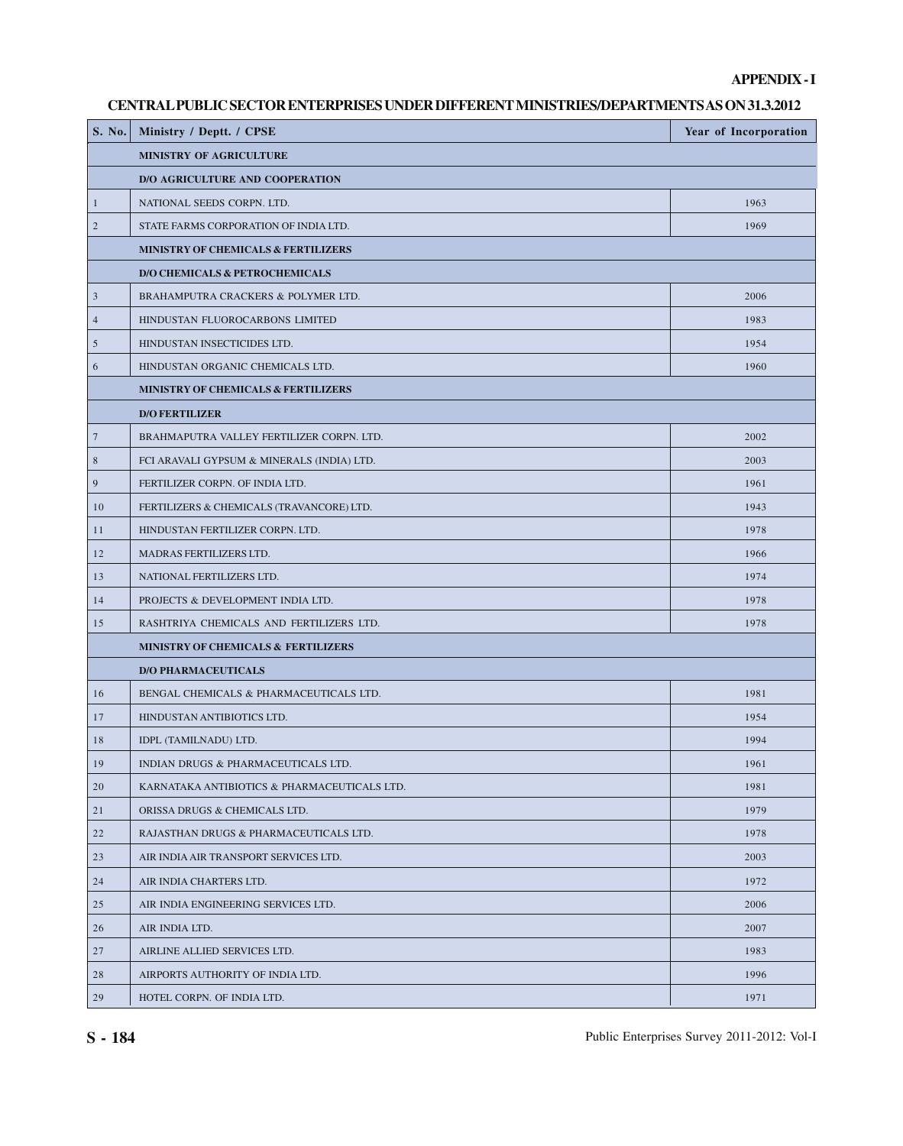## **APPENDIX - I**

### **CENTRAL PUBLIC SECTOR ENTERPRISES UNDER DIFFERENT MINISTRIES/DEPARTMENTS AS ON 31.3.2012**

| S. No.         | Ministry / Deptt. / CPSE                     | Year of Incorporation |
|----------------|----------------------------------------------|-----------------------|
|                | <b>MINISTRY OF AGRICULTURE</b>               |                       |
|                | <b>D/O AGRICULTURE AND COOPERATION</b>       |                       |
| $\mathbf{1}$   | NATIONAL SEEDS CORPN. LTD.                   | 1963                  |
| $\sqrt{2}$     | STATE FARMS CORPORATION OF INDIA LTD.        | 1969                  |
|                | MINISTRY OF CHEMICALS & FERTILIZERS          |                       |
|                | <b>D/O CHEMICALS &amp; PETROCHEMICALS</b>    |                       |
| $\mathfrak z$  | BRAHAMPUTRA CRACKERS & POLYMER LTD.          | 2006                  |
| $\overline{4}$ | HINDUSTAN FLUOROCARBONS LIMITED              | 1983                  |
| $\mathfrak s$  | HINDUSTAN INSECTICIDES LTD.                  | 1954                  |
| 6              | HINDUSTAN ORGANIC CHEMICALS LTD.             | 1960                  |
|                | MINISTRY OF CHEMICALS & FERTILIZERS          |                       |
|                | <b>D/O FERTILIZER</b>                        |                       |
| $\tau$         | BRAHMAPUTRA VALLEY FERTILIZER CORPN. LTD.    | 2002                  |
| $\,$ 8 $\,$    | FCI ARAVALI GYPSUM & MINERALS (INDIA) LTD.   | 2003                  |
| $\overline{9}$ | FERTILIZER CORPN. OF INDIA LTD.              | 1961                  |
| 10             | FERTILIZERS & CHEMICALS (TRAVANCORE) LTD.    | 1943                  |
| 11             | HINDUSTAN FERTILIZER CORPN. LTD.             | 1978                  |
| 12             | MADRAS FERTILIZERS LTD.                      | 1966                  |
| 13             | NATIONAL FERTILIZERS LTD.                    | 1974                  |
| 14             | PROJECTS & DEVELOPMENT INDIA LTD.            | 1978                  |
| 15             | RASHTRIYA CHEMICALS AND FERTILIZERS LTD.     | 1978                  |
|                | MINISTRY OF CHEMICALS & FERTILIZERS          |                       |
|                | <b>D/O PHARMACEUTICALS</b>                   |                       |
| 16             | BENGAL CHEMICALS & PHARMACEUTICALS LTD.      | 1981                  |
| 17             | HINDUSTAN ANTIBIOTICS LTD.                   | 1954                  |
| 18             | IDPL (TAMILNADU) LTD.                        | 1994                  |
| $19\,$         | INDIAN DRUGS & PHARMACEUTICALS LTD.          | 1961                  |
| 20             | KARNATAKA ANTIBIOTICS & PHARMACEUTICALS LTD. | 1981                  |
| 21             | ORISSA DRUGS & CHEMICALS LTD.                | 1979                  |
| 22             | RAJASTHAN DRUGS & PHARMACEUTICALS LTD.       | 1978                  |
| 23             | AIR INDIA AIR TRANSPORT SERVICES LTD.        | 2003                  |
| 24             | AIR INDIA CHARTERS LTD.                      | 1972                  |
| 25             | AIR INDIA ENGINEERING SERVICES LTD.          | 2006                  |
| 26             | AIR INDIA LTD.                               | 2007                  |
| 27             | AIRLINE ALLIED SERVICES LTD.                 | 1983                  |
| 28             | AIRPORTS AUTHORITY OF INDIA LTD.             | 1996                  |
| 29             | HOTEL CORPN. OF INDIA LTD.                   | 1971                  |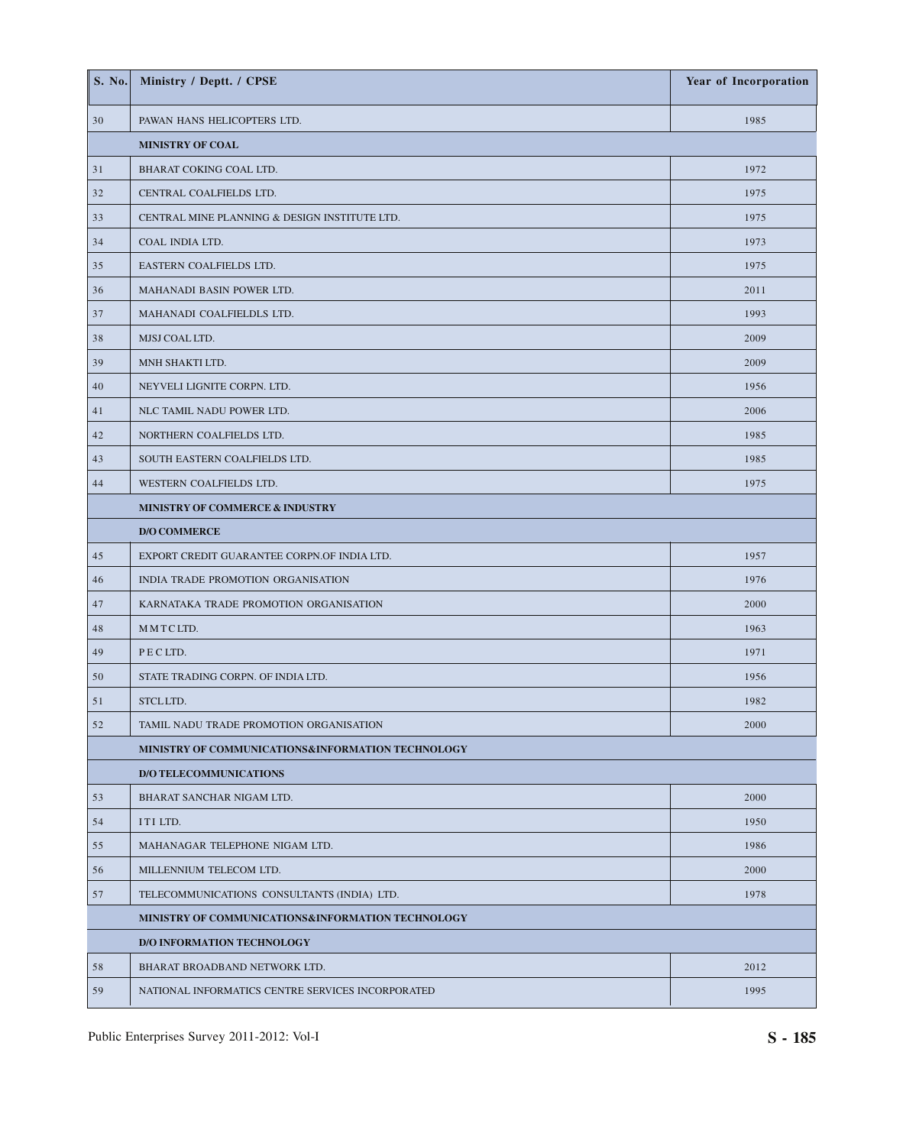| S. No. | Ministry / Deptt. / CPSE                          | <b>Year of Incorporation</b> |
|--------|---------------------------------------------------|------------------------------|
| 30     | PAWAN HANS HELICOPTERS LTD.                       | 1985                         |
|        | <b>MINISTRY OF COAL</b>                           |                              |
| 31     | BHARAT COKING COAL LTD.                           | 1972                         |
| 32     | CENTRAL COALFIELDS LTD.                           | 1975                         |
| 33     | CENTRAL MINE PLANNING & DESIGN INSTITUTE LTD.     | 1975                         |
| 34     | COAL INDIA LTD.                                   | 1973                         |
| 35     | EASTERN COALFIELDS LTD.                           | 1975                         |
| 36     | MAHANADI BASIN POWER LTD.                         | 2011                         |
| 37     | MAHANADI COALFIELDLS LTD.                         | 1993                         |
| 38     | MJSJ COAL LTD.                                    | 2009                         |
| 39     | MNH SHAKTI LTD.                                   | 2009                         |
| 40     | NEYVELI LIGNITE CORPN. LTD.                       | 1956                         |
| 41     | NLC TAMIL NADU POWER LTD.                         | 2006                         |
| 42     | NORTHERN COALFIELDS LTD.                          | 1985                         |
| 43     | SOUTH EASTERN COALFIELDS LTD.                     | 1985                         |
| 44     | WESTERN COALFIELDS LTD.                           | 1975                         |
|        | MINISTRY OF COMMERCE & INDUSTRY                   |                              |
|        | <b>D/O COMMERCE</b>                               |                              |
| 45     | EXPORT CREDIT GUARANTEE CORPN.OF INDIA LTD.       | 1957                         |
| 46     | INDIA TRADE PROMOTION ORGANISATION                | 1976                         |
| 47     | KARNATAKA TRADE PROMOTION ORGANISATION            | 2000                         |
| 48     | MMTCLTD.                                          | 1963                         |
| 49     | PECLTD.                                           | 1971                         |
| 50     | STATE TRADING CORPN. OF INDIA LTD.                | 1956                         |
| 51     | STCLLTD.                                          | 1982                         |
| 52     | TAMIL NADU TRADE PROMOTION ORGANISATION           | 2000                         |
|        | MINISTRY OF COMMUNICATIONS&INFORMATION TECHNOLOGY |                              |
|        | <b>D/O TELECOMMUNICATIONS</b>                     |                              |
| 53     | BHARAT SANCHAR NIGAM LTD.                         | 2000                         |
| 54     | ITI LTD.                                          | 1950                         |
| 55     | MAHANAGAR TELEPHONE NIGAM LTD.                    | 1986                         |
| 56     | MILLENNIUM TELECOM LTD.                           | 2000                         |
| 57     | TELECOMMUNICATIONS CONSULTANTS (INDIA) LTD.       | 1978                         |
|        | MINISTRY OF COMMUNICATIONS&INFORMATION TECHNOLOGY |                              |
|        | <b>D/O INFORMATION TECHNOLOGY</b>                 |                              |
| 58     | BHARAT BROADBAND NETWORK LTD.                     | 2012                         |
| 59     | NATIONAL INFORMATICS CENTRE SERVICES INCORPORATED | 1995                         |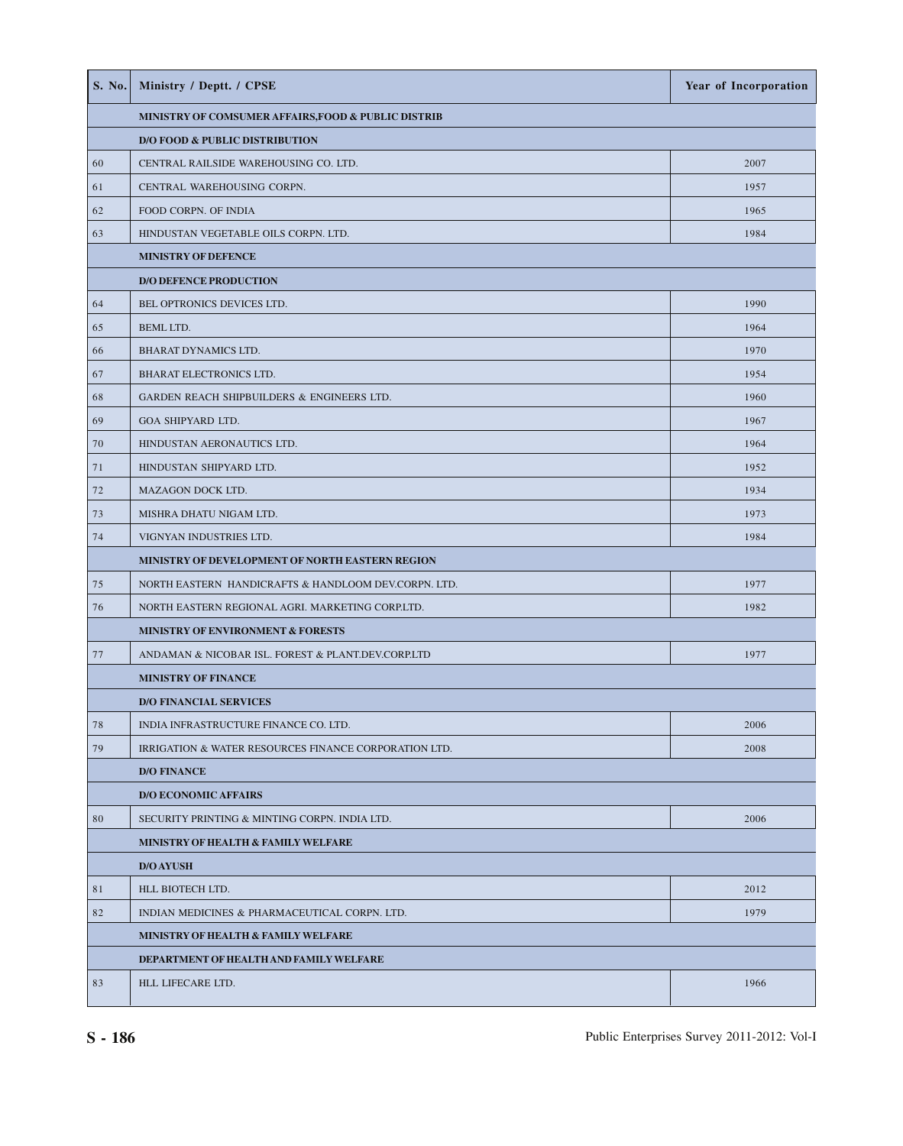| S. No. | Ministry / Deptt. / CPSE                              | <b>Year of Incorporation</b> |  |
|--------|-------------------------------------------------------|------------------------------|--|
|        | MINISTRY OF COMSUMER AFFAIRS, FOOD & PUBLIC DISTRIB   |                              |  |
|        | <b>D/O FOOD &amp; PUBLIC DISTRIBUTION</b>             |                              |  |
| 60     | CENTRAL RAILSIDE WAREHOUSING CO. LTD.                 | 2007                         |  |
| 61     | CENTRAL WAREHOUSING CORPN.                            | 1957                         |  |
| 62     | FOOD CORPN. OF INDIA                                  | 1965                         |  |
| 63     | HINDUSTAN VEGETABLE OILS CORPN. LTD.                  | 1984                         |  |
|        | <b>MINISTRY OF DEFENCE</b>                            |                              |  |
|        | <b>D/O DEFENCE PRODUCTION</b>                         |                              |  |
| 64     | BEL OPTRONICS DEVICES LTD.                            | 1990                         |  |
| 65     | BEML LTD.                                             | 1964                         |  |
| 66     | BHARAT DYNAMICS LTD.                                  | 1970                         |  |
| 67     | BHARAT ELECTRONICS LTD.                               | 1954                         |  |
| 68     | <b>GARDEN REACH SHIPBUILDERS &amp; ENGINEERS LTD.</b> | 1960                         |  |
| 69     | GOA SHIPYARD LTD.                                     | 1967                         |  |
| 70     | HINDUSTAN AERONAUTICS LTD.                            | 1964                         |  |
| 71     | HINDUSTAN SHIPYARD LTD.                               | 1952                         |  |
| 72     | MAZAGON DOCK LTD.                                     | 1934                         |  |
| 73     | MISHRA DHATU NIGAM LTD.                               | 1973                         |  |
| 74     | VIGNYAN INDUSTRIES LTD.                               | 1984                         |  |
|        | MINISTRY OF DEVELOPMENT OF NORTH EASTERN REGION       |                              |  |
| 75     | NORTH EASTERN HANDICRAFTS & HANDLOOM DEV.CORPN. LTD.  | 1977                         |  |
| 76     | NORTH EASTERN REGIONAL AGRI. MARKETING CORP.LTD.      | 1982                         |  |
|        | MINISTRY OF ENVIRONMENT & FORESTS                     |                              |  |
| 77     | ANDAMAN & NICOBAR ISL. FOREST & PLANT.DEV.CORP.LTD    | 1977                         |  |
|        | <b>MINISTRY OF FINANCE</b>                            |                              |  |
|        | <b>D/O FINANCIAL SERVICES</b>                         |                              |  |
| 78     | INDIA INFRASTRUCTURE FINANCE CO. LTD.                 | 2006                         |  |
| 79     | IRRIGATION & WATER RESOURCES FINANCE CORPORATION LTD. | 2008                         |  |
|        | <b>D/O FINANCE</b>                                    |                              |  |
|        | <b>D/O ECONOMIC AFFAIRS</b>                           |                              |  |
| 80     | SECURITY PRINTING & MINTING CORPN. INDIA LTD.         | 2006                         |  |
|        | MINISTRY OF HEALTH & FAMILY WELFARE                   |                              |  |
|        | <b>D/O AYUSH</b>                                      |                              |  |
| 81     | HLL BIOTECH LTD.                                      | 2012                         |  |
| 82     | INDIAN MEDICINES & PHARMACEUTICAL CORPN. LTD.         | 1979                         |  |
|        | MINISTRY OF HEALTH & FAMILY WELFARE                   |                              |  |
|        | DEPARTMENT OF HEALTH AND FAMILY WELFARE               |                              |  |
| 83     | HLL LIFECARE LTD.                                     | 1966                         |  |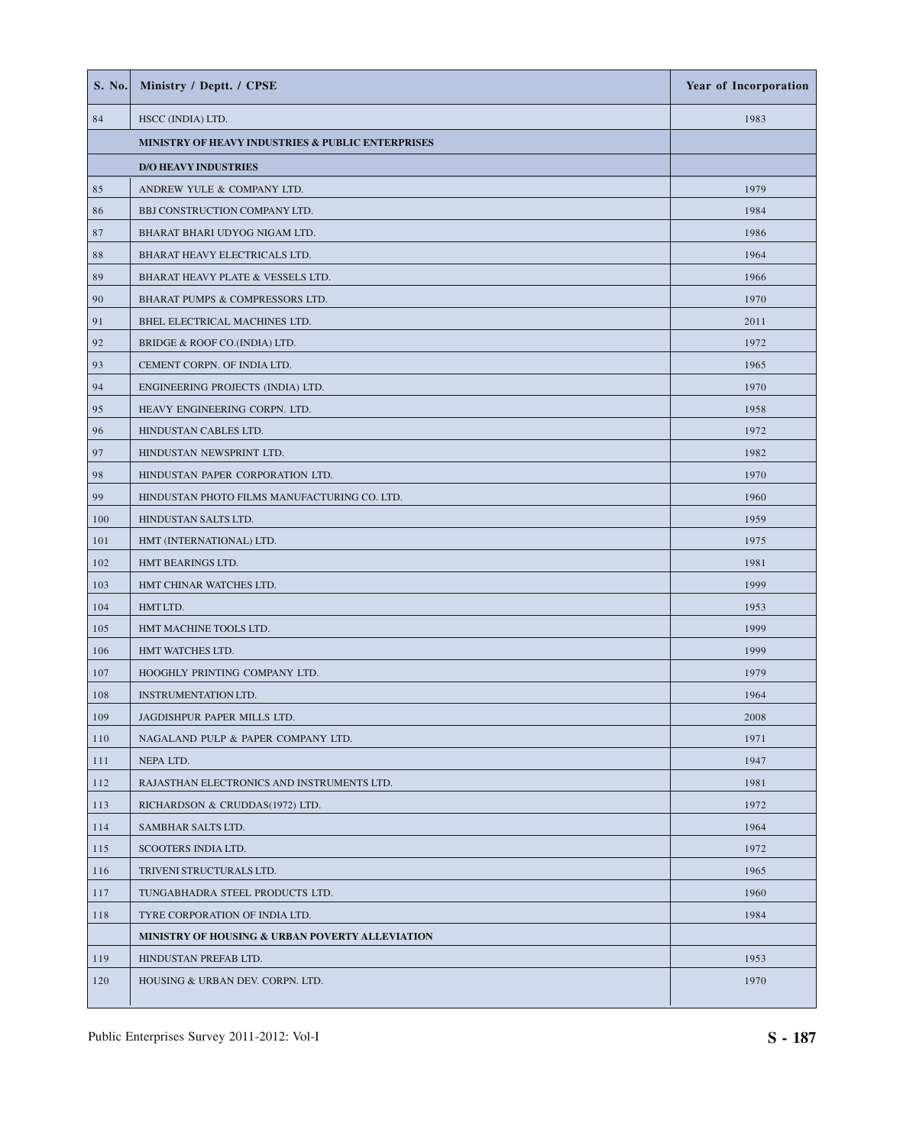| <b>S. No.</b>                                     | Ministry / Deptt. / CPSE                        | <b>Year of Incorporation</b> |
|---------------------------------------------------|-------------------------------------------------|------------------------------|
| 84                                                | HSCC (INDIA) LTD.                               | 1983                         |
| MINISTRY OF HEAVY INDUSTRIES & PUBLIC ENTERPRISES |                                                 |                              |
|                                                   | <b>D/O HEAVY INDUSTRIES</b>                     |                              |
| 85                                                | ANDREW YULE & COMPANY LTD.                      | 1979                         |
| 86                                                | BBJ CONSTRUCTION COMPANY LTD.                   | 1984                         |
| 87                                                | BHARAT BHARI UDYOG NIGAM LTD.                   | 1986                         |
| 88                                                | BHARAT HEAVY ELECTRICALS LTD.                   | 1964                         |
| 89                                                | BHARAT HEAVY PLATE & VESSELS LTD.               | 1966                         |
| 90                                                | BHARAT PUMPS & COMPRESSORS LTD.                 | 1970                         |
| 91                                                | BHEL ELECTRICAL MACHINES LTD.                   | 2011                         |
| 92                                                | BRIDGE & ROOF CO.(INDIA) LTD.                   | 1972                         |
| 93                                                | CEMENT CORPN. OF INDIA LTD.                     | 1965                         |
| 94                                                | ENGINEERING PROJECTS (INDIA) LTD.               | 1970                         |
| 95                                                | HEAVY ENGINEERING CORPN. LTD.                   | 1958                         |
| 96                                                | HINDUSTAN CABLES LTD.                           | 1972                         |
| 97                                                | HINDUSTAN NEWSPRINT LTD.                        | 1982                         |
| 98                                                | HINDUSTAN PAPER CORPORATION LTD.                | 1970                         |
| 99                                                | HINDUSTAN PHOTO FILMS MANUFACTURING CO. LTD.    | 1960                         |
| 100                                               | HINDUSTAN SALTS LTD.                            | 1959                         |
| 101                                               | HMT (INTERNATIONAL) LTD.                        | 1975                         |
| 102                                               | HMT BEARINGS LTD.                               | 1981                         |
| 103                                               | HMT CHINAR WATCHES LTD.                         | 1999                         |
| 104                                               | HMT LTD.                                        | 1953                         |
| 105                                               | HMT MACHINE TOOLS LTD.                          | 1999                         |
| 106                                               | HMT WATCHES LTD.                                | 1999                         |
| 107                                               | HOOGHLY PRINTING COMPANY LTD.                   | 1979                         |
| 108                                               | <b>INSTRUMENTATION LTD.</b>                     | 1964                         |
| 109                                               | JAGDISHPUR PAPER MILLS LTD.                     | 2008                         |
| 110                                               | NAGALAND PULP & PAPER COMPANY LTD.              | 1971                         |
| 111                                               | NEPA LTD.                                       | 1947                         |
| 112                                               | RAJASTHAN ELECTRONICS AND INSTRUMENTS LTD.      | 1981                         |
| 113                                               | RICHARDSON & CRUDDAS(1972) LTD.                 | 1972                         |
| 114                                               | SAMBHAR SALTS LTD.                              | 1964                         |
| 115                                               | SCOOTERS INDIA LTD.                             | 1972                         |
| 116                                               | TRIVENI STRUCTURALS LTD.                        | 1965                         |
| 117                                               | TUNGABHADRA STEEL PRODUCTS LTD.                 | 1960                         |
| 118                                               | TYRE CORPORATION OF INDIA LTD.                  | 1984                         |
|                                                   | MINISTRY OF HOUSING & URBAN POVERTY ALLEVIATION |                              |
| 119                                               | HINDUSTAN PREFAB LTD.                           | 1953                         |
| 120                                               | HOUSING & URBAN DEV. CORPN. LTD.                | 1970                         |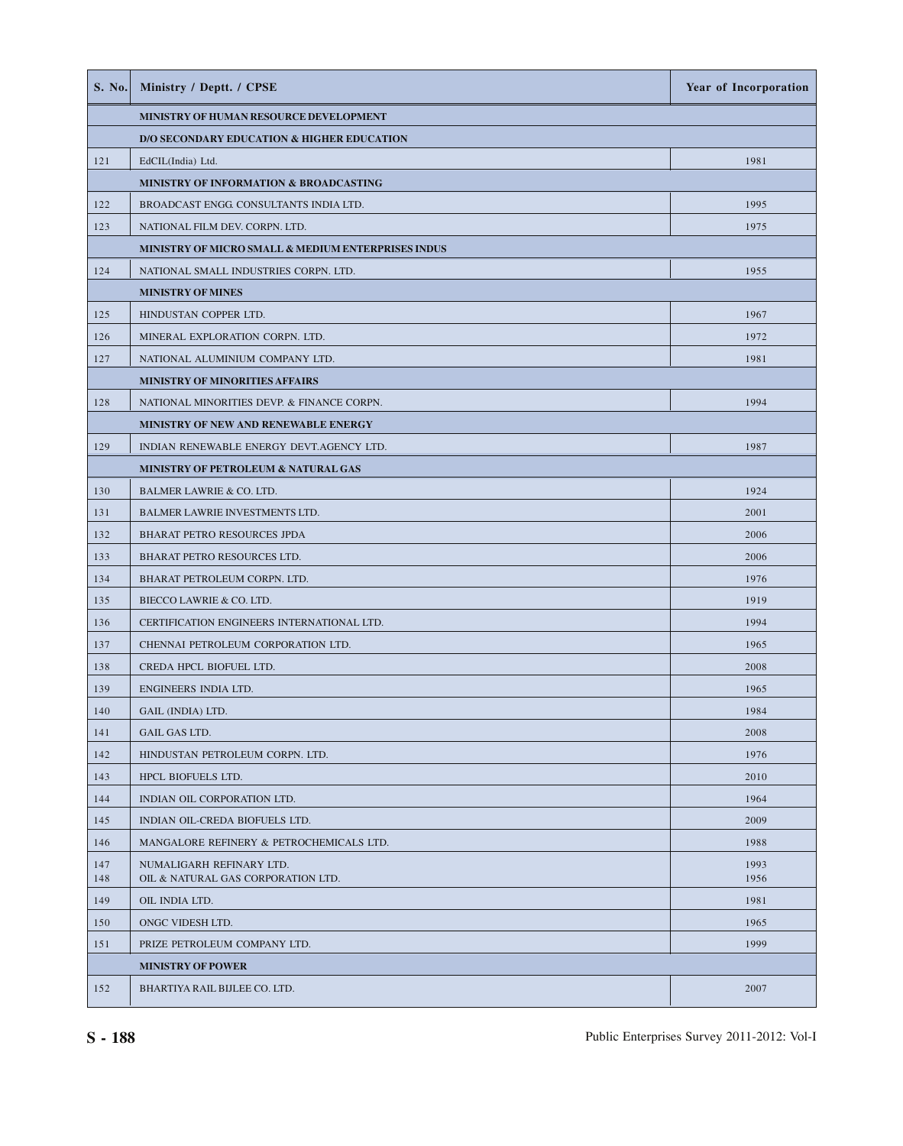| <b>S. No.</b> | Ministry / Deptt. / CPSE                                       | Year of Incorporation |
|---------------|----------------------------------------------------------------|-----------------------|
|               | MINISTRY OF HUMAN RESOURCE DEVELOPMENT                         |                       |
|               | D/O SECONDARY EDUCATION & HIGHER EDUCATION                     |                       |
| 121           | EdCIL(India) Ltd.                                              | 1981                  |
|               | MINISTRY OF INFORMATION & BROADCASTING                         |                       |
| 122           | BROADCAST ENGG. CONSULTANTS INDIA LTD.                         | 1995                  |
| 123           | NATIONAL FILM DEV. CORPN. LTD.                                 | 1975                  |
|               | MINISTRY OF MICRO SMALL & MEDIUM ENTERPRISES INDUS             |                       |
| 124           | NATIONAL SMALL INDUSTRIES CORPN. LTD.                          | 1955                  |
|               | <b>MINISTRY OF MINES</b>                                       |                       |
| 125           | HINDUSTAN COPPER LTD.                                          | 1967                  |
| 126           | MINERAL EXPLORATION CORPN. LTD.                                | 1972                  |
| 127           | NATIONAL ALUMINIUM COMPANY LTD.                                | 1981                  |
|               | MINISTRY OF MINORITIES AFFAIRS                                 |                       |
| 128           | NATIONAL MINORITIES DEVP. & FINANCE CORPN.                     | 1994                  |
|               | MINISTRY OF NEW AND RENEWABLE ENERGY                           |                       |
| 129           | INDIAN RENEWABLE ENERGY DEVT.AGENCY LTD.                       | 1987                  |
|               | MINISTRY OF PETROLEUM & NATURAL GAS                            |                       |
| 130           | BALMER LAWRIE & CO. LTD.                                       | 1924                  |
| 131           | <b>BALMER LAWRIE INVESTMENTS LTD.</b>                          | 2001                  |
| 132           | <b>BHARAT PETRO RESOURCES JPDA</b>                             | 2006                  |
| 133           | BHARAT PETRO RESOURCES LTD.                                    | 2006                  |
| 134           | BHARAT PETROLEUM CORPN. LTD.                                   | 1976                  |
| 135           | BIECCO LAWRIE & CO. LTD.                                       | 1919                  |
| 136           | CERTIFICATION ENGINEERS INTERNATIONAL LTD.                     | 1994                  |
| 137           | CHENNAI PETROLEUM CORPORATION LTD.                             | 1965                  |
| 138           | CREDA HPCL BIOFUEL LTD.                                        | 2008                  |
| 139           | ENGINEERS INDIA LTD.                                           | 1965                  |
| 140           | GAIL (INDIA) LTD.                                              | 1984                  |
| 141           | GAIL GAS LTD.                                                  | 2008                  |
| 142           | HINDUSTAN PETROLEUM CORPN. LTD.                                | 1976                  |
| 143           | HPCL BIOFUELS LTD.                                             | 2010                  |
| 144           | INDIAN OIL CORPORATION LTD.                                    | 1964                  |
| 145           | INDIAN OIL-CREDA BIOFUELS LTD.                                 | 2009                  |
| 146           | MANGALORE REFINERY & PETROCHEMICALS LTD.                       | 1988                  |
| 147<br>148    | NUMALIGARH REFINARY LTD.<br>OIL & NATURAL GAS CORPORATION LTD. | 1993<br>1956          |
| 149           | OIL INDIA LTD.                                                 | 1981                  |
| 150           | ONGC VIDESH LTD.                                               | 1965                  |
| 151           | PRIZE PETROLEUM COMPANY LTD.                                   | 1999                  |
|               | <b>MINISTRY OF POWER</b>                                       |                       |
| 152           | BHARTIYA RAIL BIJLEE CO. LTD.                                  | 2007                  |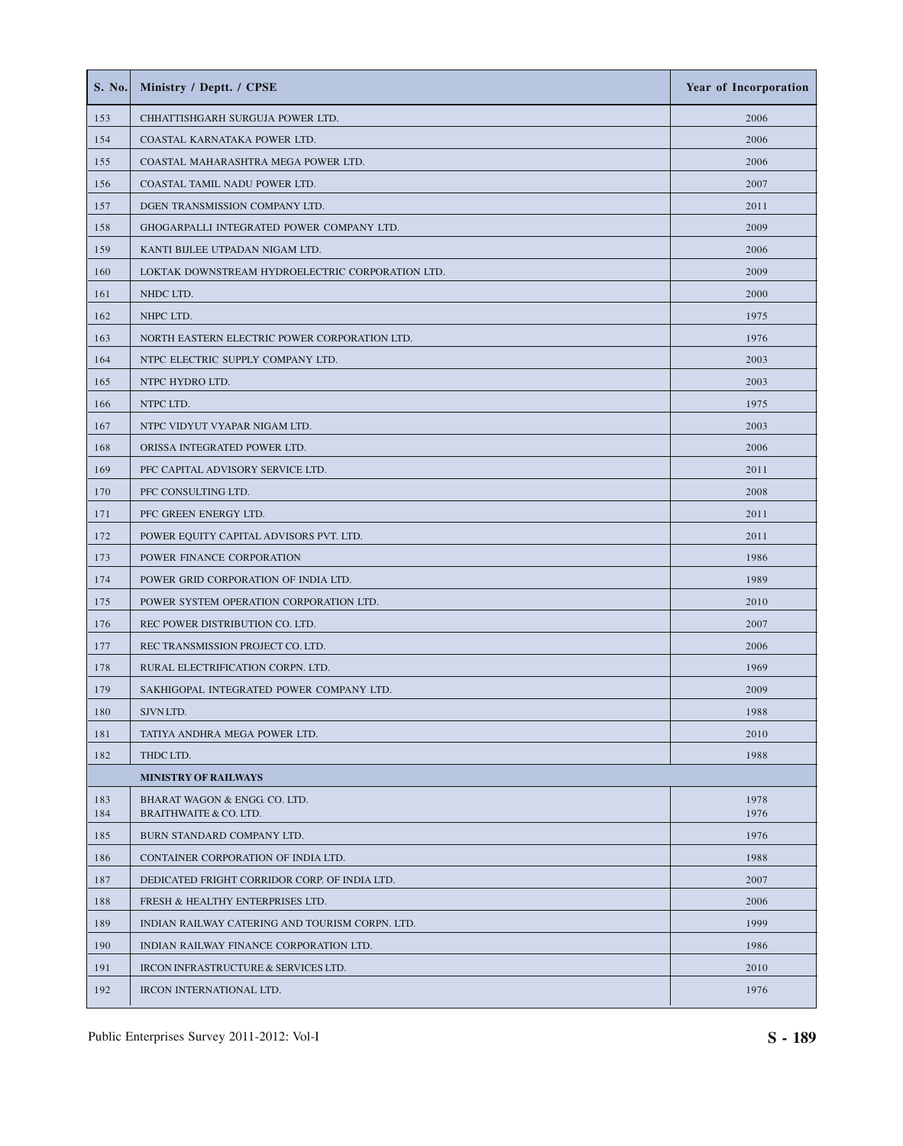| S. No.     | Ministry / Deptt. / CPSE                                           | Year of Incorporation |
|------------|--------------------------------------------------------------------|-----------------------|
| 153        | CHHATTISHGARH SURGUJA POWER LTD.                                   | 2006                  |
| 154        | COASTAL KARNATAKA POWER LTD.                                       | 2006                  |
| 155        | COASTAL MAHARASHTRA MEGA POWER LTD.                                | 2006                  |
| 156        | COASTAL TAMIL NADU POWER LTD.                                      | 2007                  |
| 157        | DGEN TRANSMISSION COMPANY LTD.                                     | 2011                  |
| 158        | GHOGARPALLI INTEGRATED POWER COMPANY LTD.                          | 2009                  |
| 159        | KANTI BIJLEE UTPADAN NIGAM LTD.                                    | 2006                  |
| 160        | LOKTAK DOWNSTREAM HYDROELECTRIC CORPORATION LTD.                   | 2009                  |
| 161        | NHDC LTD.                                                          | 2000                  |
| 162        | NHPC LTD.                                                          | 1975                  |
| 163        | NORTH EASTERN ELECTRIC POWER CORPORATION LTD.                      | 1976                  |
| 164        | NTPC ELECTRIC SUPPLY COMPANY LTD.                                  | 2003                  |
| 165        | NTPC HYDRO LTD.                                                    | 2003                  |
| 166        | NTPC LTD.                                                          | 1975                  |
| 167        | NTPC VIDYUT VYAPAR NIGAM LTD.                                      | 2003                  |
| 168        | ORISSA INTEGRATED POWER LTD.                                       | 2006                  |
| 169        | PFC CAPITAL ADVISORY SERVICE LTD.                                  | 2011                  |
| 170        | PFC CONSULTING LTD.                                                | 2008                  |
| 171        | PFC GREEN ENERGY LTD.                                              | 2011                  |
| 172        | POWER EQUITY CAPITAL ADVISORS PVT. LTD.                            | 2011                  |
| 173        | POWER FINANCE CORPORATION                                          | 1986                  |
| 174        | POWER GRID CORPORATION OF INDIA LTD.                               | 1989                  |
| 175        | POWER SYSTEM OPERATION CORPORATION LTD.                            | 2010                  |
| 176        | REC POWER DISTRIBUTION CO. LTD.                                    | 2007                  |
| 177        | REC TRANSMISSION PROJECT CO. LTD.                                  | 2006                  |
| 178        | RURAL ELECTRIFICATION CORPN. LTD.                                  | 1969                  |
| 179        | SAKHIGOPAL INTEGRATED POWER COMPANY LTD.                           | 2009                  |
| 180        | SJVN LTD.                                                          | 1988                  |
| 181        | TATIYA ANDHRA MEGA POWER LTD.                                      | 2010                  |
| 182        | THDC LTD.                                                          | 1988                  |
|            | <b>MINISTRY OF RAILWAYS</b>                                        |                       |
| 183<br>184 | BHARAT WAGON & ENGG. CO. LTD.<br><b>BRAITHWAITE &amp; CO. LTD.</b> | 1978<br>1976          |
| 185        | BURN STANDARD COMPANY LTD.                                         | 1976                  |
| 186        | CONTAINER CORPORATION OF INDIA LTD.                                | 1988                  |
| 187        | DEDICATED FRIGHT CORRIDOR CORP. OF INDIA LTD.                      | 2007                  |
| 188        | FRESH & HEALTHY ENTERPRISES LTD.                                   | 2006                  |
| 189        | INDIAN RAILWAY CATERING AND TOURISM CORPN. LTD.                    | 1999                  |
| 190        | INDIAN RAILWAY FINANCE CORPORATION LTD.                            | 1986                  |
| 191        | IRCON INFRASTRUCTURE & SERVICES LTD.                               | 2010                  |
| 192        | IRCON INTERNATIONAL LTD.                                           | 1976                  |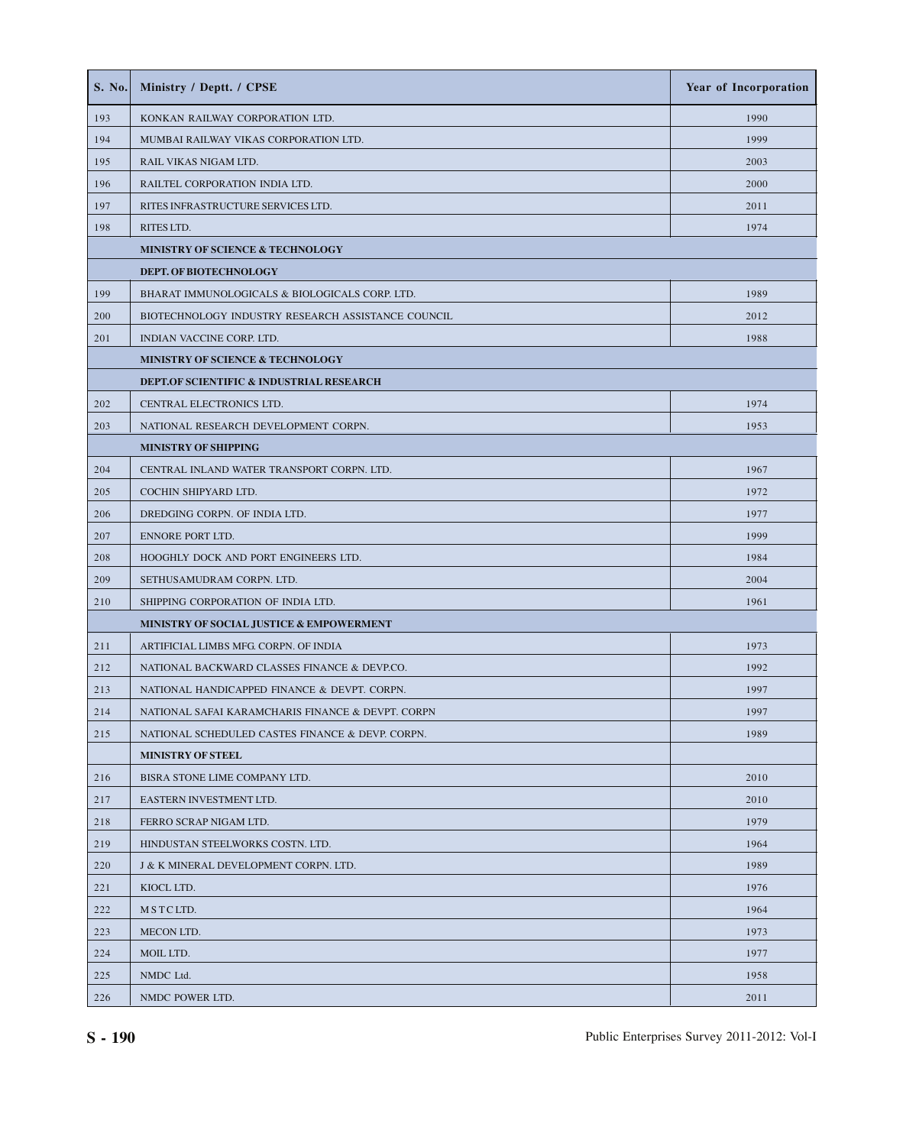| S. No. | Ministry / Deptt. / CPSE                            | Year of Incorporation |
|--------|-----------------------------------------------------|-----------------------|
| 193    | KONKAN RAILWAY CORPORATION LTD.                     | 1990                  |
| 194    | MUMBAI RAILWAY VIKAS CORPORATION LTD.               | 1999                  |
| 195    | RAIL VIKAS NIGAM LTD.                               | 2003                  |
| 196    | RAILTEL CORPORATION INDIA LTD.                      | 2000                  |
| 197    | RITES INFRASTRUCTURE SERVICES LTD.                  | 2011                  |
| 198    | RITES LTD.                                          | 1974                  |
|        | MINISTRY OF SCIENCE & TECHNOLOGY                    |                       |
|        | DEPT. OF BIOTECHNOLOGY                              |                       |
| 199    | BHARAT IMMUNOLOGICALS & BIOLOGICALS CORP. LTD.      | 1989                  |
| 200    | BIOTECHNOLOGY INDUSTRY RESEARCH ASSISTANCE COUNCIL  | 2012                  |
| 201    | INDIAN VACCINE CORP. LTD.                           | 1988                  |
|        | MINISTRY OF SCIENCE & TECHNOLOGY                    |                       |
|        | <b>DEPT.OF SCIENTIFIC &amp; INDUSTRIAL RESEARCH</b> |                       |
| 202    | CENTRAL ELECTRONICS LTD.                            | 1974                  |
| 203    | NATIONAL RESEARCH DEVELOPMENT CORPN.                | 1953                  |
|        | <b>MINISTRY OF SHIPPING</b>                         |                       |
| 204    | CENTRAL INLAND WATER TRANSPORT CORPN. LTD.          | 1967                  |
| 205    | COCHIN SHIPYARD LTD.                                | 1972                  |
| 206    | DREDGING CORPN. OF INDIA LTD.                       | 1977                  |
| 207    | ENNORE PORT LTD.                                    | 1999                  |
| 208    | HOOGHLY DOCK AND PORT ENGINEERS LTD.                | 1984                  |
| 209    | SETHUSAMUDRAM CORPN. LTD.                           | 2004                  |
| 210    | SHIPPING CORPORATION OF INDIA LTD.                  | 1961                  |
|        | MINISTRY OF SOCIAL JUSTICE & EMPOWERMENT            |                       |
| 211    | ARTIFICIAL LIMBS MFG. CORPN. OF INDIA               | 1973                  |
| 212    | NATIONAL BACKWARD CLASSES FINANCE & DEVP.CO.        | 1992                  |
| 213    | NATIONAL HANDICAPPED FINANCE & DEVPT. CORPN.        | 1997                  |
| 214    | NATIONAL SAFAI KARAMCHARIS FINANCE & DEVPT. CORPN   | 1997                  |
| 215    | NATIONAL SCHEDULED CASTES FINANCE & DEVP. CORPN.    | 1989                  |
|        | <b>MINISTRY OF STEEL</b>                            |                       |
| 216    | BISRA STONE LIME COMPANY LTD.                       | 2010                  |
| 217    | EASTERN INVESTMENT LTD.                             | 2010                  |
| 218    | FERRO SCRAP NIGAM LTD.                              | 1979                  |
| 219    | HINDUSTAN STEELWORKS COSTN. LTD.                    | 1964                  |
| 220    | J & K MINERAL DEVELOPMENT CORPN. LTD.               | 1989                  |
| 221    | KIOCL LTD.                                          | 1976                  |
| 222    | MSTCLTD.                                            | 1964                  |
| 223    | MECON LTD.                                          | 1973                  |
| 224    | MOIL LTD.                                           | 1977                  |
| 225    | NMDC Ltd.                                           | 1958                  |
| 226    | NMDC POWER LTD.                                     | 2011                  |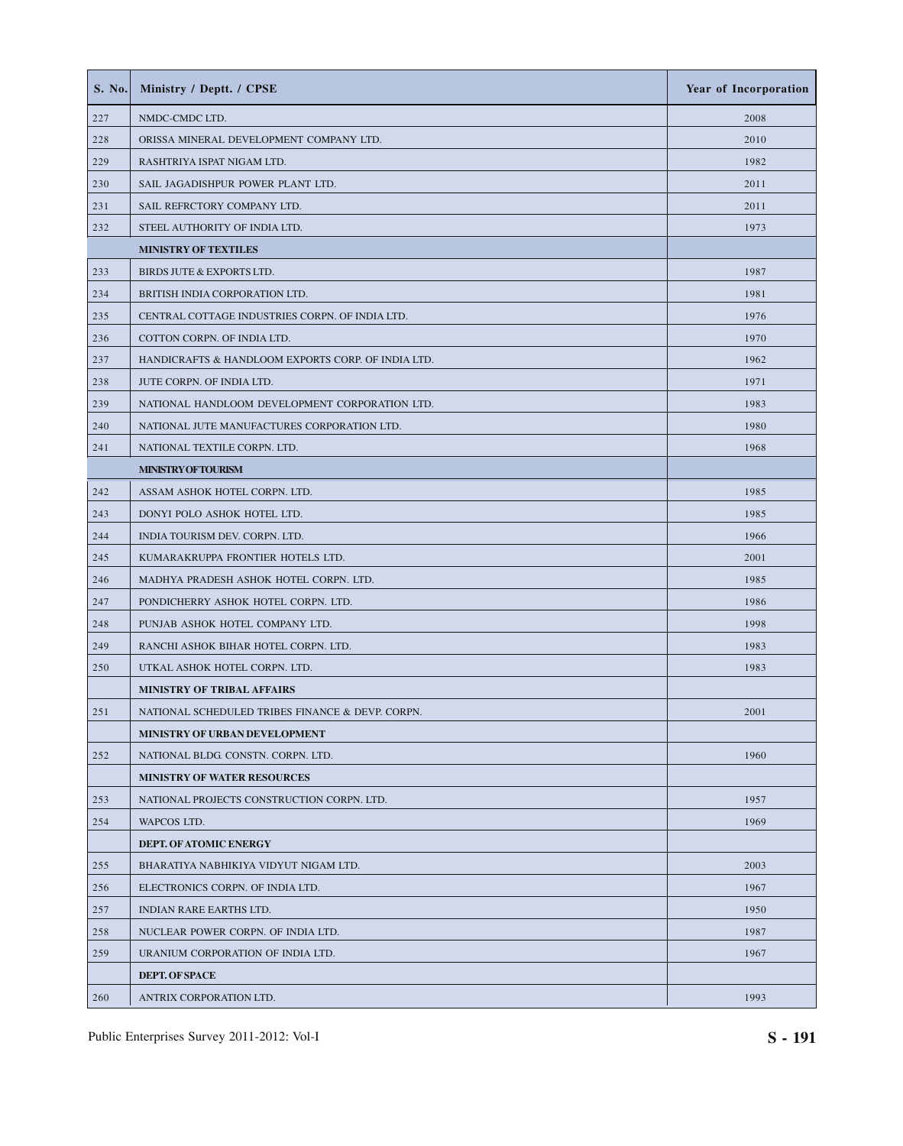| S. No. | Ministry / Deptt. / CPSE                           | Year of Incorporation |
|--------|----------------------------------------------------|-----------------------|
| 227    | NMDC-CMDC LTD.                                     | 2008                  |
| 228    | ORISSA MINERAL DEVELOPMENT COMPANY LTD.            | 2010                  |
| 229    | RASHTRIYA ISPAT NIGAM LTD.                         | 1982                  |
| 230    | SAIL JAGADISHPUR POWER PLANT LTD.                  | 2011                  |
| 231    | SAIL REFRCTORY COMPANY LTD.                        | 2011                  |
| 232    | STEEL AUTHORITY OF INDIA LTD.                      | 1973                  |
|        | <b>MINISTRY OF TEXTILES</b>                        |                       |
| 233    | BIRDS JUTE & EXPORTS LTD.                          | 1987                  |
| 234    | BRITISH INDIA CORPORATION LTD.                     | 1981                  |
| 235    | CENTRAL COTTAGE INDUSTRIES CORPN. OF INDIA LTD.    | 1976                  |
| 236    | COTTON CORPN. OF INDIA LTD.                        | 1970                  |
| 237    | HANDICRAFTS & HANDLOOM EXPORTS CORP. OF INDIA LTD. | 1962                  |
| 238    | JUTE CORPN. OF INDIA LTD.                          | 1971                  |
| 239    | NATIONAL HANDLOOM DEVELOPMENT CORPORATION LTD.     | 1983                  |
| 240    | NATIONAL JUTE MANUFACTURES CORPORATION LTD.        | 1980                  |
| 241    | NATIONAL TEXTILE CORPN. LTD.                       | 1968                  |
|        | <b>MINISTRY OF TOURISM</b>                         |                       |
| 242    | ASSAM ASHOK HOTEL CORPN. LTD.                      | 1985                  |
| 243    | DONYI POLO ASHOK HOTEL LTD.                        | 1985                  |
| 244    | INDIA TOURISM DEV. CORPN. LTD.                     | 1966                  |
| 245    | KUMARAKRUPPA FRONTIER HOTELS LTD.                  | 2001                  |
| 246    | MADHYA PRADESH ASHOK HOTEL CORPN. LTD.             | 1985                  |
| 247    | PONDICHERRY ASHOK HOTEL CORPN. LTD.                | 1986                  |
| 248    | PUNJAB ASHOK HOTEL COMPANY LTD.                    | 1998                  |
| 249    | RANCHI ASHOK BIHAR HOTEL CORPN. LTD.               | 1983                  |
| 250    | UTKAL ASHOK HOTEL CORPN. LTD.                      | 1983                  |
|        | MINISTRY OF TRIBAL AFFAIRS                         |                       |
| 251    | NATIONAL SCHEDULED TRIBES FINANCE & DEVP. CORPN.   | 2001                  |
|        | MINISTRY OF URBAN DEVELOPMENT                      |                       |
| 252    | NATIONAL BLDG. CONSTN. CORPN. LTD.                 | 1960                  |
|        | <b>MINISTRY OF WATER RESOURCES</b>                 |                       |
| 253    | NATIONAL PROJECTS CONSTRUCTION CORPN. LTD.         | 1957                  |
| 254    | WAPCOS LTD.                                        | 1969                  |
|        | DEPT. OF ATOMIC ENERGY                             |                       |
| 255    | BHARATIYA NABHIKIYA VIDYUT NIGAM LTD.              | 2003                  |
| 256    | ELECTRONICS CORPN. OF INDIA LTD.                   | 1967                  |
| 257    | INDIAN RARE EARTHS LTD.                            | 1950                  |
| 258    | NUCLEAR POWER CORPN. OF INDIA LTD.                 | 1987                  |
| 259    | URANIUM CORPORATION OF INDIA LTD.                  | 1967                  |
|        | <b>DEPT. OF SPACE</b>                              |                       |
| 260    | ANTRIX CORPORATION LTD.                            | 1993                  |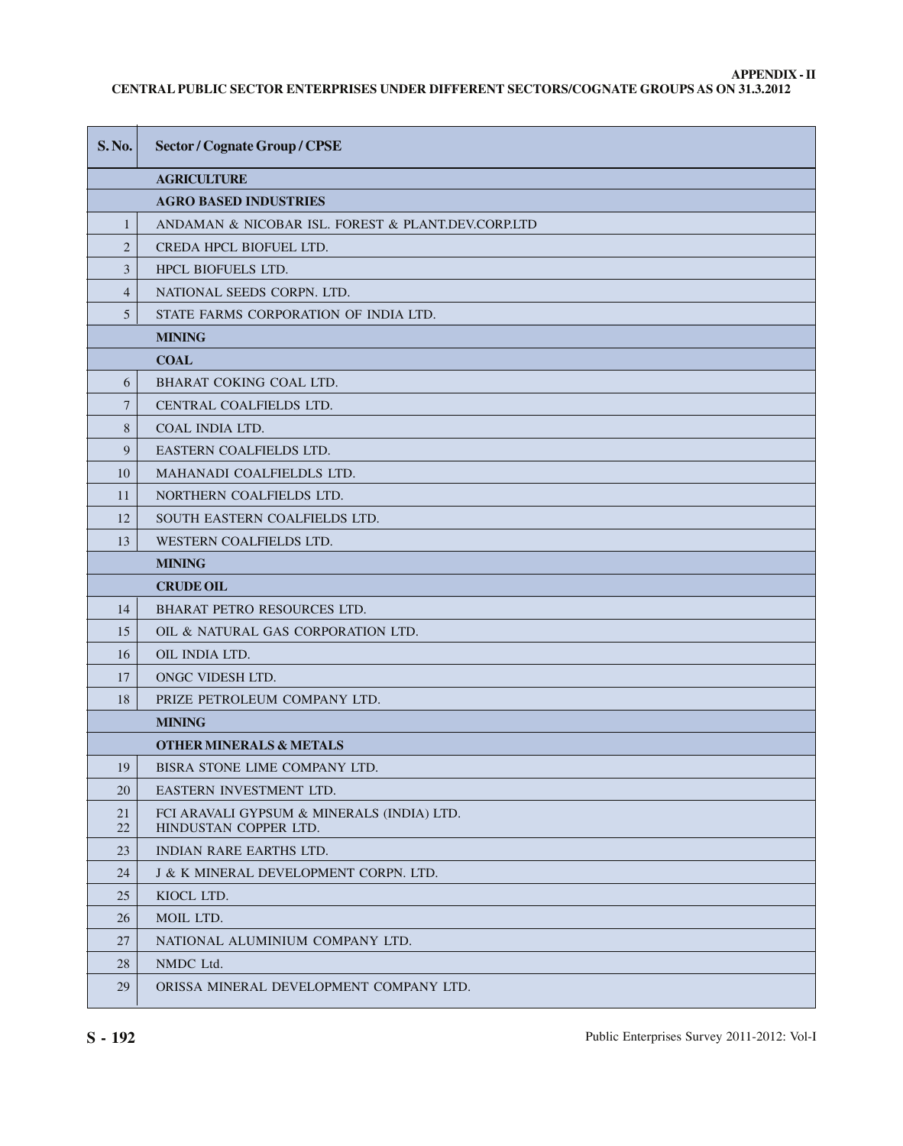# **APPENDIX - II**

**CENTRAL PUBLIC SECTOR ENTERPRISES UNDER DIFFERENT SECTORS/COGNATE GROUPS AS ON 31.3.2012**

| <b>S. No.</b>  | <b>Sector / Cognate Group / CPSE</b>                                |
|----------------|---------------------------------------------------------------------|
|                | <b>AGRICULTURE</b>                                                  |
|                | <b>AGRO BASED INDUSTRIES</b>                                        |
| $\mathbf{1}$   | ANDAMAN & NICOBAR ISL. FOREST & PLANT.DEV.CORP.LTD                  |
| $\overline{2}$ | CREDA HPCL BIOFUEL LTD.                                             |
| 3              | <b>HPCL BIOFUELS LTD.</b>                                           |
| $\overline{4}$ | NATIONAL SEEDS CORPN. LTD.                                          |
| 5              | STATE FARMS CORPORATION OF INDIA LTD.                               |
|                | <b>MINING</b>                                                       |
|                | <b>COAL</b>                                                         |
| 6              | <b>BHARAT COKING COAL LTD.</b>                                      |
| $\overline{7}$ | CENTRAL COALFIELDS LTD.                                             |
| 8              | COAL INDIA LTD.                                                     |
| 9              | EASTERN COALFIELDS LTD.                                             |
| 10             | MAHANADI COALFIELDLS LTD.                                           |
| 11             | NORTHERN COALFIELDS LTD.                                            |
| 12             | SOUTH EASTERN COALFIELDS LTD.                                       |
| 13             | WESTERN COALFIELDS LTD.                                             |
|                | <b>MINING</b>                                                       |
|                | <b>CRUDE OIL</b>                                                    |
| 14             | BHARAT PETRO RESOURCES LTD.                                         |
| 15             | OIL & NATURAL GAS CORPORATION LTD.                                  |
| 16             | OIL INDIA LTD.                                                      |
| 17             | ONGC VIDESH LTD.                                                    |
| 18             | PRIZE PETROLEUM COMPANY LTD.                                        |
|                | <b>MINING</b>                                                       |
|                | <b>OTHER MINERALS &amp; METALS</b>                                  |
| 19             | BISRA STONE LIME COMPANY LTD.                                       |
| 20             | EASTERN INVESTMENT LTD.                                             |
| 21<br>22       | FCI ARAVALI GYPSUM & MINERALS (INDIA) LTD.<br>HINDUSTAN COPPER LTD. |
| 23             | <b>INDIAN RARE EARTHS LTD.</b>                                      |
| 24             | J & K MINERAL DEVELOPMENT CORPN. LTD.                               |
| 25             | KIOCL LTD.                                                          |
| 26             | MOIL LTD.                                                           |
| 27             | NATIONAL ALUMINIUM COMPANY LTD.                                     |
| 28             | NMDC Ltd.                                                           |
| 29             | ORISSA MINERAL DEVELOPMENT COMPANY LTD.                             |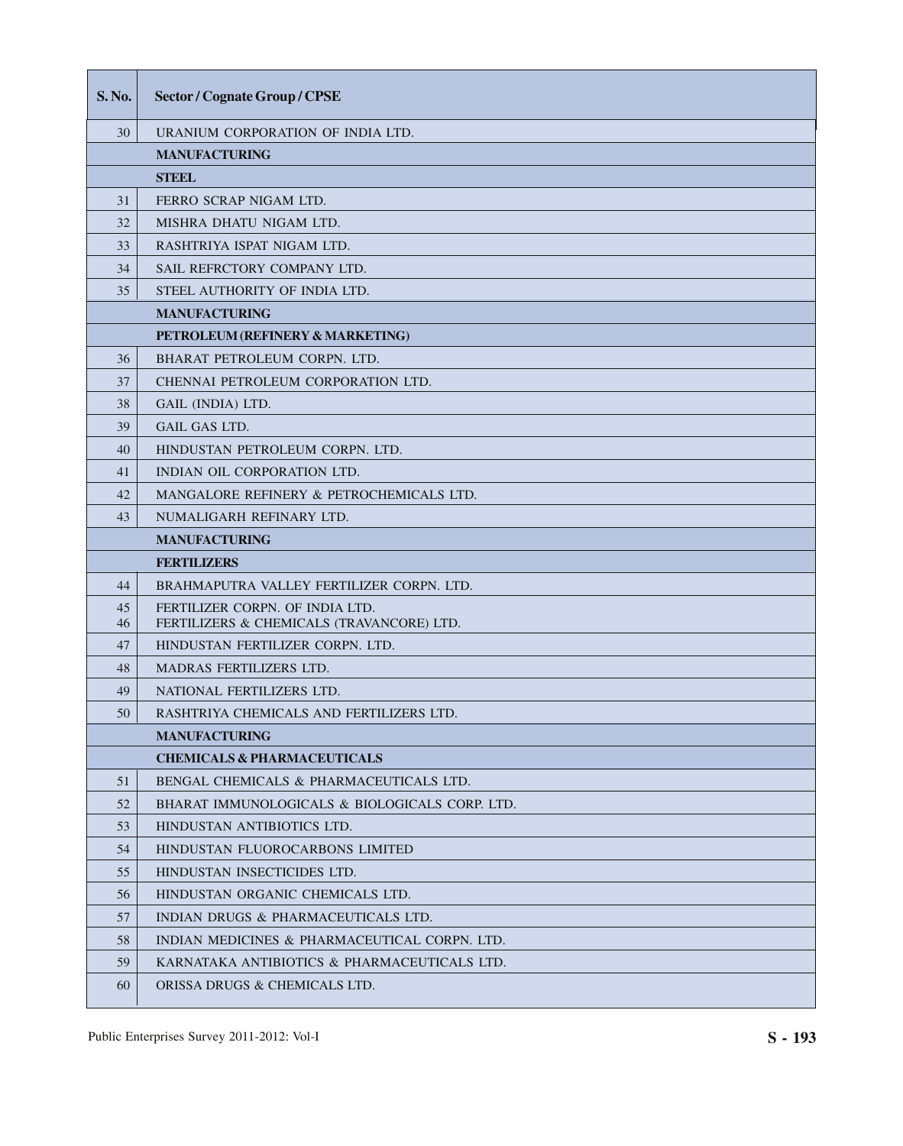| S. No.   | <b>Sector / Cognate Group / CPSE</b>                                         |
|----------|------------------------------------------------------------------------------|
| 30       | URANIUM CORPORATION OF INDIA LTD.                                            |
|          | <b>MANUFACTURING</b>                                                         |
|          | <b>STIBBL</b>                                                                |
| 31       | FERRO SCRAP NIGAM LTD.                                                       |
| 32       | MISHRA DHATU NIGAM LTD.                                                      |
| 33       | RASHTRIYA ISPAT NIGAM LTD.                                                   |
| 34       | SAIL REFRCTORY COMPANY LTD.                                                  |
| 35       | STEEL AUTHORITY OF INDIA LTD.                                                |
|          | <b>MANUFACTURING</b>                                                         |
|          | PETROLEUM (REFINERY & MARKETING)                                             |
| 36       | BHARAT PETROLEUM CORPN. LTD.                                                 |
| 37       | CHENNAI PETROLEUM CORPORATION LTD.                                           |
| 38       | GAIL (INDIA) LTD.                                                            |
| 39       | <b>GAIL GAS LTD.</b>                                                         |
| 40       | HINDUSTAN PETROLEUM CORPN. LTD.                                              |
| 41       | INDIAN OIL CORPORATION LTD.                                                  |
| 42       | MANGALORE REFINERY & PETROCHEMICALS LTD.                                     |
| 43       | NUMALIGARH REFINARY LTD.                                                     |
|          | <b>MANUFACTURING</b>                                                         |
|          | <b>FERTILIZERS</b>                                                           |
| 44       | BRAHMAPUTRA VALLEY FERTILIZER CORPN. LTD.                                    |
| 45<br>46 | FERTILIZER CORPN. OF INDIA LTD.<br>FERTILIZERS & CHEMICALS (TRAVANCORE) LTD. |
| 47       | HINDUSTAN FERTILIZER CORPN. LTD.                                             |
| 48       | <b>MADRAS FERTILIZERS LTD.</b>                                               |
| 49       | NATIONAL FERTILIZERS LTD.                                                    |
| 50       | RASHTRIYA CHEMICALS AND FERTILIZERS LTD.                                     |
|          | <b>MANUFACTURING</b>                                                         |
|          | <b>CHEMICALS &amp; PHARMACEUTICALS</b>                                       |
| 51       | BENGAL CHEMICALS & PHARMACEUTICALS LTD.                                      |
| 52       | BHARAT IMMUNOLOGICALS & BIOLOGICALS CORP. LTD.                               |
| 53       | HINDUSTAN ANTIBIOTICS LTD.                                                   |
| 54       | HINDUSTAN FLUOROCARBONS LIMITED                                              |
| 55       | HINDUSTAN INSECTICIDES LTD.                                                  |
| 56       | HINDUSTAN ORGANIC CHEMICALS LTD.                                             |
| 57       | INDIAN DRUGS & PHARMACEUTICALS LTD.                                          |
| 58       | INDIAN MEDICINES & PHARMACEUTICAL CORPN. LTD.                                |
| 59       | KARNATAKA ANTIBIOTICS & PHARMACEUTICALS LTD.                                 |
| 60       | ORISSA DRUGS & CHEMICALS LTD.                                                |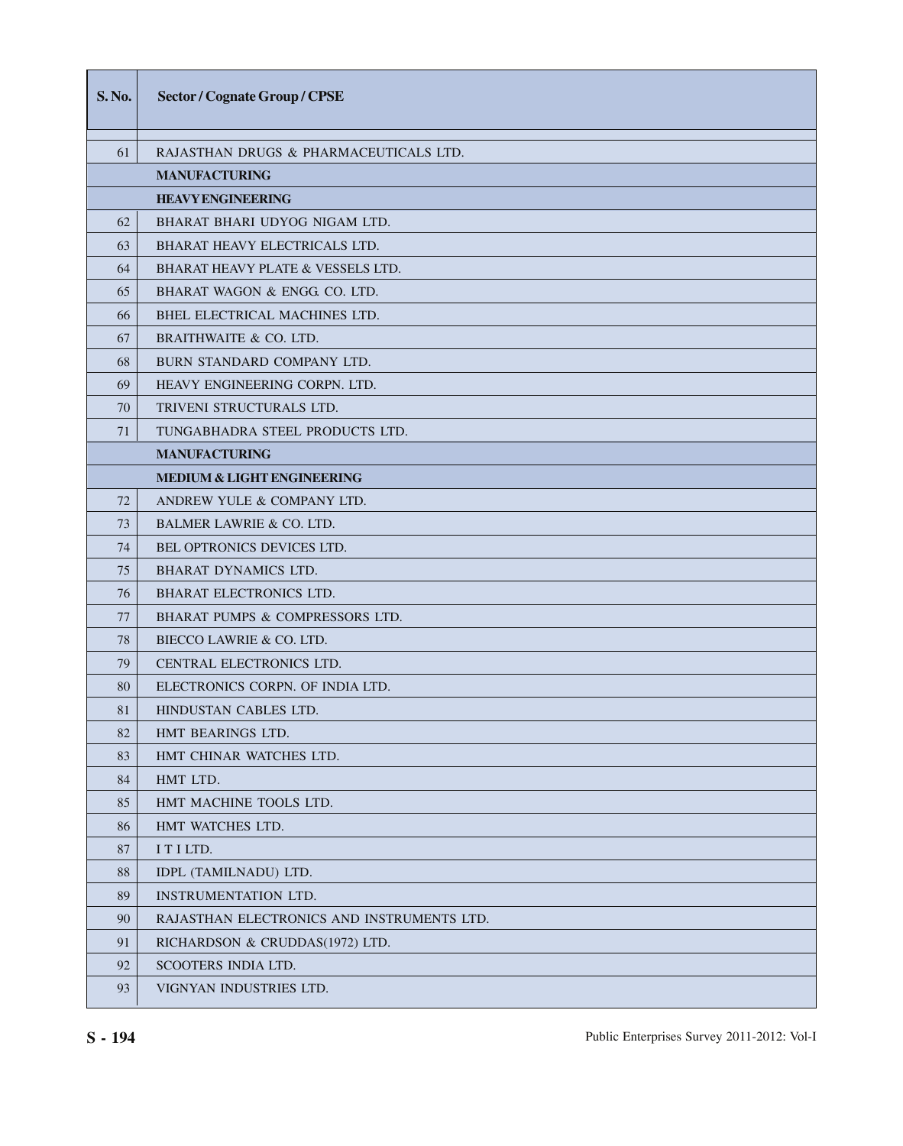| <b>S.No.</b> | <b>Sector / Cognate Group / CPSE</b>         |
|--------------|----------------------------------------------|
| 61           | RAJASTHAN DRUGS & PHARMACEUTICALS LTD.       |
|              | <b>MANUFACTURING</b>                         |
|              | <b>HEAVYENGINEERING</b>                      |
| 62           | BHARAT BHARI UDYOG NIGAM LTD.                |
| 63           | <b>BHARAT HEAVY ELECTRICALS LTD.</b>         |
| 64           | <b>BHARAT HEAVY PLATE &amp; VESSELS LTD.</b> |
| 65           | BHARAT WAGON & ENGG. CO. LTD.                |
| 66           | BHEL ELECTRICAL MACHINES LTD.                |
| 67           | BRAITHWAITE & CO. LTD.                       |
| 68           | BURN STANDARD COMPANY LTD.                   |
| 69           | HEAVY ENGINEERING CORPN. LTD.                |
| 70           | TRIVENI STRUCTURALS LTD.                     |
| 71           | TUNGABHADRA STEEL PRODUCTS LTD.              |
|              | <b>MANUFACTURING</b>                         |
|              | <b>MEDIUM &amp; LIGHT ENGINEERING</b>        |
| 72           | ANDREW YULE & COMPANY LTD.                   |
| 73           | <b>BALMER LAWRIE &amp; CO. LTD.</b>          |
| 74           | <b>BEL OPTRONICS DEVICES LTD.</b>            |
| 75           | <b>BHARAT DYNAMICS LTD.</b>                  |
| 76           | BHARAT ELECTRONICS LTD.                      |
| 77           | BHARAT PUMPS & COMPRESSORS LTD.              |
| 78           | BIECCO LAWRIE & CO. LTD.                     |
| 79           | <b>CENTRAL ELECTRONICS LTD.</b>              |
| 80           | ELECTRONICS CORPN. OF INDIA LTD.             |
| 81           | HINDUSTAN CABLES LTD.                        |
| 82           | HMT BEARINGS LTD.                            |
| 83           | HMT CHINAR WATCHES LTD.                      |
| 84           | HMT LTD.                                     |
| 85           | HMT MACHINE TOOLS LTD.                       |
| 86           | HMT WATCHES LTD.                             |
| 87           | ITILTD.                                      |
| 88           | IDPL (TAMILNADU) LTD.                        |
| 89           | <b>INSTRUMENTATION LTD.</b>                  |
| 90           | RAJASTHAN ELECTRONICS AND INSTRUMENTS LTD.   |
| 91           | RICHARDSON & CRUDDAS(1972) LTD.              |
| 92           | <b>SCOOTERS INDIA LTD.</b>                   |
| 93           | VIGNYAN INDUSTRIES LTD.                      |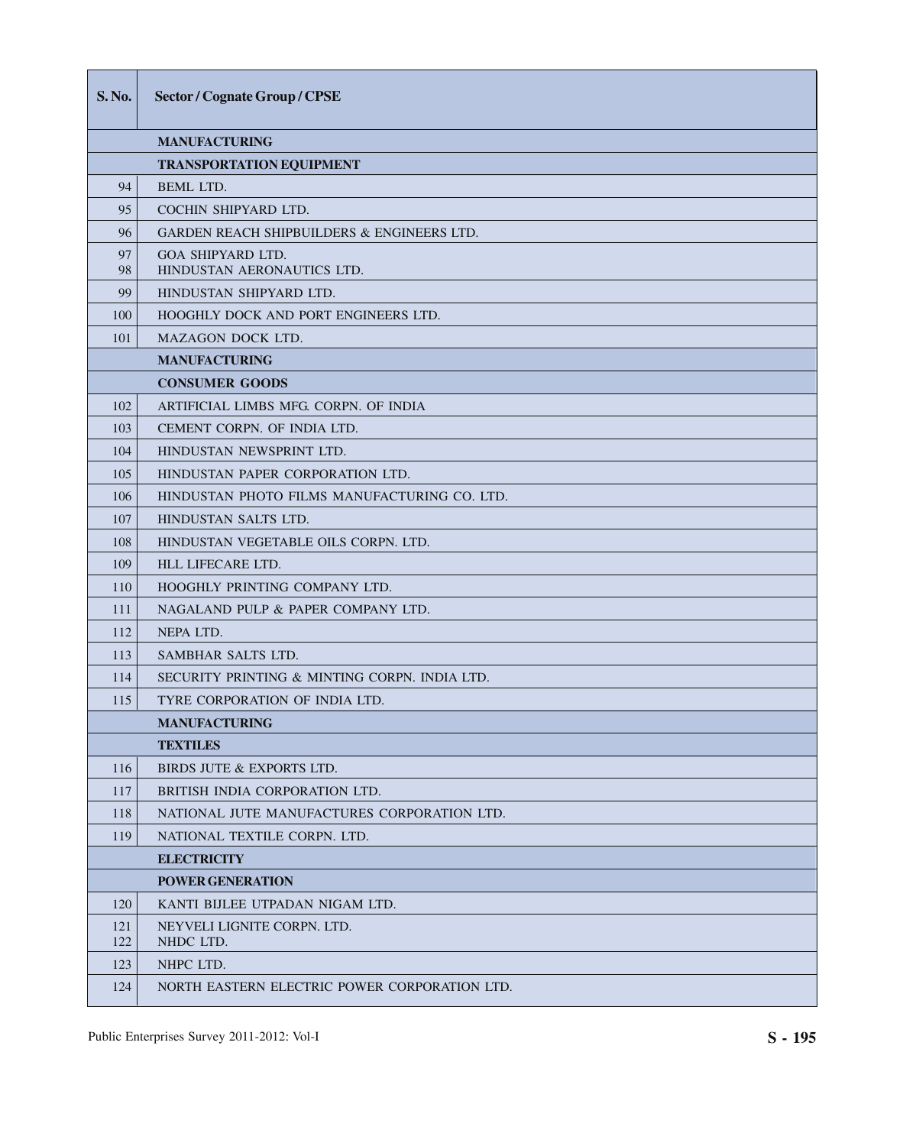| <b>S.No.</b> | <b>Sector / Cognate Group / CPSE</b>                   |
|--------------|--------------------------------------------------------|
|              | <b>MANUFACTURING</b>                                   |
|              | <b>TRANSPORTATION EQUIPMENT</b>                        |
| 94           | <b>BEML LTD.</b>                                       |
| 95           | COCHIN SHIPYARD LTD.                                   |
| 96           | <b>GARDEN REACH SHIPBUILDERS &amp; ENGINEERS LTD.</b>  |
| 97<br>98     | <b>GOA SHIPYARD LTD.</b><br>HINDUSTAN AERONAUTICS LTD. |
| 99           | HINDUSTAN SHIPYARD LTD.                                |
| 100          | <b>HOOGHLY DOCK AND PORT ENGINEERS LTD.</b>            |
| 101          | <b>MAZAGON DOCK LTD.</b>                               |
|              | <b>MANUFACTURING</b>                                   |
|              | <b>CONSUMER GOODS</b>                                  |
| 102          | ARTIFICIAL LIMBS MFG CORPN. OF INDIA                   |
| 103          | CEMENT CORPN. OF INDIA LTD.                            |
| 104          | HINDUSTAN NEWSPRINT LTD.                               |
| 105          | HINDUSTAN PAPER CORPORATION LTD.                       |
| 106          | HINDUSTAN PHOTO FILMS MANUFACTURING CO. LTD.           |
| 107          | HINDUSTAN SALTS LTD.                                   |
| 108          | HINDUSTAN VEGETABLE OILS CORPN. LTD.                   |
| 109          | <b>HLL LIFECARE LTD.</b>                               |
| 110          | HOOGHLY PRINTING COMPANY LTD.                          |
| 111          | NAGALAND PULP & PAPER COMPANY LTD.                     |
| 112          | NEPA LTD.                                              |
| 113          | SAMBHAR SALTS LTD.                                     |
| 114          | SECURITY PRINTING & MINTING CORPN. INDIA LTD.          |
| 115          | TYRE CORPORATION OF INDIA LTD.                         |
|              | <b>MANUFACTURING</b>                                   |
|              | <b>TEXTILES</b>                                        |
| 116          | BIRDS JUTE & EXPORTS LTD.                              |
| 117          | BRITISH INDIA CORPORATION LTD.                         |
| 118          | NATIONAL JUTE MANUFACTURES CORPORATION LTD.            |
| 119          | NATIONAL TEXTILE CORPN. LTD.                           |
|              | <b>ELECTRICITY</b>                                     |
|              | <b>POWER GENERATION</b>                                |
| 120          | KANTI BIJLEE UTPADAN NIGAM LTD.                        |
| 121<br>122   | NEYVELI LIGNITE CORPN. LTD.<br>NHDC LTD.               |
| 123          | NHPC LTD.                                              |
| 124          | NORTH EASTERN ELECTRIC POWER CORPORATION LTD.          |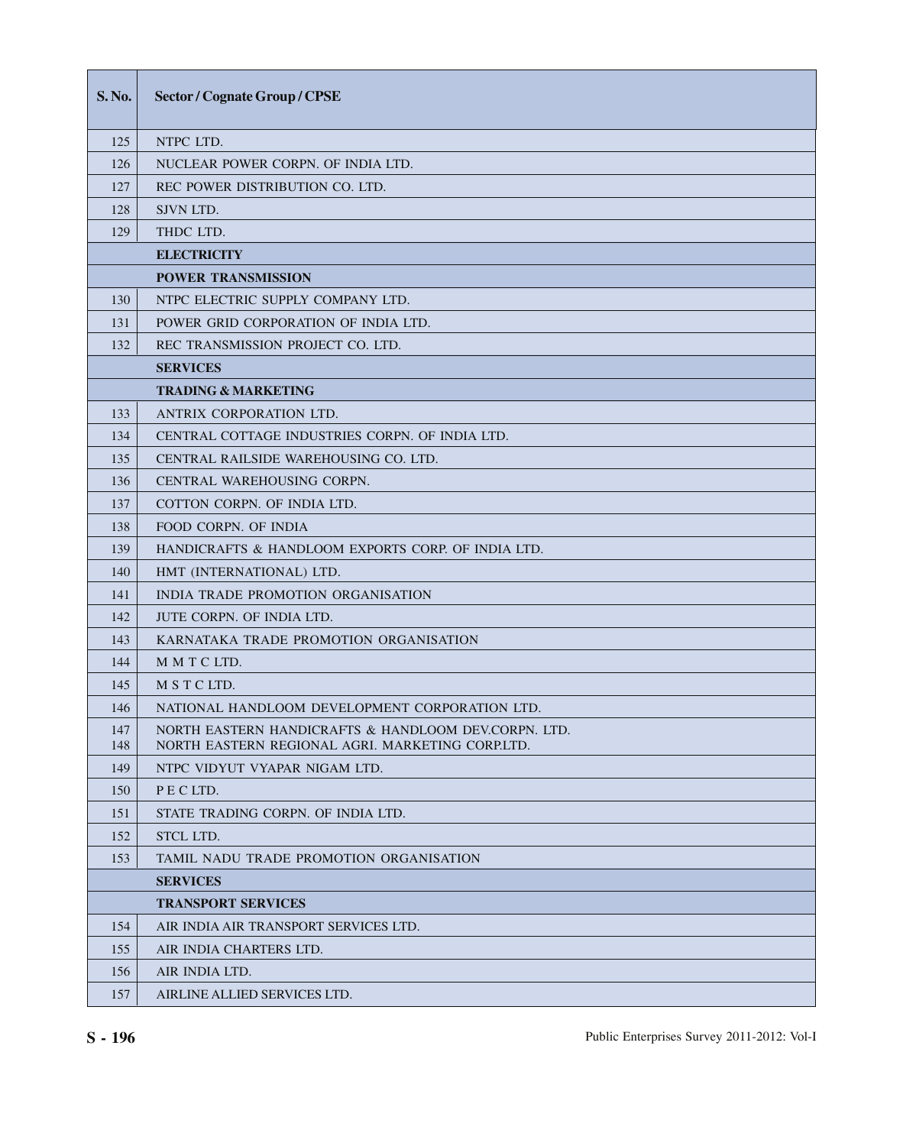| S. No.     | <b>Sector / Cognate Group / CPSE</b>                                                                     |
|------------|----------------------------------------------------------------------------------------------------------|
| 125        | NTPC LTD.                                                                                                |
| 126        | NUCLEAR POWER CORPN. OF INDIA LTD.                                                                       |
| 127        | REC POWER DISTRIBUTION CO. LTD.                                                                          |
| 128        | SJVN LTD.                                                                                                |
| 129        | THDC LTD.                                                                                                |
|            | <b>ELECTRICITY</b>                                                                                       |
|            | <b>POWER TRANSMISSION</b>                                                                                |
| 130        | NTPC ELECTRIC SUPPLY COMPANY LTD.                                                                        |
| 131        | POWER GRID CORPORATION OF INDIA LTD.                                                                     |
| 132        | REC TRANSMISSION PROJECT CO. LTD.                                                                        |
|            | <b>SERVICES</b>                                                                                          |
|            | <b>TRADING &amp; MARKETING</b>                                                                           |
| 133        | ANTRIX CORPORATION LTD.                                                                                  |
| 134        | CENTRAL COTTAGE INDUSTRIES CORPN. OF INDIA LTD.                                                          |
| 135        | CENTRAL RAILSIDE WAREHOUSING CO. LTD.                                                                    |
| 136        | CENTRAL WAREHOUSING CORPN.                                                                               |
| 137        | COTTON CORPN. OF INDIA LTD.                                                                              |
| 138        | <b>FOOD CORPN. OF INDIA</b>                                                                              |
| 139        | HANDICRAFTS & HANDLOOM EXPORTS CORP. OF INDIA LTD.                                                       |
| 140        | HMT (INTERNATIONAL) LTD.                                                                                 |
| 141        | INDIA TRADE PROMOTION ORGANISATION                                                                       |
| 142        | JUTE CORPN. OF INDIA LTD.                                                                                |
| 143        | KARNATAKA TRADE PROMOTION ORGANISATION                                                                   |
| 144        | M M T C LTD.                                                                                             |
| 145        | M S T C LTD.                                                                                             |
| 146        | NATIONAL HANDLOOM DEVELOPMENT CORPORATION LTD.                                                           |
| 147<br>148 | NORTH EASTERN HANDICRAFTS & HANDLOOM DEV.CORPN. LTD.<br>NORTH EASTERN REGIONAL AGRI. MARKETING CORP.LTD. |
| 149        | NTPC VIDYUT VYAPAR NIGAM LTD.                                                                            |
| 150        | PECLTD.                                                                                                  |
| 151        | STATE TRADING CORPN. OF INDIA LTD.                                                                       |
| 152        | <b>STCL LTD.</b>                                                                                         |
| 153        | TAMIL NADU TRADE PROMOTION ORGANISATION                                                                  |
|            | <b>SERVICES</b>                                                                                          |
|            | <b>TRANSPORT SERVICES</b>                                                                                |
| 154        | AIR INDIA AIR TRANSPORT SERVICES LTD.                                                                    |
| 155        | AIR INDIA CHARTERS LTD.                                                                                  |
| 156        | AIR INDIA LTD.                                                                                           |
| 157        | AIRLINE ALLIED SERVICES LTD.                                                                             |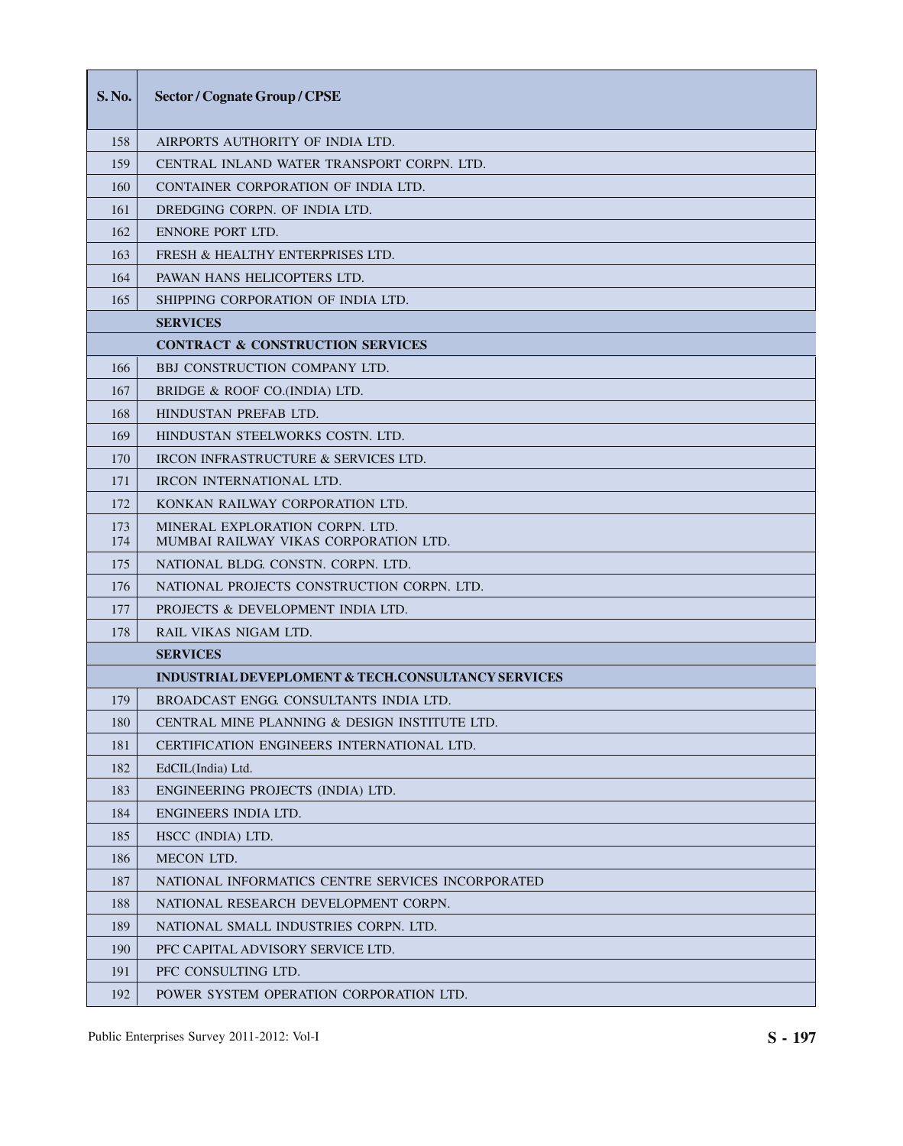| <b>S.No.</b> | Sector / Cognate Group / CPSE                                            |
|--------------|--------------------------------------------------------------------------|
| 158          | AIRPORTS AUTHORITY OF INDIA LTD.                                         |
| 159          | CENTRAL INLAND WATER TRANSPORT CORPN. LTD.                               |
| 160          | CONTAINER CORPORATION OF INDIA LTD.                                      |
| 161          | DREDGING CORPN. OF INDIA LTD.                                            |
| 162          | ENNORE PORT LTD.                                                         |
| 163          | FRESH & HEALTHY ENTERPRISES LTD.                                         |
| 164          | PAWAN HANS HELICOPTERS LTD.                                              |
| 165          | SHIPPING CORPORATION OF INDIA LTD.                                       |
|              | <b>SERVICES</b>                                                          |
|              | <b>CONTRACT &amp; CONSTRUCTION SERVICES</b>                              |
| 166          | <b>BBJ CONSTRUCTION COMPANY LTD.</b>                                     |
| 167          | BRIDGE & ROOF CO.(INDIA) LTD.                                            |
| 168          | HINDUSTAN PREFAB LTD.                                                    |
| 169          | HINDUSTAN STEELWORKS COSTN. LTD.                                         |
| 170          | IRCON INFRASTRUCTURE & SERVICES LTD.                                     |
| 171          | <b>IRCON INTERNATIONAL LTD.</b>                                          |
| 172          | KONKAN RAILWAY CORPORATION LTD.                                          |
| 173<br>174   | MINERAL EXPLORATION CORPN. LTD.<br>MUMBAI RAILWAY VIKAS CORPORATION LTD. |
| 175          | NATIONAL BLDG. CONSTN. CORPN. LTD.                                       |
| 176          | NATIONAL PROJECTS CONSTRUCTION CORPN. LTD.                               |
| 177          | PROJECTS & DEVELOPMENT INDIA LTD.                                        |
| 178          | RAIL VIKAS NIGAM LTD.                                                    |
|              | <b>SERVICES</b>                                                          |
|              | <b>INDUSTRIAL DEVEPLOMENT &amp; TECH.CONSULTANCY SERVICES</b>            |
| 179          | BROADCAST ENGG. CONSULTANTS INDIA LTD.                                   |
| 180          | CENTRAL MINE PLANNING & DESIGN INSTITUTE LTD.                            |
| 181          | <b>CERTIFICATION ENGINEERS INTERNATIONAL LTD.</b>                        |
| 182          | EdCIL(India) Ltd.                                                        |
| 183          | ENGINEERING PROJECTS (INDIA) LTD.                                        |
| 184          | ENGINEERS INDIA LTD.                                                     |
| 185          | HSCC (INDIA) LTD.                                                        |
| 186          | <b>MECON LTD.</b>                                                        |
| 187          | NATIONAL INFORMATICS CENTRE SERVICES INCORPORATED                        |
| 188          | NATIONAL RESEARCH DEVELOPMENT CORPN.                                     |
| 189          | NATIONAL SMALL INDUSTRIES CORPN. LTD.                                    |
| 190          | PFC CAPITAL ADVISORY SERVICE LTD.                                        |
| 191          | PFC CONSULTING LTD.                                                      |
| 192          | POWER SYSTEM OPERATION CORPORATION LTD.                                  |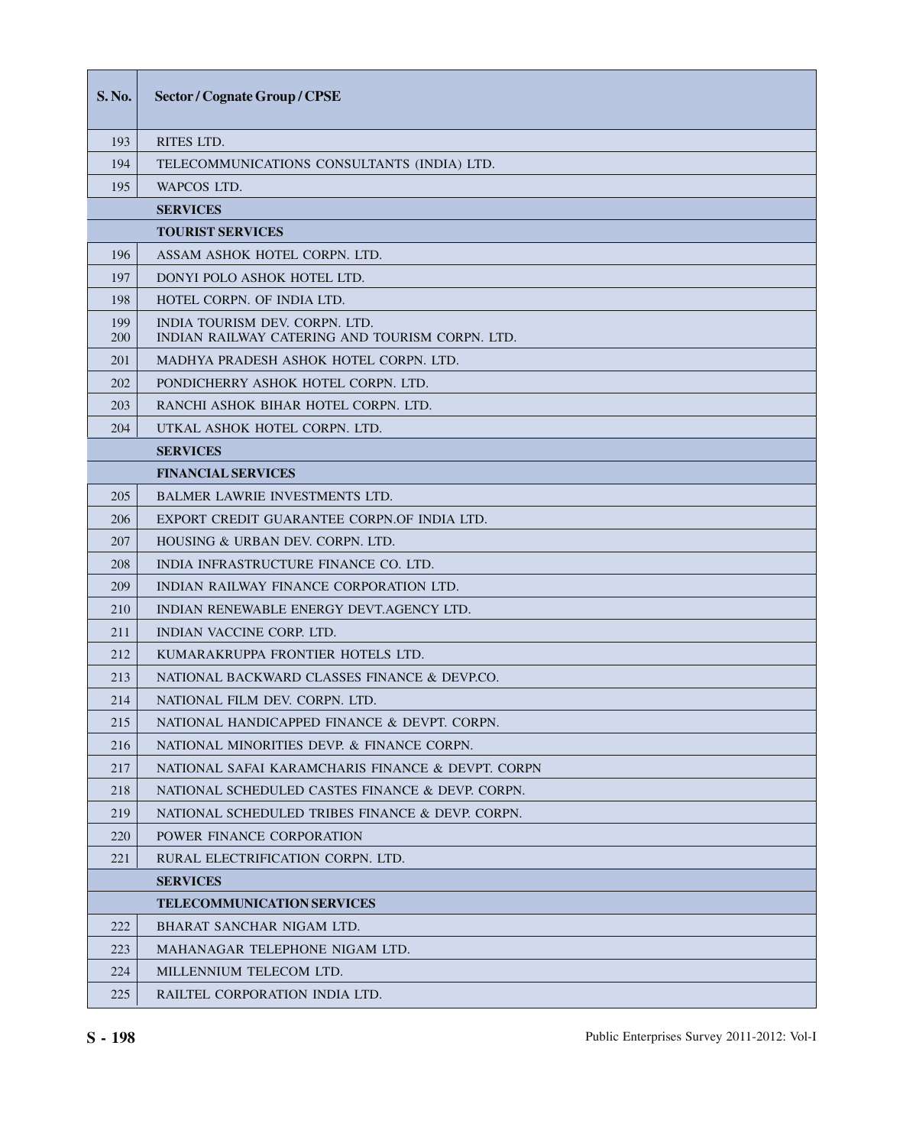| S. No.     | <b>Sector / Cognate Group / CPSE</b>                                              |
|------------|-----------------------------------------------------------------------------------|
| 193        | <b>RITES LTD.</b>                                                                 |
| 194        | TELECOMMUNICATIONS CONSULTANTS (INDIA) LTD.                                       |
| 195        | WAPCOS LTD.                                                                       |
|            | <b>SERVICES</b>                                                                   |
|            | <b>TOURIST SERVICES</b>                                                           |
| 196        | ASSAM ASHOK HOTEL CORPN. LTD.                                                     |
| 197        | DONYI POLO ASHOK HOTEL LTD.                                                       |
| 198        | HOTEL CORPN. OF INDIA LTD.                                                        |
| 199<br>200 | INDIA TOURISM DEV. CORPN. LTD.<br>INDIAN RAILWAY CATERING AND TOURISM CORPN. LTD. |
| 201        | MADHYA PRADESH ASHOK HOTEL CORPN. LTD.                                            |
| 202        | PONDICHERRY ASHOK HOTEL CORPN. LTD.                                               |
| 203        | RANCHI ASHOK BIHAR HOTEL CORPN. LTD.                                              |
| 204        | UTKAL ASHOK HOTEL CORPN. LTD.                                                     |
|            | <b>SERVICES</b>                                                                   |
|            | <b>FINANCIAL SERVICES</b>                                                         |
| 205        | <b>BALMER LAWRIE INVESTMENTS LTD.</b>                                             |
| 206        | EXPORT CREDIT GUARANTEE CORPN.OF INDIA LTD.                                       |
| 207        | HOUSING & URBAN DEV. CORPN. LTD.                                                  |
| 208        | INDIA INFRASTRUCTURE FINANCE CO. LTD.                                             |
| 209        | INDIAN RAILWAY FINANCE CORPORATION LTD.                                           |
| 210        | INDIAN RENEWABLE ENERGY DEVT. AGENCY LTD.                                         |
| 211        | INDIAN VACCINE CORP. LTD.                                                         |
| 212        | KUMARAKRUPPA FRONTIER HOTELS LTD.                                                 |
| 213        | NATIONAL BACKWARD CLASSES FINANCE & DEVP.CO.                                      |
| 214        | NATIONAL FILM DEV. CORPN. LTD.                                                    |
| 215        | NATIONAL HANDICAPPED FINANCE & DEVPT. CORPN.                                      |
| 216        | NATIONAL MINORITIES DEVP. & FINANCE CORPN.                                        |
| 217        | NATIONAL SAFAI KARAMCHARIS FINANCE & DEVPT. CORPN                                 |
| 218        | NATIONAL SCHEDULED CASTES FINANCE & DEVP. CORPN.                                  |
| 219        | NATIONAL SCHEDULED TRIBES FINANCE & DEVP. CORPN.                                  |
| 220        | POWER FINANCE CORPORATION                                                         |
| 221        | RURAL ELECTRIFICATION CORPN. LTD.                                                 |
|            | <b>SERVICES</b>                                                                   |
|            | <b>TELECOMMUNICATION SERVICES</b>                                                 |
| 222        | BHARAT SANCHAR NIGAM LTD.                                                         |
| 223        | MAHANAGAR TELEPHONE NIGAM LTD.                                                    |
| 224        | MILLENNIUM TELECOM LTD.                                                           |
| 225        | RAILTEL CORPORATION INDIA LTD.                                                    |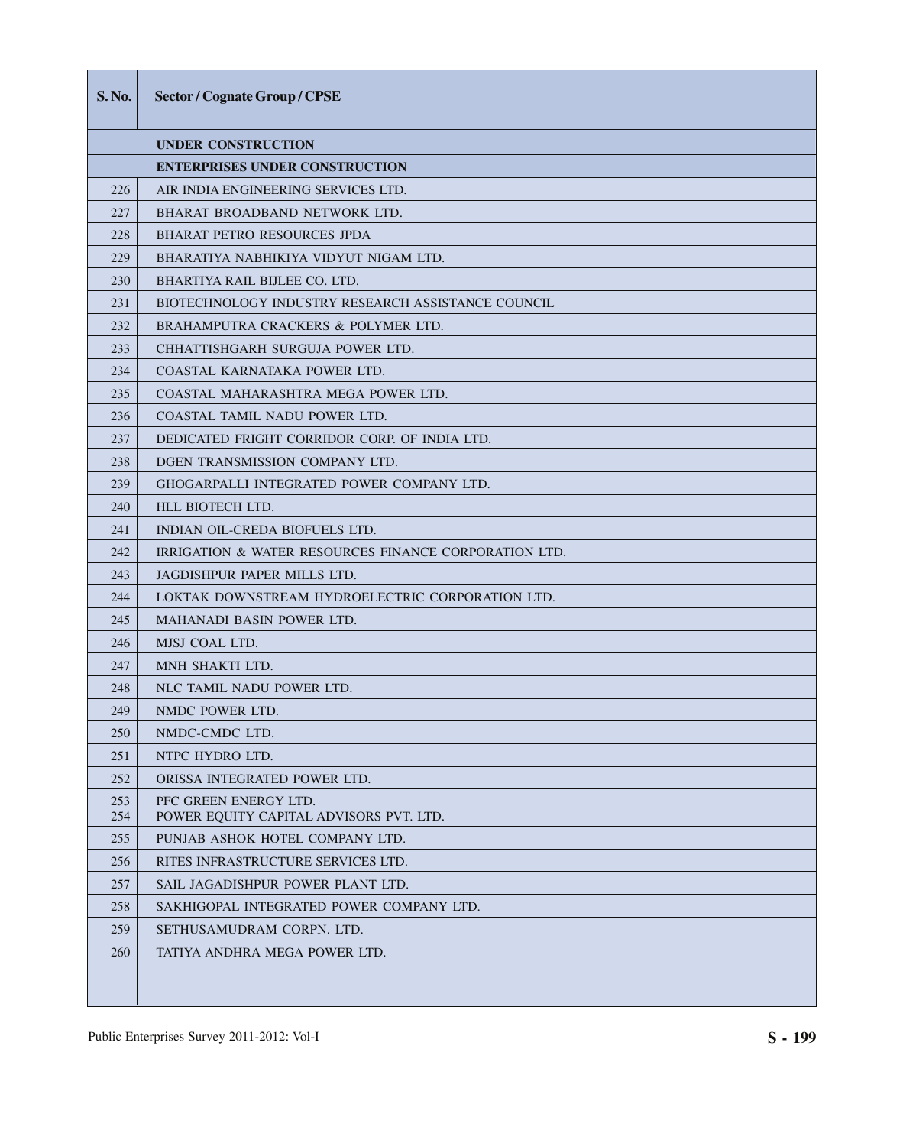| <b>S.No.</b> | Sector / Cognate Group / CPSE                                    |
|--------------|------------------------------------------------------------------|
|              | <b>UNDER CONSTRUCTION</b>                                        |
|              | <b>ENTERPRISES UNDER CONSTRUCTION</b>                            |
| 226          | AIR INDIA ENGINEERING SERVICES LTD.                              |
| 227          | BHARAT BROADBAND NETWORK LTD.                                    |
| 228          | <b>BHARAT PETRO RESOURCES JPDA</b>                               |
| 229          | BHARATIYA NABHIKIYA VIDYUT NIGAM LTD.                            |
| 230          | BHARTIYA RAIL BIJLEE CO. LTD.                                    |
| 231          | BIOTECHNOLOGY INDUSTRY RESEARCH ASSISTANCE COUNCIL               |
| 232          | BRAHAMPUTRA CRACKERS & POLYMER LTD.                              |
| 233          | CHHATTISHGARH SURGUJA POWER LTD.                                 |
| 234          | COASTAL KARNATAKA POWER LTD.                                     |
| 235          | COASTAL MAHARASHTRA MEGA POWER LTD.                              |
| 236          | COASTAL TAMIL NADU POWER LTD.                                    |
| 237          | DEDICATED FRIGHT CORRIDOR CORP. OF INDIA LTD.                    |
| 238          | DGEN TRANSMISSION COMPANY LTD.                                   |
| 239          | GHOGARPALLI INTEGRATED POWER COMPANY LTD.                        |
| 240          | HLL BIOTECH LTD.                                                 |
| 241          | INDIAN OIL-CREDA BIOFUELS LTD.                                   |
| 242          | IRRIGATION & WATER RESOURCES FINANCE CORPORATION LTD.            |
| 243          | JAGDISHPUR PAPER MILLS LTD.                                      |
| 244          | LOKTAK DOWNSTREAM HYDROELECTRIC CORPORATION LTD.                 |
| 245          | <b>MAHANADI BASIN POWER LTD.</b>                                 |
| 246          | MJSJ COAL LTD.                                                   |
| 247          | MNH SHAKTI LTD.                                                  |
| 248          | NLC TAMIL NADU POWER LTD.                                        |
| 249          | NMDC POWER LTD.                                                  |
| 250          | NMDC-CMDC LTD.                                                   |
| 251          | NTPC HYDRO LTD.                                                  |
| 252          | ORISSA INTEGRATED POWER LTD.                                     |
| 253<br>254   | PFC GREEN ENERGY LTD.<br>POWER EQUITY CAPITAL ADVISORS PVT. LTD. |
| 255          | PUNJAB ASHOK HOTEL COMPANY LTD.                                  |
| 256          | RITES INFRASTRUCTURE SERVICES LTD.                               |
| 257          | SAIL JAGADISHPUR POWER PLANT LTD.                                |
| 258          | SAKHIGOPAL INTEGRATED POWER COMPANY LTD.                         |
| 259          | SETHUSAMUDRAM CORPN. LTD.                                        |
| 260          | TATIYA ANDHRA MEGA POWER LTD.                                    |
|              |                                                                  |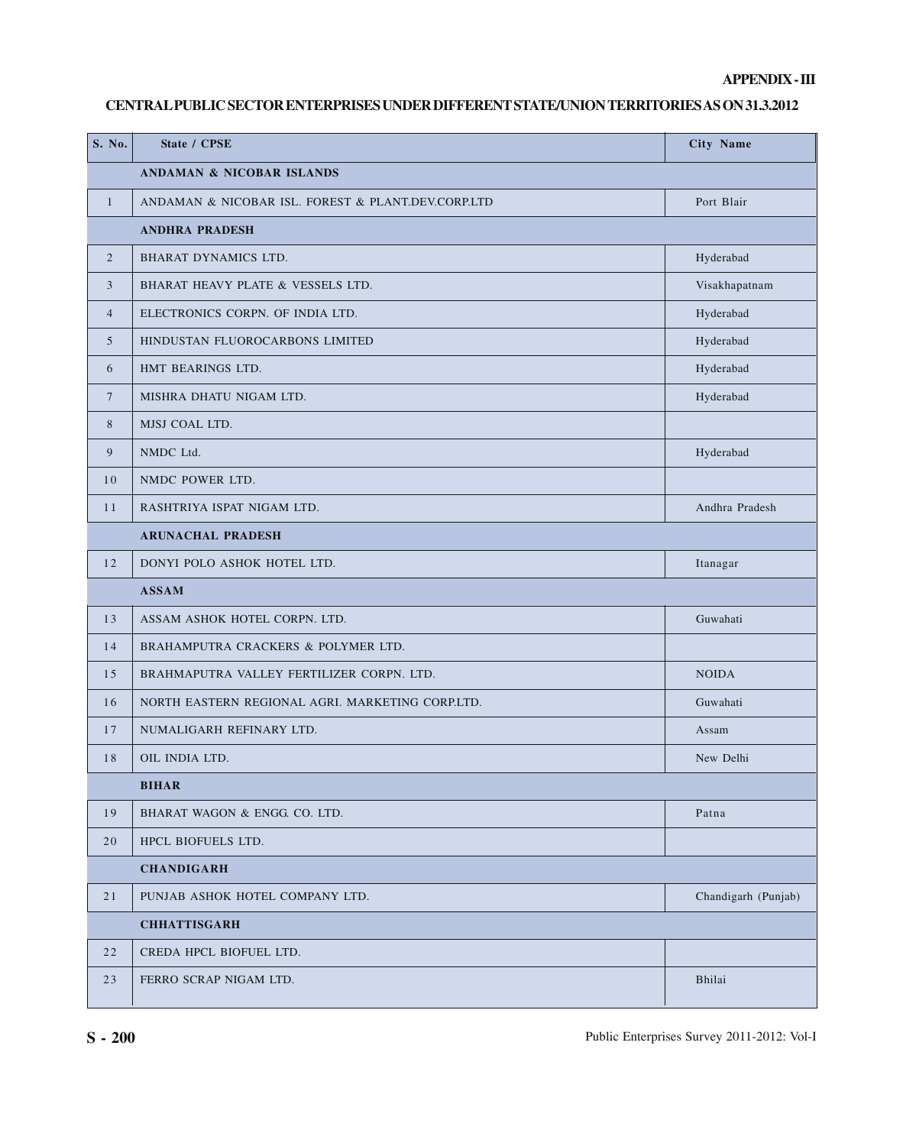### **APPENDIX - III**

## **CENTRAL PUBLIC SECTOR ENTERPRISES UNDER DIFFERENT STATE/UNION TERRITORIES AS ON 31.3.2012**

| S. No.          | <b>State / CPSE</b>                                | City Name           |
|-----------------|----------------------------------------------------|---------------------|
|                 | ANDAMAN & NICOBAR ISLANDS                          |                     |
| $\mathbf{1}$    | ANDAMAN & NICOBAR ISL. FOREST & PLANT.DEV.CORP.LTD | Port Blair          |
|                 | <b>ANDHRA PRADESH</b>                              |                     |
| $\overline{2}$  | BHARAT DYNAMICS LTD.                               | Hyderabad           |
| 3               | BHARAT HEAVY PLATE & VESSELS LTD.                  | Visakhapatnam       |
| $\overline{4}$  | ELECTRONICS CORPN. OF INDIA LTD.                   | Hyderabad           |
| 5               | HINDUSTAN FLUOROCARBONS LIMITED                    | Hyderabad           |
| 6               | HMT BEARINGS LTD.                                  | Hyderabad           |
| $7\phantom{.0}$ | MISHRA DHATU NIGAM LTD.                            | Hyderabad           |
| 8               | MJSJ COAL LTD.                                     |                     |
| 9               | NMDC Ltd.                                          | Hyderabad           |
| 10              | NMDC POWER LTD.                                    |                     |
| 11              | RASHTRIYA ISPAT NIGAM LTD.                         | Andhra Pradesh      |
|                 | <b>ARUNACHAL PRADESH</b>                           |                     |
| 12              | DONYI POLO ASHOK HOTEL LTD.                        | Itanagar            |
|                 | <b>ASSAM</b>                                       |                     |
| 13              | ASSAM ASHOK HOTEL CORPN. LTD.                      | Guwahati            |
| 14              | BRAHAMPUTRA CRACKERS & POLYMER LTD.                |                     |
| 15              | BRAHMAPUTRA VALLEY FERTILIZER CORPN. LTD.          | <b>NOIDA</b>        |
| 16              | NORTH EASTERN REGIONAL AGRI. MARKETING CORP.LTD.   | Guwahati            |
| 17              | NUMALIGARH REFINARY LTD.                           | Assam               |
| 18              | OIL INDIA LTD.                                     | New Delhi           |
|                 | <b>BIHAR</b>                                       |                     |
| 19              | BHARAT WAGON & ENGG. CO. LTD.                      | Patna               |
| 20              | HPCL BIOFUELS LTD.                                 |                     |
|                 | <b>CHANDIGARH</b>                                  |                     |
| 21              | PUNJAB ASHOK HOTEL COMPANY LTD.                    | Chandigarh (Punjab) |
|                 | <b>CHHATTISGARH</b>                                |                     |
| 22              | CREDA HPCL BIOFUEL LTD.                            |                     |
| 23              | FERRO SCRAP NIGAM LTD.                             | Bhilai              |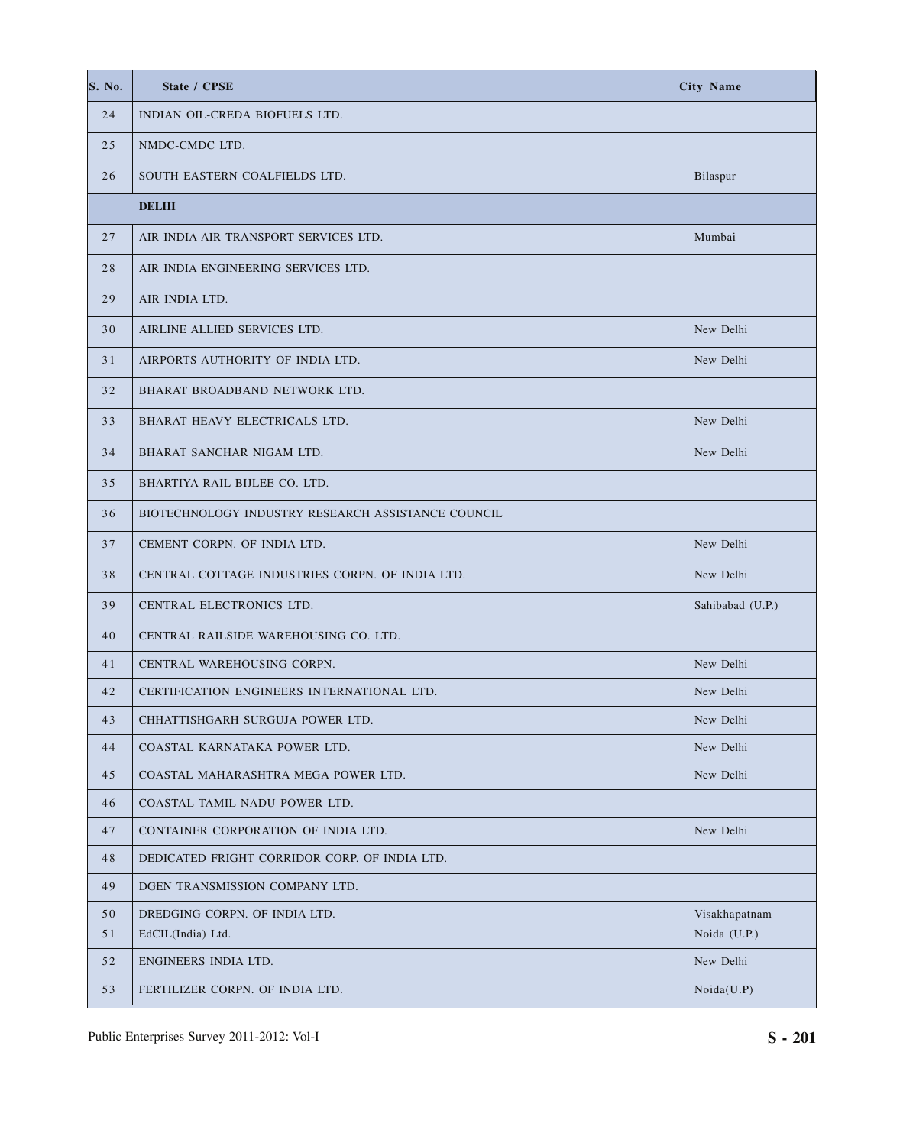| S. No.   | State / CPSE                                       | <b>City Name</b>              |
|----------|----------------------------------------------------|-------------------------------|
| 24       | INDIAN OIL-CREDA BIOFUELS LTD.                     |                               |
| 25       | NMDC-CMDC LTD.                                     |                               |
| 26       | SOUTH EASTERN COALFIELDS LTD.                      | Bilaspur                      |
|          | <b>DELHI</b>                                       |                               |
| 27       | AIR INDIA AIR TRANSPORT SERVICES LTD.              | Mumbai                        |
| 28       | AIR INDIA ENGINEERING SERVICES LTD.                |                               |
| 29       | AIR INDIA LTD.                                     |                               |
| 30       | AIRLINE ALLIED SERVICES LTD.                       | New Delhi                     |
| 31       | AIRPORTS AUTHORITY OF INDIA LTD.                   | New Delhi                     |
| 32       | BHARAT BROADBAND NETWORK LTD.                      |                               |
| 33       | BHARAT HEAVY ELECTRICALS LTD.                      | New Delhi                     |
| 34       | BHARAT SANCHAR NIGAM LTD.                          | New Delhi                     |
| 35       | BHARTIYA RAIL BIJLEE CO. LTD.                      |                               |
| 36       | BIOTECHNOLOGY INDUSTRY RESEARCH ASSISTANCE COUNCIL |                               |
| 37       | CEMENT CORPN. OF INDIA LTD.                        | New Delhi                     |
| 38       | CENTRAL COTTAGE INDUSTRIES CORPN. OF INDIA LTD.    | New Delhi                     |
| 39       | CENTRAL ELECTRONICS LTD.                           | Sahibabad (U.P.)              |
| 40       | CENTRAL RAILSIDE WAREHOUSING CO. LTD.              |                               |
| 41       | CENTRAL WAREHOUSING CORPN.                         | New Delhi                     |
| 42       | CERTIFICATION ENGINEERS INTERNATIONAL LTD.         | New Delhi                     |
| 43       | CHHATTISHGARH SURGUJA POWER LTD.                   | New Delhi                     |
| 44       | COASTAL KARNATAKA POWER LTD.                       | New Delhi                     |
| 45       | COASTAL MAHARASHTRA MEGA POWER LTD.                | New Delhi                     |
| 46       | COASTAL TAMIL NADU POWER LTD.                      |                               |
| 47       | CONTAINER CORPORATION OF INDIA LTD.                | New Delhi                     |
| 48       | DEDICATED FRIGHT CORRIDOR CORP. OF INDIA LTD.      |                               |
| 49       | DGEN TRANSMISSION COMPANY LTD.                     |                               |
| 50<br>51 | DREDGING CORPN. OF INDIA LTD.<br>EdCIL(India) Ltd. | Visakhapatnam<br>Noida (U.P.) |
| 52       | ENGINEERS INDIA LTD.                               | New Delhi                     |
| 53       | FERTILIZER CORPN. OF INDIA LTD.                    | Noida(U.P)                    |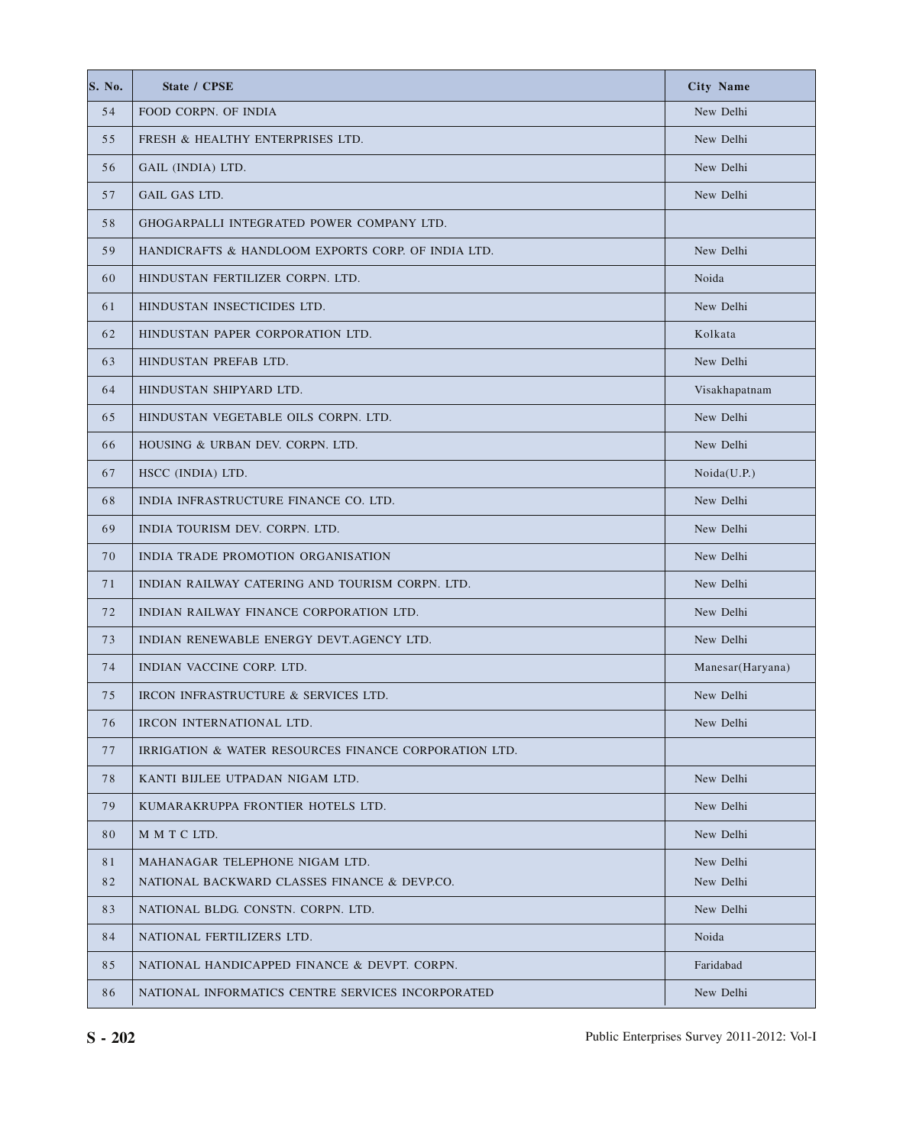| S. No. | State / CPSE                                          | <b>City Name</b> |
|--------|-------------------------------------------------------|------------------|
| 54     | FOOD CORPN. OF INDIA                                  | New Delhi        |
| 55     | FRESH & HEALTHY ENTERPRISES LTD.                      | New Delhi        |
| 56     | GAIL (INDIA) LTD.                                     | New Delhi        |
| 57     | <b>GAIL GAS LTD.</b>                                  | New Delhi        |
| 58     | GHOGARPALLI INTEGRATED POWER COMPANY LTD.             |                  |
| 59     | HANDICRAFTS & HANDLOOM EXPORTS CORP. OF INDIA LTD.    | New Delhi        |
| 60     | HINDUSTAN FERTILIZER CORPN. LTD.                      | Noida            |
| 61     | HINDUSTAN INSECTICIDES LTD.                           | New Delhi        |
| 62     | HINDUSTAN PAPER CORPORATION LTD.                      | Kolkata          |
| 63     | HINDUSTAN PREFAB LTD.                                 | New Delhi        |
| 64     | HINDUSTAN SHIPYARD LTD.                               | Visakhapatnam    |
| 65     | HINDUSTAN VEGETABLE OILS CORPN. LTD.                  | New Delhi        |
| 66     | HOUSING & URBAN DEV. CORPN. LTD.                      | New Delhi        |
| 67     | HSCC (INDIA) LTD.                                     | Noida(U.P.)      |
| 68     | INDIA INFRASTRUCTURE FINANCE CO. LTD.                 | New Delhi        |
| 69     | INDIA TOURISM DEV. CORPN. LTD.                        | New Delhi        |
| 70     | INDIA TRADE PROMOTION ORGANISATION                    | New Delhi        |
| 71     | INDIAN RAILWAY CATERING AND TOURISM CORPN. LTD.       | New Delhi        |
| 72     | INDIAN RAILWAY FINANCE CORPORATION LTD.               | New Delhi        |
| 73     | INDIAN RENEWABLE ENERGY DEVT. AGENCY LTD.             | New Delhi        |
| 74     | INDIAN VACCINE CORP. LTD.                             | Manesar(Haryana) |
| 75     | IRCON INFRASTRUCTURE & SERVICES LTD.                  | New Delhi        |
| 76     | IRCON INTERNATIONAL LTD.                              | New Delhi        |
| 77     | IRRIGATION & WATER RESOURCES FINANCE CORPORATION LTD. |                  |
| 78     | KANTI BIJLEE UTPADAN NIGAM LTD.                       | New Delhi        |
| 79     | KUMARAKRUPPA FRONTIER HOTELS LTD.                     | New Delhi        |
| 80     | M M T C LTD.                                          | New Delhi        |
| 81     | MAHANAGAR TELEPHONE NIGAM LTD.                        | New Delhi        |
| 82     | NATIONAL BACKWARD CLASSES FINANCE & DEVP.CO.          | New Delhi        |
| 83     | NATIONAL BLDG. CONSTN. CORPN. LTD.                    | New Delhi        |
| 84     | NATIONAL FERTILIZERS LTD.                             | Noida            |
| 85     | NATIONAL HANDICAPPED FINANCE & DEVPT. CORPN.          | Faridabad        |
| 86     | NATIONAL INFORMATICS CENTRE SERVICES INCORPORATED     | New Delhi        |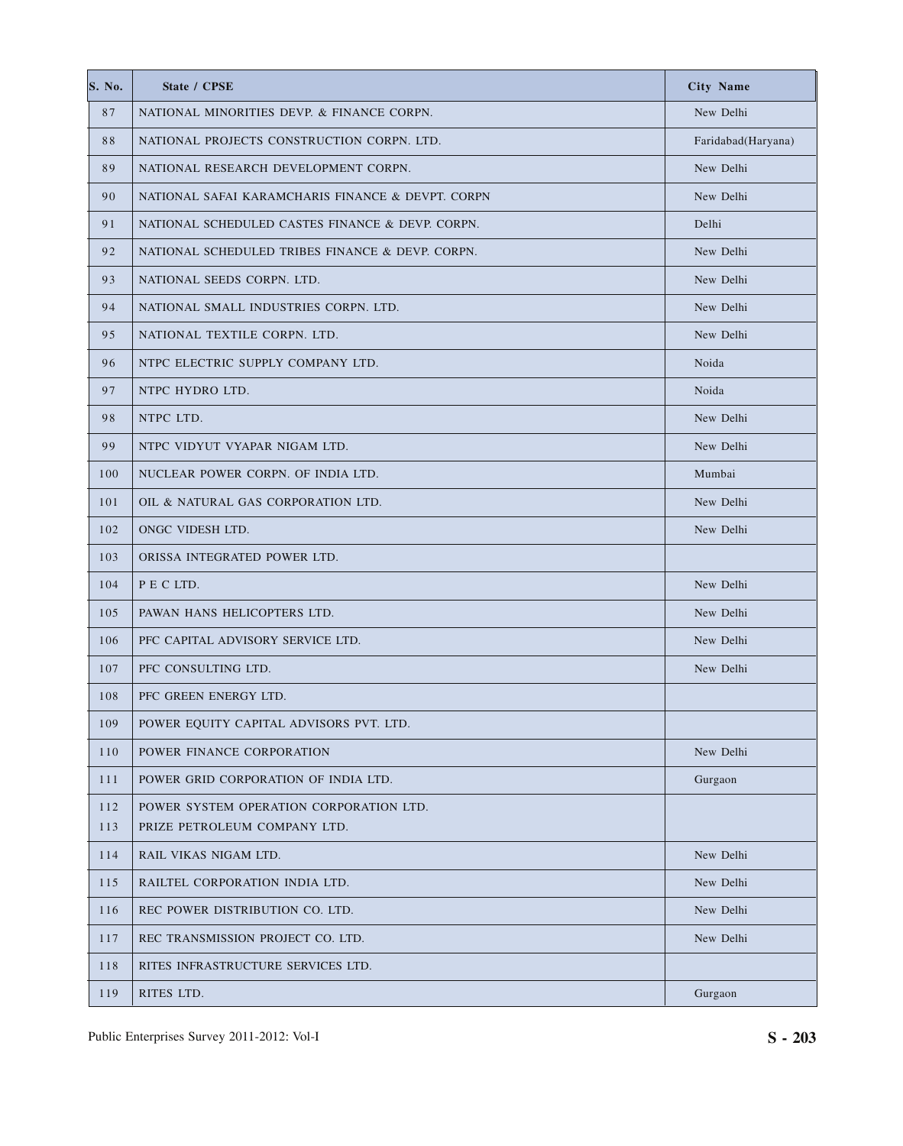| S. No. | State / CPSE                                      | <b>City Name</b>   |
|--------|---------------------------------------------------|--------------------|
| 87     | NATIONAL MINORITIES DEVP. & FINANCE CORPN.        | New Delhi          |
| 88     | NATIONAL PROJECTS CONSTRUCTION CORPN. LTD.        | Faridabad(Haryana) |
| 89     | NATIONAL RESEARCH DEVELOPMENT CORPN.              | New Delhi          |
| 90     | NATIONAL SAFAI KARAMCHARIS FINANCE & DEVPT. CORPN | New Delhi          |
| 91     | NATIONAL SCHEDULED CASTES FINANCE & DEVP. CORPN.  | Delhi              |
| 92     | NATIONAL SCHEDULED TRIBES FINANCE & DEVP. CORPN.  | New Delhi          |
| 93     | NATIONAL SEEDS CORPN. LTD.                        | New Delhi          |
| 94     | NATIONAL SMALL INDUSTRIES CORPN. LTD.             | New Delhi          |
| 95     | NATIONAL TEXTILE CORPN. LTD.                      | New Delhi          |
| 96     | NTPC ELECTRIC SUPPLY COMPANY LTD.                 | Noida              |
| 97     | NTPC HYDRO LTD.                                   | Noida              |
| 98     | NTPC LTD.                                         | New Delhi          |
| 99     | NTPC VIDYUT VYAPAR NIGAM LTD.                     | New Delhi          |
| 100    | NUCLEAR POWER CORPN. OF INDIA LTD.                | Mumbai             |
| 101    | OIL & NATURAL GAS CORPORATION LTD.                | New Delhi          |
| 102    | ONGC VIDESH LTD.                                  | New Delhi          |
| 103    | ORISSA INTEGRATED POWER LTD.                      |                    |
| 104    | P E C LTD.                                        | New Delhi          |
| 105    | PAWAN HANS HELICOPTERS LTD.                       | New Delhi          |
| 106    | PFC CAPITAL ADVISORY SERVICE LTD.                 | New Delhi          |
| 107    | PFC CONSULTING LTD.                               | New Delhi          |
| 108    | PFC GREEN ENERGY LTD.                             |                    |
| 109    | POWER EQUITY CAPITAL ADVISORS PVT. LTD.           |                    |
| 110    | POWER FINANCE CORPORATION                         | New Delhi          |
| 111    | POWER GRID CORPORATION OF INDIA LTD.              | Gurgaon            |
| 112    | POWER SYSTEM OPERATION CORPORATION LTD.           |                    |
| 113    | PRIZE PETROLEUM COMPANY LTD.                      |                    |
| 114    | RAIL VIKAS NIGAM LTD.                             | New Delhi          |
| 115    | RAILTEL CORPORATION INDIA LTD.                    | New Delhi          |
| 116    | REC POWER DISTRIBUTION CO. LTD.                   | New Delhi          |
| 117    | REC TRANSMISSION PROJECT CO. LTD.                 | New Delhi          |
| 118    | RITES INFRASTRUCTURE SERVICES LTD.                |                    |
| 119    | RITES LTD.                                        | Gurgaon            |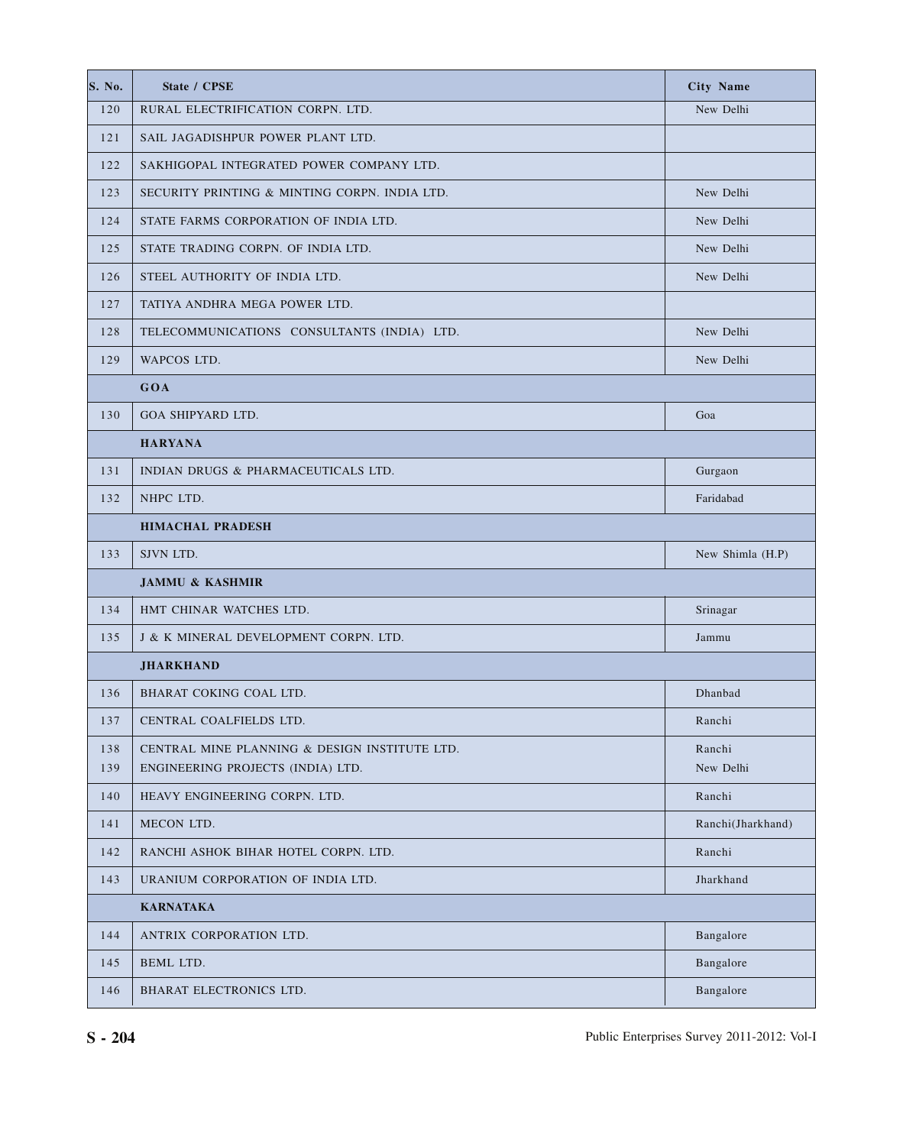| S. No. | State / CPSE                                  | <b>City Name</b>  |
|--------|-----------------------------------------------|-------------------|
| 120    | RURAL ELECTRIFICATION CORPN. LTD.             | New Delhi         |
| 121    | SAIL JAGADISHPUR POWER PLANT LTD.             |                   |
| 122    | SAKHIGOPAL INTEGRATED POWER COMPANY LTD.      |                   |
| 123    | SECURITY PRINTING & MINTING CORPN. INDIA LTD. | New Delhi         |
| 124    | STATE FARMS CORPORATION OF INDIA LTD.         | New Delhi         |
| 125    | STATE TRADING CORPN. OF INDIA LTD.            | New Delhi         |
| 126    | STEEL AUTHORITY OF INDIA LTD.                 | New Delhi         |
| 127    | TATIYA ANDHRA MEGA POWER LTD.                 |                   |
| 128    | TELECOMMUNICATIONS CONSULTANTS (INDIA) LTD.   | New Delhi         |
| 129    | WAPCOS LTD.                                   | New Delhi         |
|        | GOA                                           |                   |
| 130    | GOA SHIPYARD LTD.                             | Goa               |
|        | <b>HARYANA</b>                                |                   |
| 131    | INDIAN DRUGS & PHARMACEUTICALS LTD.           | Gurgaon           |
| 132    | NHPC LTD.                                     | Faridabad         |
|        | <b>HIMACHAL PRADESH</b>                       |                   |
| 133    | SJVN LTD.                                     | New Shimla (H.P)  |
|        | <b>JAMMU &amp; KASHMIR</b>                    |                   |
| 134    | HMT CHINAR WATCHES LTD.                       | Srinagar          |
| 135    | J & K MINERAL DEVELOPMENT CORPN. LTD.         | Jammu             |
|        | <b>JHARKHAND</b>                              |                   |
| 136    | BHARAT COKING COAL LTD.                       | Dhanbad           |
| 137    | CENTRAL COALFIELDS LTD.                       | Ranchi            |
| 138    | CENTRAL MINE PLANNING & DESIGN INSTITUTE LTD. | Ranchi            |
| 139    | ENGINEERING PROJECTS (INDIA) LTD.             | New Delhi         |
| 140    | HEAVY ENGINEERING CORPN. LTD.                 | Ranchi            |
| 141    | MECON LTD.                                    | Ranchi(Jharkhand) |
| 142    | RANCHI ASHOK BIHAR HOTEL CORPN. LTD.          | Ranchi            |
| 143    | URANIUM CORPORATION OF INDIA LTD.             | Jharkhand         |
|        | <b>KARNATAKA</b>                              |                   |
| 144    | ANTRIX CORPORATION LTD.                       | Bangalore         |
| 145    | BEML LTD.                                     | Bangalore         |
| 146    | BHARAT ELECTRONICS LTD.                       | Bangalore         |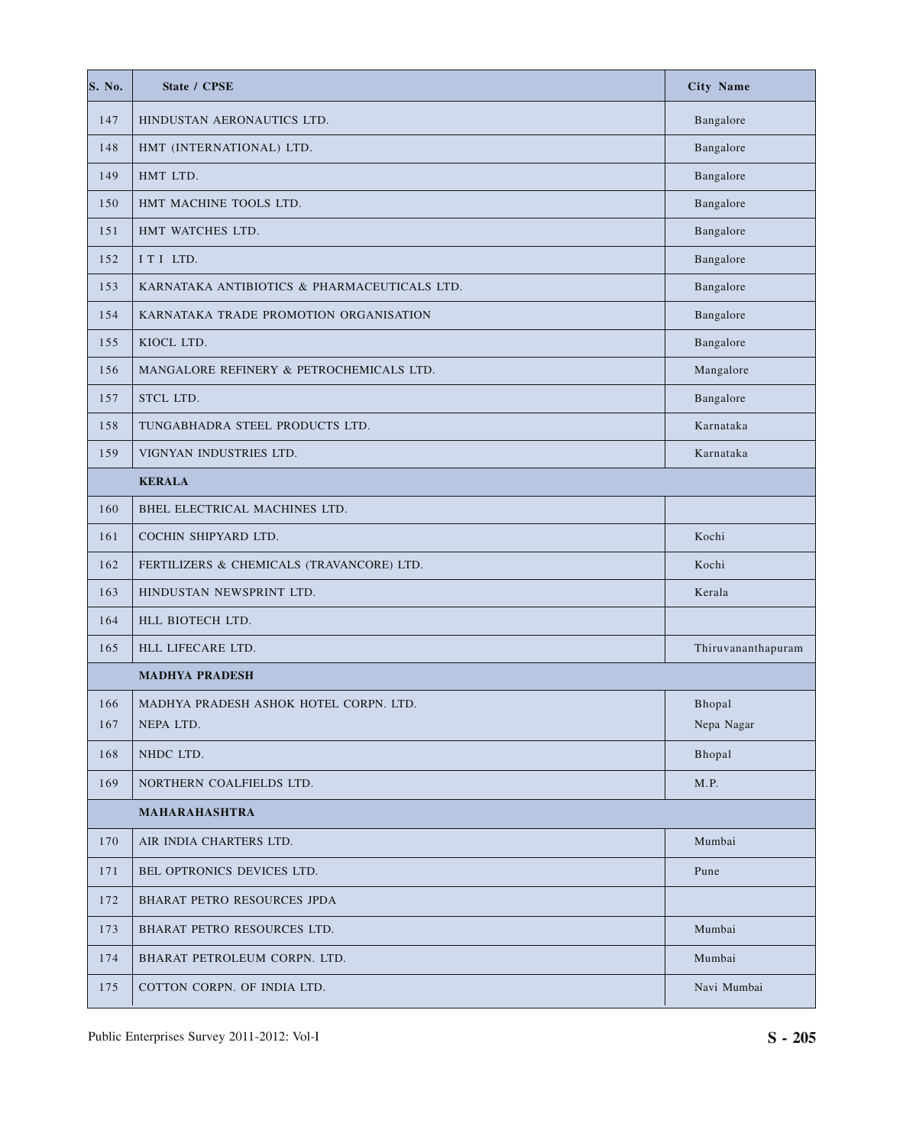| S. No. | State / CPSE                                 | <b>City Name</b>   |
|--------|----------------------------------------------|--------------------|
| 147    | HINDUSTAN AERONAUTICS LTD.                   | Bangalore          |
| 148    | HMT (INTERNATIONAL) LTD.                     | Bangalore          |
| 149    | HMT LTD.                                     | Bangalore          |
| 150    | HMT MACHINE TOOLS LTD.                       | Bangalore          |
| 151    | HMT WATCHES LTD.                             | Bangalore          |
| 152    | ITI LTD.                                     | Bangalore          |
| 153    | KARNATAKA ANTIBIOTICS & PHARMACEUTICALS LTD. | Bangalore          |
| 154    | KARNATAKA TRADE PROMOTION ORGANISATION       | Bangalore          |
| 155    | KIOCL LTD.                                   | Bangalore          |
| 156    | MANGALORE REFINERY & PETROCHEMICALS LTD.     | Mangalore          |
| 157    | STCL LTD.                                    | Bangalore          |
| 158    | TUNGABHADRA STEEL PRODUCTS LTD.              | Karnataka          |
| 159    | VIGNYAN INDUSTRIES LTD.                      | Karnataka          |
|        | <b>KERALA</b>                                |                    |
| 160    | BHEL ELECTRICAL MACHINES LTD.                |                    |
| 161    | COCHIN SHIPYARD LTD.                         | Kochi              |
| 162    | FERTILIZERS & CHEMICALS (TRAVANCORE) LTD.    | Kochi              |
| 163    | HINDUSTAN NEWSPRINT LTD.                     | Kerala             |
| 164    | HLL BIOTECH LTD.                             |                    |
| 165    | HLL LIFECARE LTD.                            | Thiruvananthapuram |
|        | <b>MADHYA PRADESH</b>                        |                    |
| 166    | MADHYA PRADESH ASHOK HOTEL CORPN. LTD.       | Bhopal             |
| 167    | NEPA LTD.                                    | Nepa Nagar         |
| 168    | NHDC LTD.                                    | Bhopal             |
| 169    | NORTHERN COALFIELDS LTD.                     | M.P.               |
|        | MAHARAHASHTRA                                |                    |
| 170    | AIR INDIA CHARTERS LTD.                      | Mumbai             |
| 171    | BEL OPTRONICS DEVICES LTD.                   | Pune               |
| 172    | BHARAT PETRO RESOURCES JPDA                  |                    |
| 173    | BHARAT PETRO RESOURCES LTD.                  | Mumbai             |
| 174    | BHARAT PETROLEUM CORPN. LTD.                 | Mumbai             |
| 175    | COTTON CORPN. OF INDIA LTD.                  | Navi Mumbai        |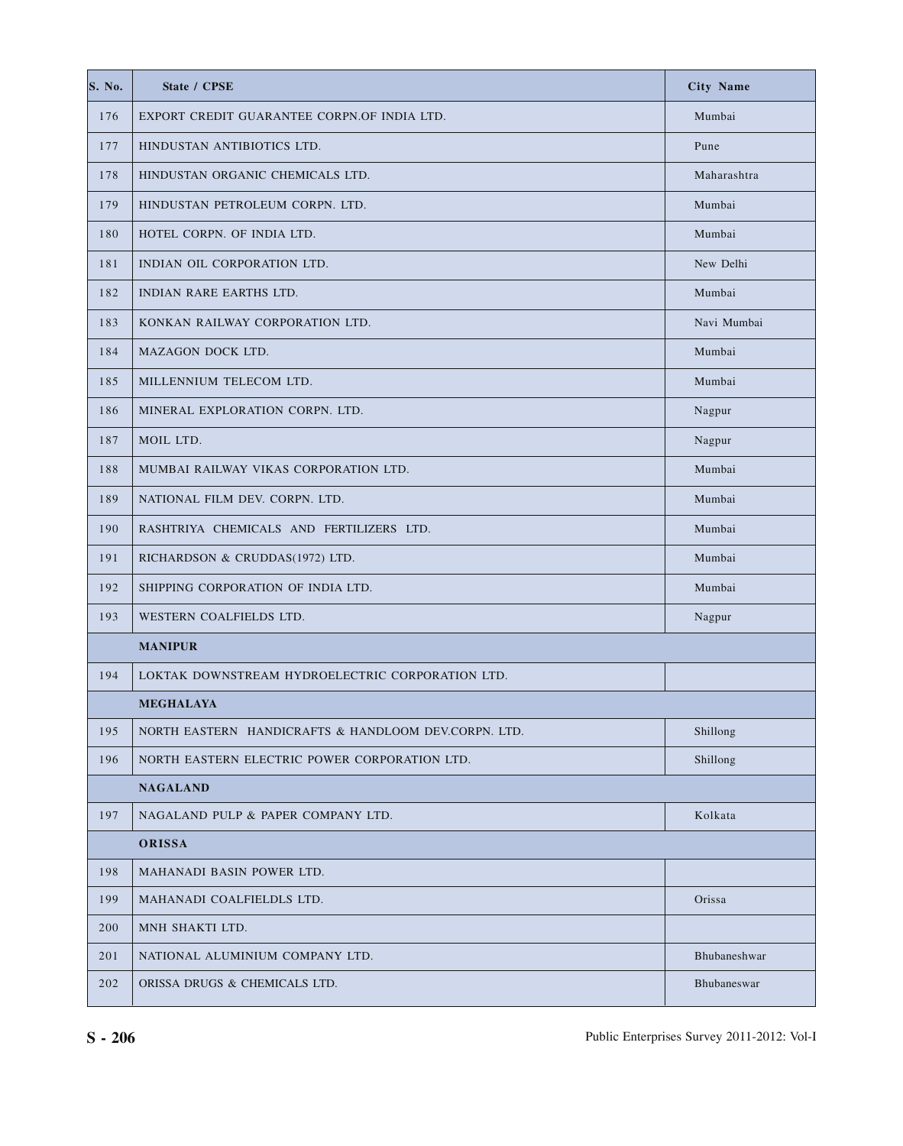| S. No. | State / CPSE                                         | <b>City Name</b> |
|--------|------------------------------------------------------|------------------|
| 176    | EXPORT CREDIT GUARANTEE CORPN.OF INDIA LTD.          | Mumbai           |
| 177    | HINDUSTAN ANTIBIOTICS LTD.                           | Pune             |
| 178    | HINDUSTAN ORGANIC CHEMICALS LTD.                     | Maharashtra      |
| 179    | HINDUSTAN PETROLEUM CORPN. LTD.                      | Mumbai           |
| 180    | HOTEL CORPN. OF INDIA LTD.                           | Mumbai           |
| 181    | INDIAN OIL CORPORATION LTD.                          | New Delhi        |
| 182    | INDIAN RARE EARTHS LTD.                              | Mumbai           |
| 183    | KONKAN RAILWAY CORPORATION LTD.                      | Navi Mumbai      |
| 184    | MAZAGON DOCK LTD.                                    | Mumbai           |
| 185    | MILLENNIUM TELECOM LTD.                              | Mumbai           |
| 186    | MINERAL EXPLORATION CORPN. LTD.                      | Nagpur           |
| 187    | MOIL LTD.                                            | Nagpur           |
| 188    | MUMBAI RAILWAY VIKAS CORPORATION LTD.                | Mumbai           |
| 189    | NATIONAL FILM DEV. CORPN. LTD.                       | Mumbai           |
| 190    | RASHTRIYA CHEMICALS AND FERTILIZERS LTD.             | Mumbai           |
| 191    | RICHARDSON & CRUDDAS(1972) LTD.                      | Mumbai           |
| 192    | SHIPPING CORPORATION OF INDIA LTD.                   | Mumbai           |
| 193    | WESTERN COALFIELDS LTD.                              | Nagpur           |
|        | <b>MANIPUR</b>                                       |                  |
| 194    | LOKTAK DOWNSTREAM HYDROELECTRIC CORPORATION LTD.     |                  |
|        | <b>MEGHALAYA</b>                                     |                  |
| 195    | NORTH EASTERN HANDICRAFTS & HANDLOOM DEV.CORPN. LTD. | Shillong         |
| 196    | NORTH EASTERN ELECTRIC POWER CORPORATION LTD.        | Shillong         |
|        | <b>NAGALAND</b>                                      |                  |
| 197    | NAGALAND PULP & PAPER COMPANY LTD.                   | Kolkata          |
|        | ORISSA                                               |                  |
| 198    | MAHANADI BASIN POWER LTD.                            |                  |
| 199    | MAHANADI COALFIELDLS LTD.                            | Orissa           |
| 200    | MNH SHAKTI LTD.                                      |                  |
| 201    | NATIONAL ALUMINIUM COMPANY LTD.                      | Bhubaneshwar     |
| 202    | ORISSA DRUGS & CHEMICALS LTD.                        | Bhubaneswar      |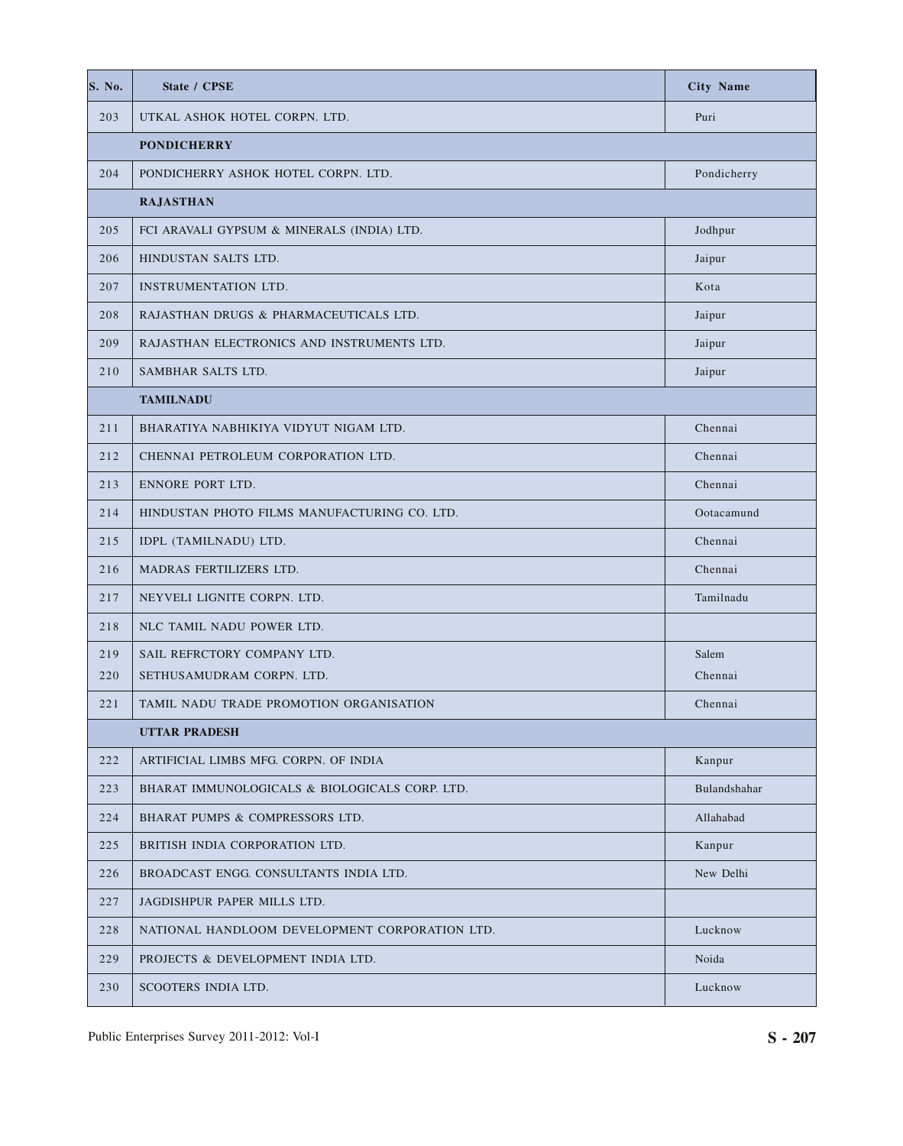| S. No. | <b>State / CPSE</b>                            | <b>City Name</b> |
|--------|------------------------------------------------|------------------|
| 203    | UTKAL ASHOK HOTEL CORPN. LTD.                  | Puri             |
|        | <b>PONDICHERRY</b>                             |                  |
| 204    | PONDICHERRY ASHOK HOTEL CORPN. LTD.            | Pondicherry      |
|        | <b>RAJASTHAN</b>                               |                  |
| 205    | FCI ARAVALI GYPSUM & MINERALS (INDIA) LTD.     | Jodhpur          |
| 206    | HINDUSTAN SALTS LTD.                           | Jaipur           |
| 207    | INSTRUMENTATION LTD.                           | Kota             |
| 208    | RAJASTHAN DRUGS & PHARMACEUTICALS LTD.         | Jaipur           |
| 209    | RAJASTHAN ELECTRONICS AND INSTRUMENTS LTD.     | Jaipur           |
| 210    | SAMBHAR SALTS LTD.                             | Jaipur           |
|        | <b>TAMILNADU</b>                               |                  |
| 211    | BHARATIYA NABHIKIYA VIDYUT NIGAM LTD.          | Chennai          |
| 212    | CHENNAI PETROLEUM CORPORATION LTD.             | Chennai          |
| 213    | ENNORE PORT LTD.                               | Chennai          |
| 214    | HINDUSTAN PHOTO FILMS MANUFACTURING CO. LTD.   | Ootacamund       |
| 215    | IDPL (TAMILNADU) LTD.                          | Chennai          |
| 216    | MADRAS FERTILIZERS LTD.                        | Chennai          |
| 217    | NEYVELI LIGNITE CORPN. LTD.                    | Tamilnadu        |
| 218    | NLC TAMIL NADU POWER LTD.                      |                  |
| 219    | SAIL REFRCTORY COMPANY LTD.                    | Salem            |
| 220    | SETHUSAMUDRAM CORPN. LTD.                      | Chennai          |
| 221    | TAMIL NADU TRADE PROMOTION ORGANISATION        | Chennai          |
|        | <b>UTTAR PRADESH</b>                           |                  |
| 222    | ARTIFICIAL LIMBS MFG. CORPN. OF INDIA          | Kanpur           |
| 223    | BHARAT IMMUNOLOGICALS & BIOLOGICALS CORP. LTD. | Bulandshahar     |
| 224    | BHARAT PUMPS & COMPRESSORS LTD.                | Allahabad        |
| 225    | BRITISH INDIA CORPORATION LTD.                 | Kanpur           |
| 226    | BROADCAST ENGG. CONSULTANTS INDIA LTD.         | New Delhi        |
| 227    | JAGDISHPUR PAPER MILLS LTD.                    |                  |
| 228    | NATIONAL HANDLOOM DEVELOPMENT CORPORATION LTD. | Lucknow          |
| 229    | PROJECTS & DEVELOPMENT INDIA LTD.              | Noida            |
| 230    | SCOOTERS INDIA LTD.                            | Lucknow          |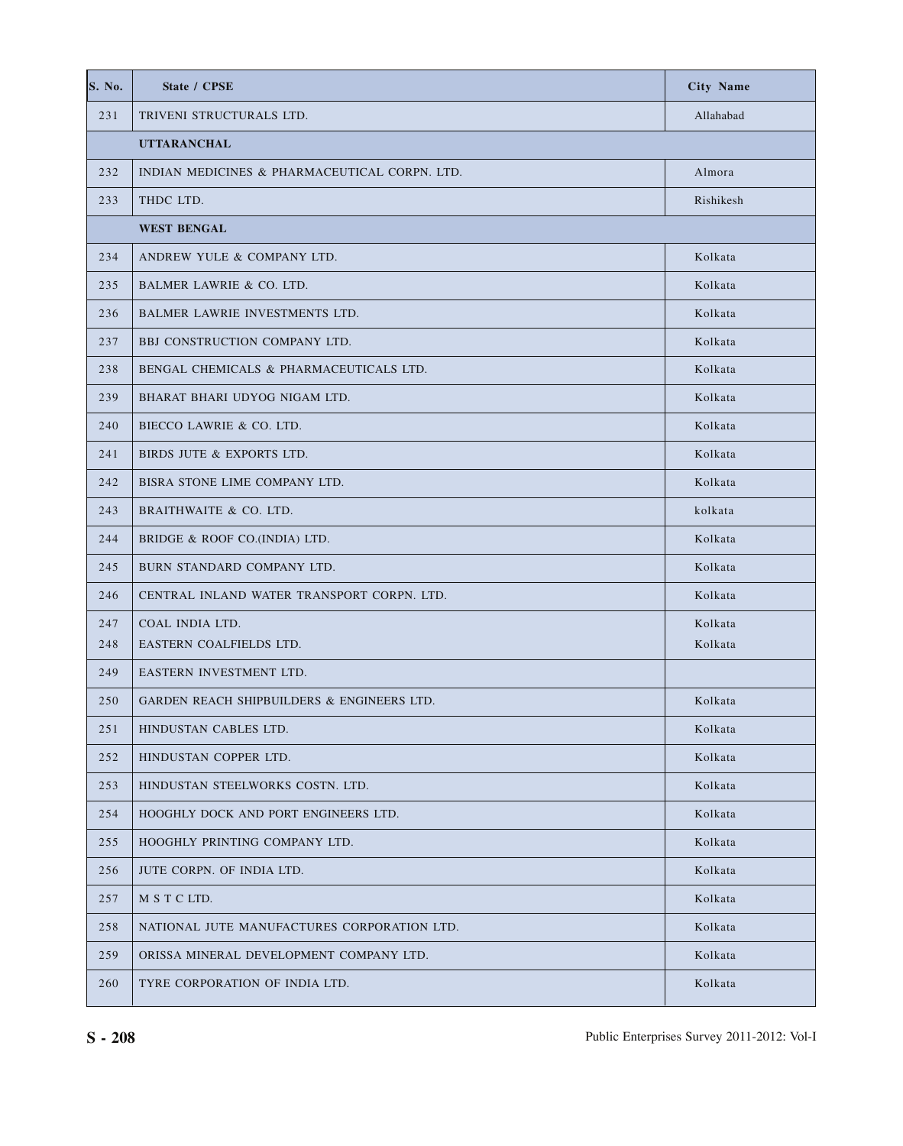| S. No. | State / CPSE                                          | <b>City Name</b> |
|--------|-------------------------------------------------------|------------------|
| 231    | TRIVENI STRUCTURALS LTD.                              | Allahabad        |
|        | <b>UTTARANCHAL</b>                                    |                  |
| 232    | INDIAN MEDICINES & PHARMACEUTICAL CORPN. LTD.         | Almora           |
| 233    | THDC LTD.                                             | Rishikesh        |
|        | <b>WEST BENGAL</b>                                    |                  |
| 234    | ANDREW YULE & COMPANY LTD.                            | Kolkata          |
| 235    | BALMER LAWRIE & CO. LTD.                              | Kolkata          |
| 236    | BALMER LAWRIE INVESTMENTS LTD.                        | Kolkata          |
| 237    | BBJ CONSTRUCTION COMPANY LTD.                         | Kolkata          |
| 238    | BENGAL CHEMICALS & PHARMACEUTICALS LTD.               | Kolkata          |
| 239    | BHARAT BHARI UDYOG NIGAM LTD.                         | Kolkata          |
| 240    | BIECCO LAWRIE & CO. LTD.                              | Kolkata          |
| 241    | BIRDS JUTE & EXPORTS LTD.                             | Kolkata          |
| 242    | BISRA STONE LIME COMPANY LTD.                         | Kolkata          |
| 243    | BRAITHWAITE & CO. LTD.                                | kolkata          |
| 244    | BRIDGE & ROOF CO.(INDIA) LTD.                         | Kolkata          |
| 245    | BURN STANDARD COMPANY LTD.                            | Kolkata          |
| 246    | CENTRAL INLAND WATER TRANSPORT CORPN. LTD.            | Kolkata          |
| 247    | COAL INDIA LTD.                                       | Kolkata          |
| 248    | EASTERN COALFIELDS LTD.                               | Kolkata          |
| 249    | EASTERN INVESTMENT LTD.                               |                  |
| 250    | <b>GARDEN REACH SHIPBUILDERS &amp; ENGINEERS LTD.</b> | Kolkata          |
| 251    | HINDUSTAN CABLES LTD.                                 | Kolkata          |
| 252    | HINDUSTAN COPPER LTD.                                 | Kolkata          |
| 253    | HINDUSTAN STEELWORKS COSTN. LTD.                      | Kolkata          |
| 254    | HOOGHLY DOCK AND PORT ENGINEERS LTD.                  | Kolkata          |
| 255    | HOOGHLY PRINTING COMPANY LTD.                         | Kolkata          |
| 256    | JUTE CORPN. OF INDIA LTD.                             | Kolkata          |
| 257    | M S T C LTD.                                          | Kolkata          |
| 258    | NATIONAL JUTE MANUFACTURES CORPORATION LTD.           | Kolkata          |
| 259    | ORISSA MINERAL DEVELOPMENT COMPANY LTD.               | Kolkata          |
| 260    | TYRE CORPORATION OF INDIA LTD.                        | Kolkata          |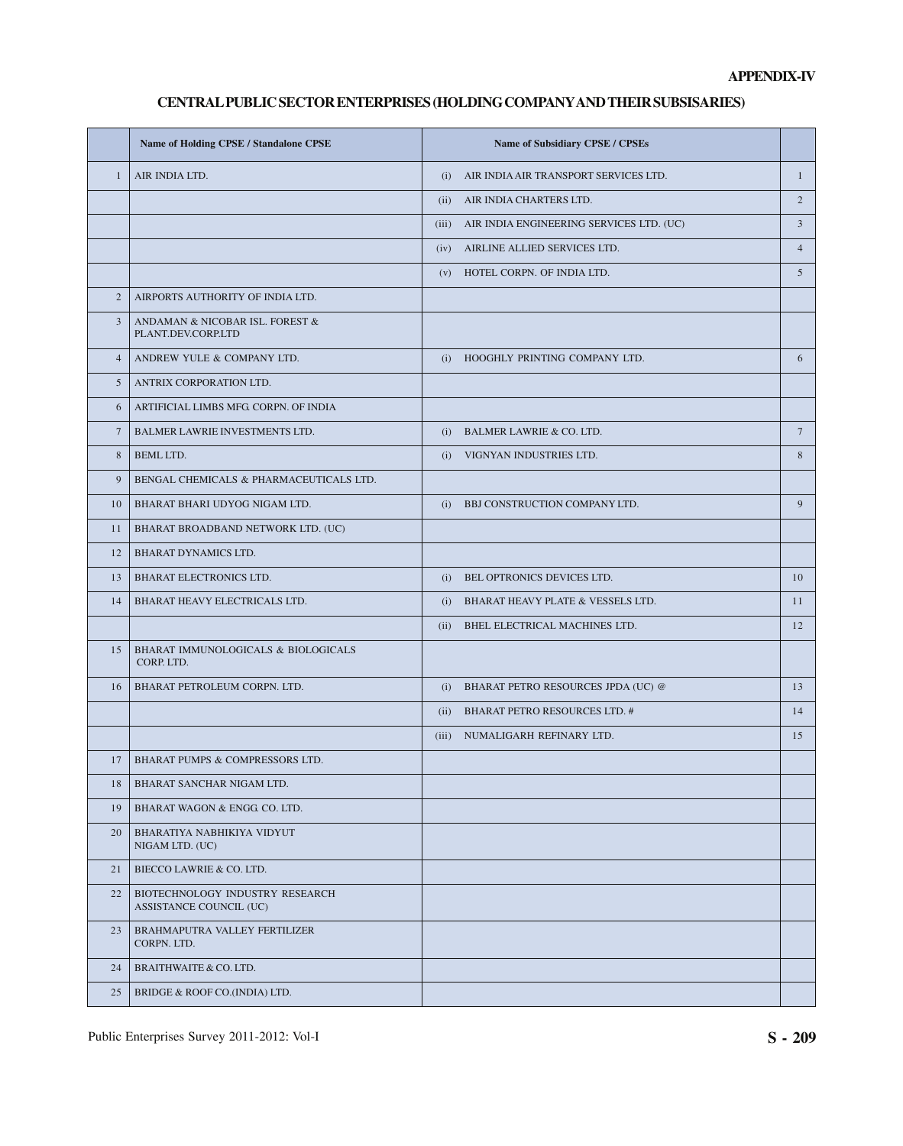# **CENTRAL PUBLIC SECTOR ENTERPRISES (HOLDING COMPANY AND THEIR SUBSISARIES)**

|                 | Name of Holding CPSE / Standalone CPSE                     | Name of Subsidiary CPSE / CPSEs                |                 |
|-----------------|------------------------------------------------------------|------------------------------------------------|-----------------|
| $\mathbf{1}$    | AIR INDIA LTD.                                             | AIR INDIA AIR TRANSPORT SERVICES LTD.<br>(i)   | $\mathbf{1}$    |
|                 |                                                            | (ii) AIR INDIA CHARTERS LTD.                   | $\sqrt{2}$      |
|                 |                                                            | (iii) AIR INDIA ENGINEERING SERVICES LTD. (UC) | 3               |
|                 |                                                            | AIRLINE ALLIED SERVICES LTD.<br>(iv)           | $\overline{4}$  |
|                 |                                                            | HOTEL CORPN. OF INDIA LTD.<br>(v)              | 5               |
| $\overline{2}$  | AIRPORTS AUTHORITY OF INDIA LTD.                           |                                                |                 |
| 3               | ANDAMAN & NICOBAR ISL. FOREST &<br>PLANT.DEV.CORP.LTD      |                                                |                 |
| $\overline{4}$  | ANDREW YULE & COMPANY LTD.                                 | HOOGHLY PRINTING COMPANY LTD.<br>(i)           | 6               |
| 5               | ANTRIX CORPORATION LTD.                                    |                                                |                 |
| 6               | ARTIFICIAL LIMBS MFG CORPN. OF INDIA                       |                                                |                 |
| $7\phantom{.0}$ | BALMER LAWRIE INVESTMENTS LTD.                             | (i) BALMER LAWRIE & CO. LTD.                   | $7\overline{ }$ |
| 8               | <b>BEML LTD.</b>                                           | VIGNYAN INDUSTRIES LTD.<br>(i)                 | 8               |
| 9               | BENGAL CHEMICALS & PHARMACEUTICALS LTD.                    |                                                |                 |
| 10              | BHARAT BHARI UDYOG NIGAM LTD.                              | BBJ CONSTRUCTION COMPANY LTD.<br>(i)           | 9               |
| 11              | BHARAT BROADBAND NETWORK LTD. (UC)                         |                                                |                 |
| 12              | <b>BHARAT DYNAMICS LTD.</b>                                |                                                |                 |
| 13              | BHARAT ELECTRONICS LTD.                                    | BEL OPTRONICS DEVICES LTD.<br>(i)              | 10              |
| 14              | BHARAT HEAVY ELECTRICALS LTD.                              | BHARAT HEAVY PLATE & VESSELS LTD.<br>(i)       | 11              |
|                 |                                                            | (ii) BHEL ELECTRICAL MACHINES LTD.             | 12              |
| 15              | BHARAT IMMUNOLOGICALS & BIOLOGICALS<br>CORP. LTD.          |                                                |                 |
| 16              | BHARAT PETROLEUM CORPN. LTD.                               | (i) BHARAT PETRO RESOURCES JPDA (UC) @         | 13              |
|                 |                                                            | (ii) BHARAT PETRO RESOURCES LTD. #             | 14              |
|                 |                                                            | NUMALIGARH REFINARY LTD.<br>(iii)              | 15              |
| 17              | BHARAT PUMPS & COMPRESSORS LTD.                            |                                                |                 |
| 18              | BHARAT SANCHAR NIGAM LTD.                                  |                                                |                 |
| 19              | BHARAT WAGON & ENGG CO. LTD.                               |                                                |                 |
| 20              | BHARATIYA NABHIKIYA VIDYUT<br>NIGAM LTD. (UC)              |                                                |                 |
| 21              | BIECCO LAWRIE & CO. LTD.                                   |                                                |                 |
| 22              | BIOTECHNOLOGY INDUSTRY RESEARCH<br>ASSISTANCE COUNCIL (UC) |                                                |                 |
| 23              | BRAHMAPUTRA VALLEY FERTILIZER<br>CORPN. LTD.               |                                                |                 |
| 24              | BRAITHWAITE & CO. LTD.                                     |                                                |                 |
| 25              | BRIDGE & ROOF CO.(INDIA) LTD.                              |                                                |                 |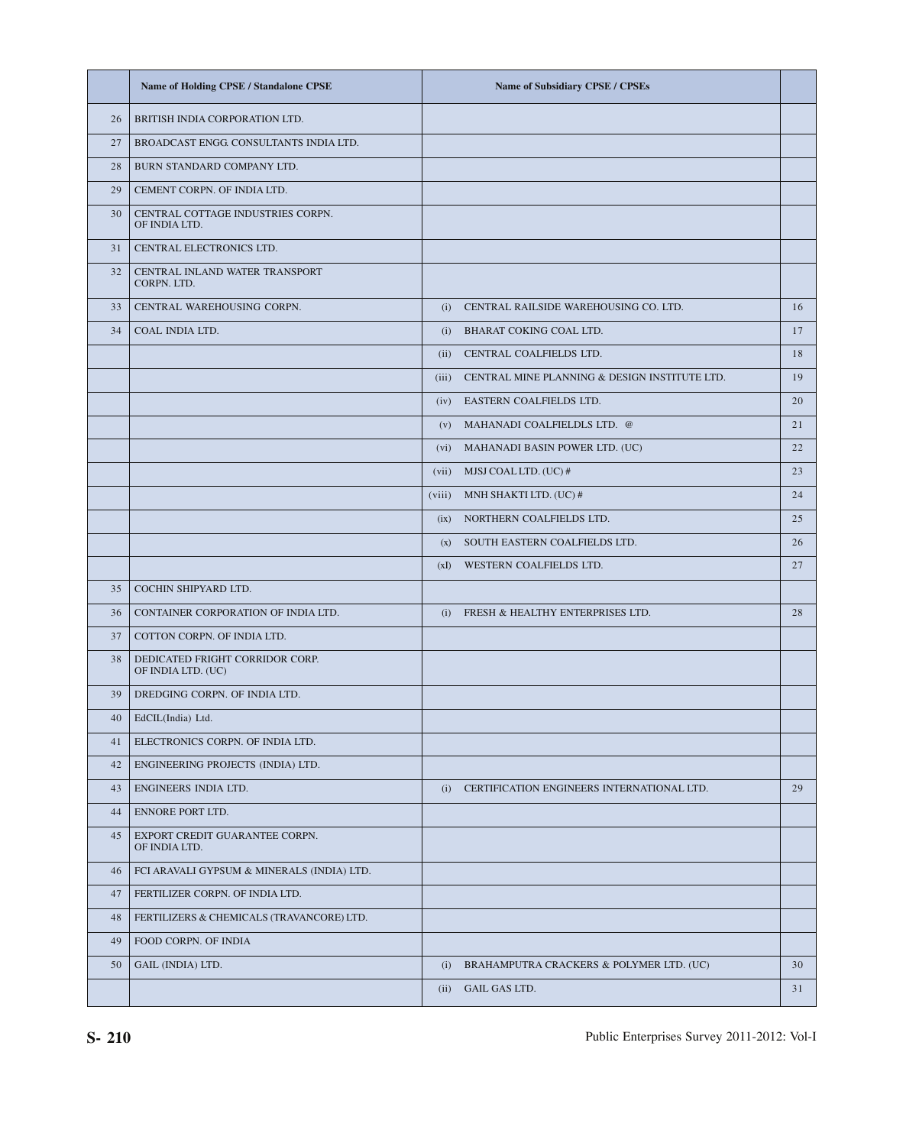|    | <b>Name of Holding CPSE / Standalone CPSE</b>         | <b>Name of Subsidiary CPSE / CPSEs</b>              |    |
|----|-------------------------------------------------------|-----------------------------------------------------|----|
| 26 | BRITISH INDIA CORPORATION LTD.                        |                                                     |    |
| 27 | BROADCAST ENGG CONSULTANTS INDIA LTD.                 |                                                     |    |
| 28 | BURN STANDARD COMPANY LTD.                            |                                                     |    |
| 29 | CEMENT CORPN. OF INDIA LTD.                           |                                                     |    |
| 30 | CENTRAL COTTAGE INDUSTRIES CORPN.<br>OF INDIA LTD.    |                                                     |    |
| 31 | CENTRAL ELECTRONICS LTD.                              |                                                     |    |
| 32 | CENTRAL INLAND WATER TRANSPORT<br>CORPN. LTD.         |                                                     |    |
| 33 | CENTRAL WAREHOUSING CORPN.                            | (i) CENTRAL RAILSIDE WAREHOUSING CO. LTD.           | 16 |
| 34 | COAL INDIA LTD.                                       | BHARAT COKING COAL LTD.<br>(i)                      | 17 |
|    |                                                       | (ii) CENTRAL COALFIELDS LTD.                        | 18 |
|    |                                                       | (iii) CENTRAL MINE PLANNING & DESIGN INSTITUTE LTD. | 19 |
|    |                                                       | (iv) EASTERN COALFIELDS LTD.                        | 20 |
|    |                                                       | MAHANADI COALFIELDLS LTD. @<br>(V)                  | 21 |
|    |                                                       | MAHANADI BASIN POWER LTD. (UC)<br>(vi)              | 22 |
|    |                                                       | $(vii)$ MJSJ COAL LTD. $(UC)$ #                     | 23 |
|    |                                                       | (viii) MNH SHAKTI LTD. (UC) #                       | 24 |
|    |                                                       | (ix) NORTHERN COALFIELDS LTD.                       | 25 |
|    |                                                       | SOUTH EASTERN COALFIELDS LTD.<br>(X)                | 26 |
|    |                                                       | WESTERN COALFIELDS LTD.<br>(xI)                     | 27 |
| 35 | COCHIN SHIPYARD LTD.                                  |                                                     |    |
| 36 | CONTAINER CORPORATION OF INDIA LTD.                   | FRESH & HEALTHY ENTERPRISES LTD.<br>(i)             | 28 |
| 37 | COTTON CORPN. OF INDIA LTD.                           |                                                     |    |
| 38 | DEDICATED FRIGHT CORRIDOR CORP.<br>OF INDIA LTD. (UC) |                                                     |    |
| 39 | DREDGING CORPN. OF INDIA LTD.                         |                                                     |    |
| 40 | EdCIL(India) Ltd.                                     |                                                     |    |
| 41 | ELECTRONICS CORPN. OF INDIA LTD.                      |                                                     |    |
| 42 | ENGINEERING PROJECTS (INDIA) LTD.                     |                                                     |    |
| 43 | ENGINEERS INDIA LTD.                                  | (i) CERTIFICATION ENGINEERS INTERNATIONAL LTD.      | 29 |
| 44 | ENNORE PORT LTD.                                      |                                                     |    |
| 45 | EXPORT CREDIT GUARANTEE CORPN.<br>OF INDIA LTD.       |                                                     |    |
| 46 | FCI ARAVALI GYPSUM & MINERALS (INDIA) LTD.            |                                                     |    |
| 47 | FERTILIZER CORPN. OF INDIA LTD.                       |                                                     |    |
| 48 | FERTILIZERS & CHEMICALS (TRAVANCORE) LTD.             |                                                     |    |
| 49 | FOOD CORPN. OF INDIA                                  |                                                     |    |
| 50 | GAIL (INDIA) LTD.                                     | (i) BRAHAMPUTRA CRACKERS & POLYMER LTD. (UC)        | 30 |
|    |                                                       | GAIL GAS LTD.<br>(ii)                               | 31 |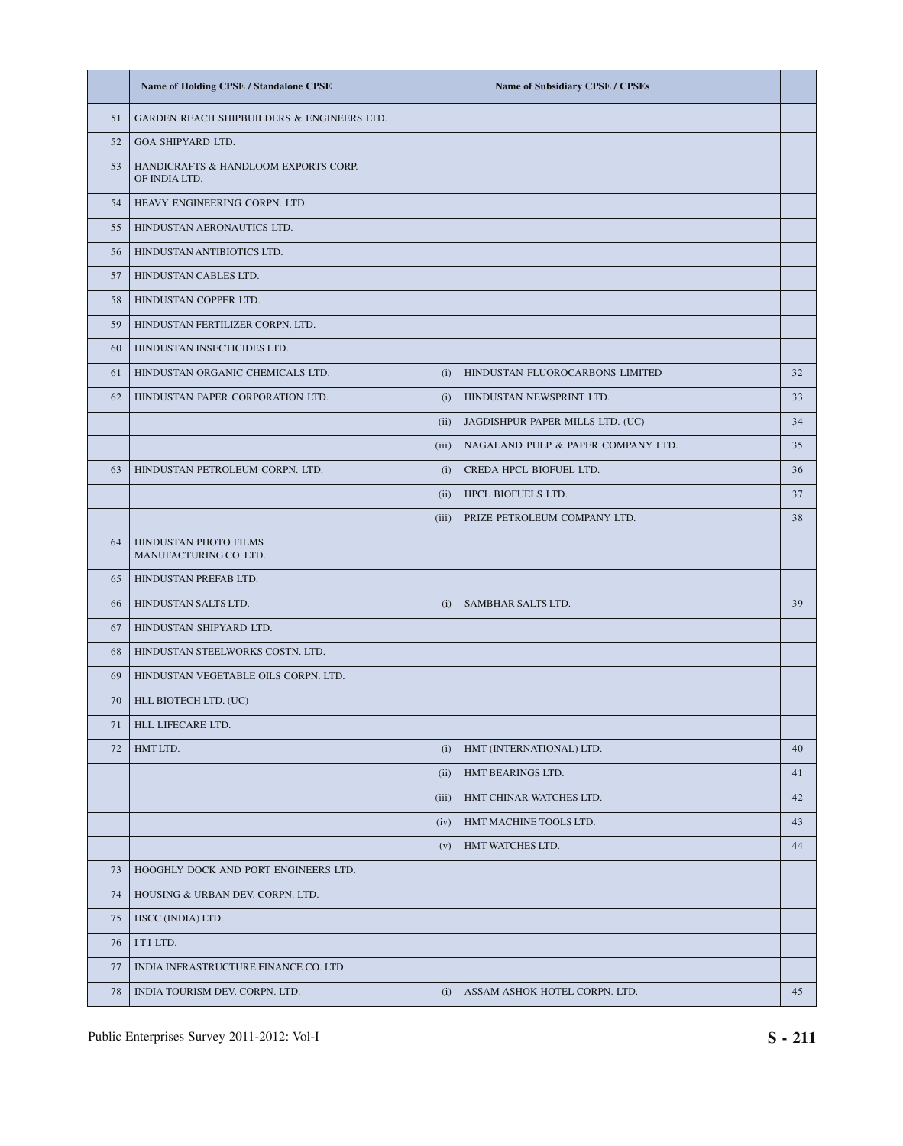|    | Name of Holding CPSE / Standalone CPSE                | <b>Name of Subsidiary CPSE / CPSEs</b>   |    |
|----|-------------------------------------------------------|------------------------------------------|----|
| 51 | GARDEN REACH SHIPBUILDERS & ENGINEERS LTD.            |                                          |    |
| 52 | GOA SHIPYARD LTD.                                     |                                          |    |
| 53 | HANDICRAFTS & HANDLOOM EXPORTS CORP.<br>OF INDIA LTD. |                                          |    |
| 54 | HEAVY ENGINEERING CORPN. LTD.                         |                                          |    |
| 55 | HINDUSTAN AERONAUTICS LTD.                            |                                          |    |
| 56 | HINDUSTAN ANTIBIOTICS LTD.                            |                                          |    |
| 57 | HINDUSTAN CABLES LTD.                                 |                                          |    |
| 58 | HINDUSTAN COPPER LTD.                                 |                                          |    |
| 59 | HINDUSTAN FERTILIZER CORPN. LTD.                      |                                          |    |
| 60 | HINDUSTAN INSECTICIDES LTD.                           |                                          |    |
| 61 | HINDUSTAN ORGANIC CHEMICALS LTD.                      | (i)<br>HINDUSTAN FLUOROCARBONS LIMITED   | 32 |
| 62 | HINDUSTAN PAPER CORPORATION LTD.                      | (i) HINDUSTAN NEWSPRINT LTD.             | 33 |
|    |                                                       | (ii) JAGDISHPUR PAPER MILLS LTD. (UC)    | 34 |
|    |                                                       | (iii) NAGALAND PULP & PAPER COMPANY LTD. | 35 |
| 63 | HINDUSTAN PETROLEUM CORPN. LTD.                       | (i) CREDA HPCL BIOFUEL LTD.              | 36 |
|    |                                                       | HPCL BIOFUELS LTD.<br>(ii)               | 37 |
|    |                                                       | (iii)<br>PRIZE PETROLEUM COMPANY LTD.    | 38 |
| 64 | HINDUSTAN PHOTO FILMS<br>MANUFACTURING CO. LTD.       |                                          |    |
| 65 | HINDUSTAN PREFAB LTD.                                 |                                          |    |
| 66 | HINDUSTAN SALTS LTD.                                  | SAMBHAR SALTS LTD.<br>(i)                | 39 |
| 67 | HINDUSTAN SHIPYARD LTD.                               |                                          |    |
| 68 | HINDUSTAN STEELWORKS COSTN. LTD.                      |                                          |    |
| 69 | HINDUSTAN VEGETABLE OILS CORPN. LTD.                  |                                          |    |
| 70 | HLL BIOTECH LTD. (UC)                                 |                                          |    |
| 71 | HLL LIFECARE LTD.                                     |                                          |    |
| 72 | HMT LTD.                                              | HMT (INTERNATIONAL) LTD.<br>(i)          | 40 |
|    |                                                       | HMT BEARINGS LTD.<br>(ii)                | 41 |
|    |                                                       | HMT CHINAR WATCHES LTD.<br>(iii)         | 42 |
|    |                                                       | HMT MACHINE TOOLS LTD.<br>(iv)           | 43 |
|    |                                                       | HMT WATCHES LTD.<br>(v)                  | 44 |
| 73 | HOOGHLY DOCK AND PORT ENGINEERS LTD.                  |                                          |    |
| 74 | HOUSING & URBAN DEV. CORPN. LTD.                      |                                          |    |
| 75 | HSCC (INDIA) LTD.                                     |                                          |    |
| 76 | ITI LTD.                                              |                                          |    |
| 77 | INDIA INFRASTRUCTURE FINANCE CO. LTD.                 |                                          |    |
| 78 | INDIA TOURISM DEV. CORPN. LTD.                        | ASSAM ASHOK HOTEL CORPN. LTD.<br>(i)     | 45 |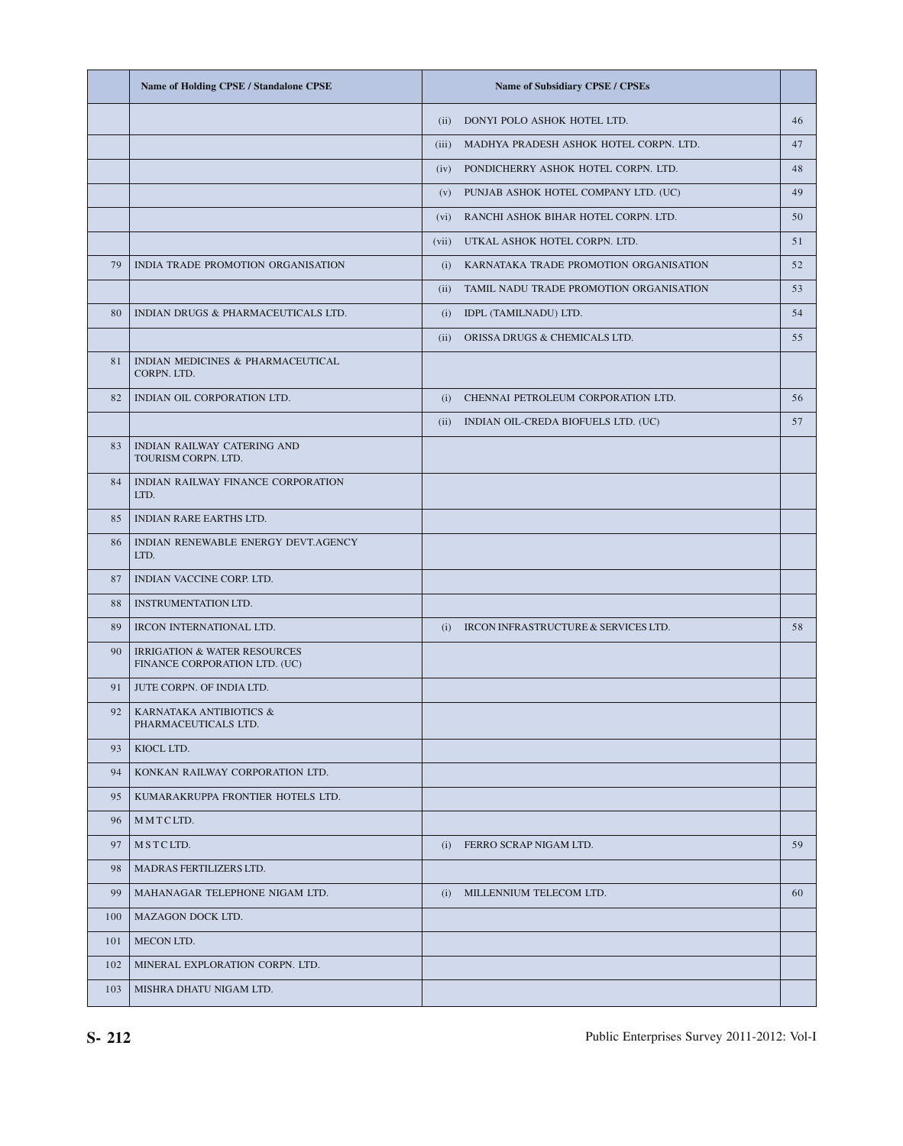|     | <b>Name of Holding CPSE / Standalone CPSE</b>                            |       | <b>Name of Subsidiary CPSE / CPSEs</b>       |    |
|-----|--------------------------------------------------------------------------|-------|----------------------------------------------|----|
|     |                                                                          | (ii)  | DONYI POLO ASHOK HOTEL LTD.                  | 46 |
|     |                                                                          |       | (iii) MADHYA PRADESH ASHOK HOTEL CORPN. LTD. | 47 |
|     |                                                                          |       | (iv) PONDICHERRY ASHOK HOTEL CORPN. LTD.     | 48 |
|     |                                                                          |       | (v) PUNJAB ASHOK HOTEL COMPANY LTD. (UC)     | 49 |
|     |                                                                          |       | (vi) RANCHI ASHOK BIHAR HOTEL CORPN. LTD.    | 50 |
|     |                                                                          | (vii) | UTKAL ASHOK HOTEL CORPN. LTD.                | 51 |
| 79  | INDIA TRADE PROMOTION ORGANISATION                                       |       | (i) KARNATAKA TRADE PROMOTION ORGANISATION   | 52 |
|     |                                                                          |       | (ii) TAMIL NADU TRADE PROMOTION ORGANISATION | 53 |
| 80  | INDIAN DRUGS & PHARMACEUTICALS LTD.                                      |       | (i) IDPL (TAMILNADU) LTD.                    | 54 |
|     |                                                                          |       | (ii) ORISSA DRUGS & CHEMICALS LTD.           | 55 |
| 81  | INDIAN MEDICINES & PHARMACEUTICAL<br>CORPN. LTD.                         |       |                                              |    |
| 82  | INDIAN OIL CORPORATION LTD.                                              |       | (i) CHENNAI PETROLEUM CORPORATION LTD.       | 56 |
|     |                                                                          |       | (ii) INDIAN OIL-CREDA BIOFUELS LTD. (UC)     | 57 |
| 83  | INDIAN RAILWAY CATERING AND<br>TOURISM CORPN. LTD.                       |       |                                              |    |
| 84  | INDIAN RAILWAY FINANCE CORPORATION<br>LTD.                               |       |                                              |    |
| 85  | INDIAN RARE EARTHS LTD.                                                  |       |                                              |    |
| 86  | INDIAN RENEWABLE ENERGY DEVT.AGENCY<br>LTD.                              |       |                                              |    |
| 87  | INDIAN VACCINE CORP. LTD.                                                |       |                                              |    |
| 88  | <b>INSTRUMENTATION LTD.</b>                                              |       |                                              |    |
| 89  | IRCON INTERNATIONAL LTD.                                                 | (i)   | IRCON INFRASTRUCTURE & SERVICES LTD.         | 58 |
| 90  | <b>IRRIGATION &amp; WATER RESOURCES</b><br>FINANCE CORPORATION LTD. (UC) |       |                                              |    |
| 91  | JUTE CORPN. OF INDIA LTD.                                                |       |                                              |    |
| 92  | KARNATAKA ANTIBIOTICS &<br>PHARMACEUTICALS LTD.                          |       |                                              |    |
| 93  | KIOCL LTD.                                                               |       |                                              |    |
| 94  | KONKAN RAILWAY CORPORATION LTD.                                          |       |                                              |    |
| 95  | KUMARAKRUPPA FRONTIER HOTELS LTD.                                        |       |                                              |    |
| 96  | MMTCLTD.                                                                 |       |                                              |    |
| 97  | MSTCLTD.                                                                 | (i)   | FERRO SCRAP NIGAM LTD.                       | 59 |
| 98  | MADRAS FERTILIZERS LTD.                                                  |       |                                              |    |
| 99  | MAHANAGAR TELEPHONE NIGAM LTD.                                           | (i)   | MILLENNIUM TELECOM LTD.                      | 60 |
| 100 | MAZAGON DOCK LTD.                                                        |       |                                              |    |
| 101 | MECON LTD.                                                               |       |                                              |    |
| 102 | MINERAL EXPLORATION CORPN. LTD.                                          |       |                                              |    |
| 103 | MISHRA DHATU NIGAM LTD.                                                  |       |                                              |    |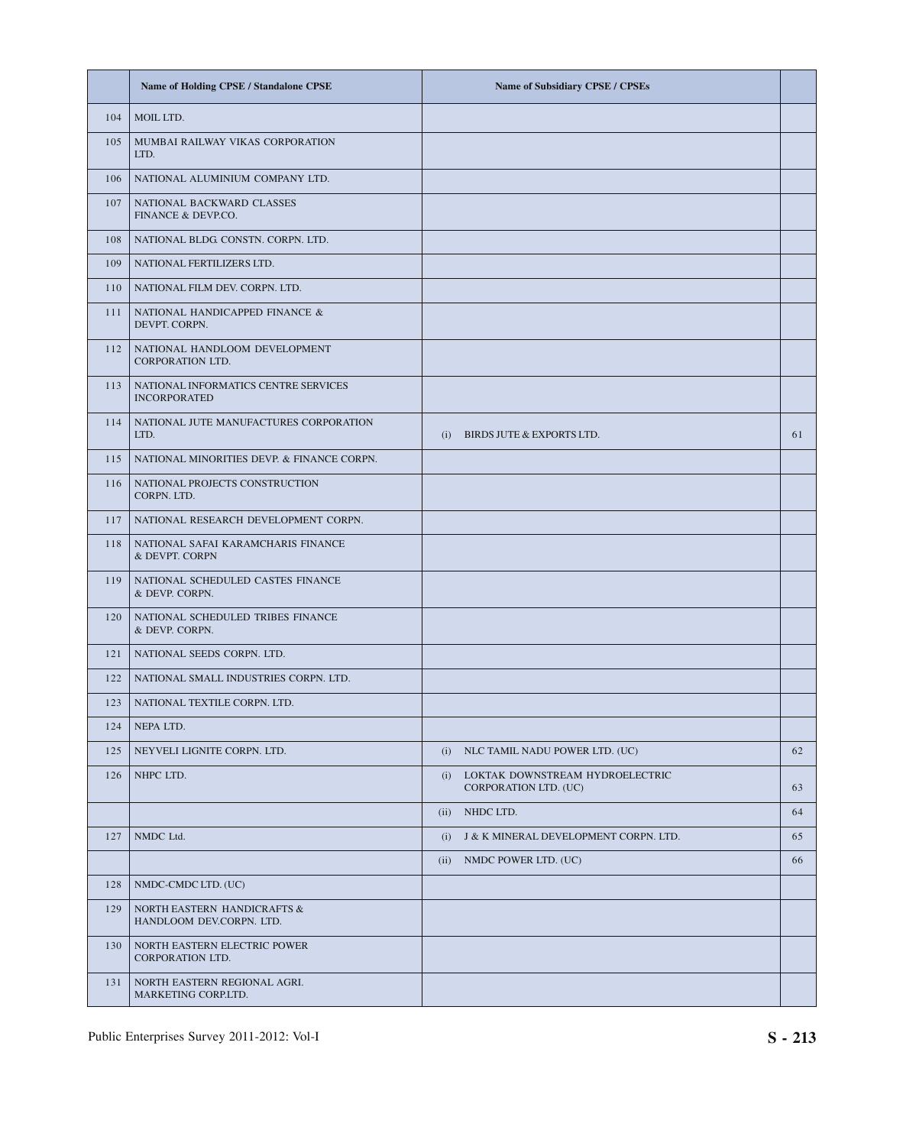|     | Name of Holding CPSE / Standalone CPSE                      | Name of Subsidiary CPSE / CPSEs                              |    |
|-----|-------------------------------------------------------------|--------------------------------------------------------------|----|
| 104 | MOIL LTD.                                                   |                                                              |    |
| 105 | MUMBAI RAILWAY VIKAS CORPORATION<br>LTD.                    |                                                              |    |
| 106 | NATIONAL ALUMINIUM COMPANY LTD.                             |                                                              |    |
| 107 | NATIONAL BACKWARD CLASSES<br>FINANCE & DEVP.CO.             |                                                              |    |
| 108 | NATIONAL BLDG CONSTN. CORPN. LTD.                           |                                                              |    |
| 109 | NATIONAL FERTILIZERS LTD.                                   |                                                              |    |
| 110 | NATIONAL FILM DEV. CORPN. LTD.                              |                                                              |    |
| 111 | NATIONAL HANDICAPPED FINANCE &<br>DEVPT. CORPN.             |                                                              |    |
| 112 | NATIONAL HANDLOOM DEVELOPMENT<br><b>CORPORATION LTD.</b>    |                                                              |    |
| 113 | NATIONAL INFORMATICS CENTRE SERVICES<br><b>INCORPORATED</b> |                                                              |    |
| 114 | NATIONAL JUTE MANUFACTURES CORPORATION<br>LTD.              | BIRDS JUTE & EXPORTS LTD.<br>(i)                             | 61 |
| 115 | NATIONAL MINORITIES DEVP. & FINANCE CORPN.                  |                                                              |    |
| 116 | NATIONAL PROJECTS CONSTRUCTION<br>CORPN. LTD.               |                                                              |    |
| 117 | NATIONAL RESEARCH DEVELOPMENT CORPN.                        |                                                              |    |
| 118 | NATIONAL SAFAI KARAMCHARIS FINANCE<br>& DEVPT. CORPN        |                                                              |    |
| 119 | NATIONAL SCHEDULED CASTES FINANCE<br>& DEVP. CORPN.         |                                                              |    |
| 120 | NATIONAL SCHEDULED TRIBES FINANCE<br>& DEVP. CORPN.         |                                                              |    |
| 121 | NATIONAL SEEDS CORPN. LTD.                                  |                                                              |    |
| 122 | NATIONAL SMALL INDUSTRIES CORPN. LTD.                       |                                                              |    |
| 123 | NATIONAL TEXTILE CORPN. LTD.                                |                                                              |    |
| 124 | NEPA LTD.                                                   |                                                              |    |
| 125 | NEYVELI LIGNITE CORPN. LTD.                                 | (i) NLC TAMIL NADU POWER LTD. (UC)                           | 62 |
| 126 | NHPC LTD.                                                   | (i) LOKTAK DOWNSTREAM HYDROELECTRIC<br>CORPORATION LTD. (UC) | 63 |
|     |                                                             | (ii) NHDC LTD.                                               | 64 |
| 127 | NMDC Ltd.                                                   | (i) J & K MINERAL DEVELOPMENT CORPN. LTD.                    | 65 |
|     |                                                             | (ii) NMDC POWER LTD. (UC)                                    | 66 |
| 128 | NMDC-CMDC LTD. (UC)                                         |                                                              |    |
| 129 | NORTH EASTERN HANDICRAFTS &<br>HANDLOOM DEV.CORPN. LTD.     |                                                              |    |
| 130 | NORTH EASTERN ELECTRIC POWER<br>CORPORATION LTD.            |                                                              |    |
| 131 | NORTH EASTERN REGIONAL AGRI.<br>MARKETING CORP.LTD.         |                                                              |    |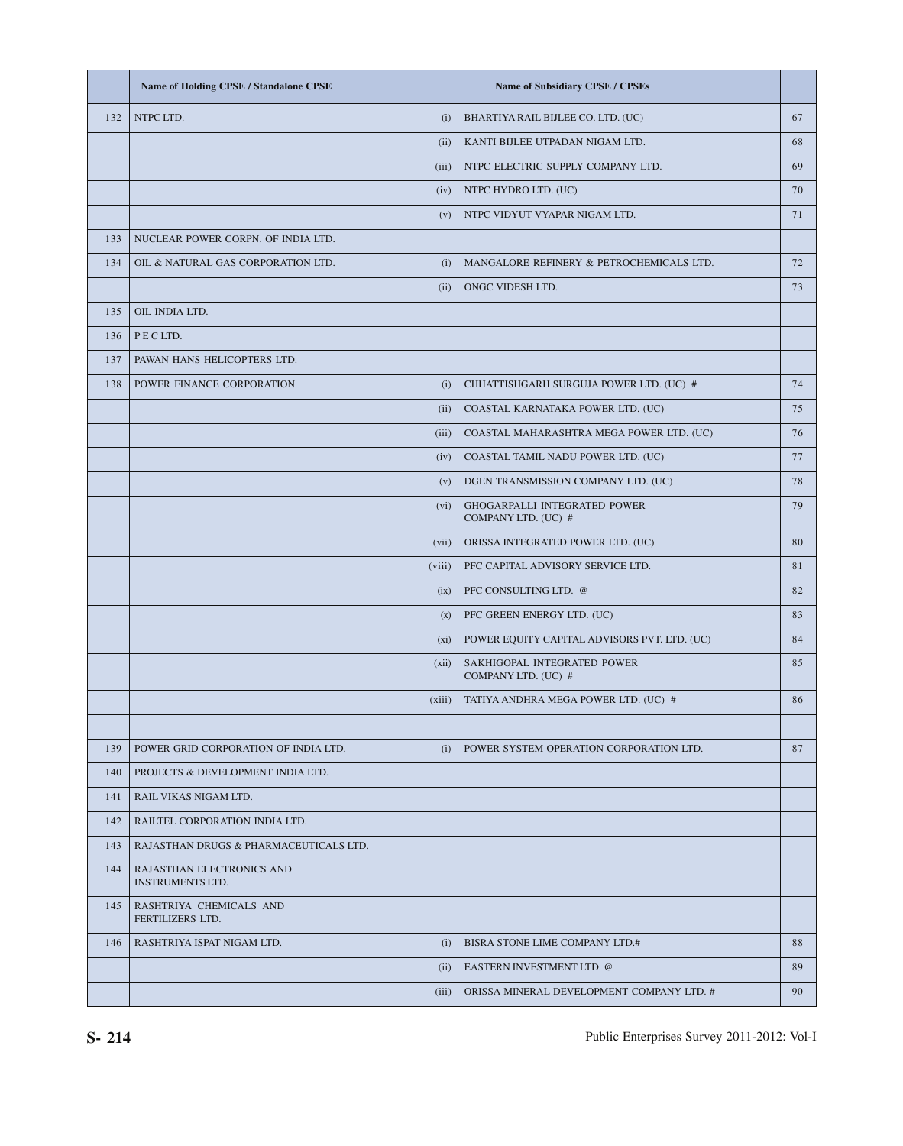|     | <b>Name of Holding CPSE / Standalone CPSE</b>        |        | <b>Name of Subsidiary CPSE / CPSEs</b>              |    |
|-----|------------------------------------------------------|--------|-----------------------------------------------------|----|
| 132 | NTPC LTD.                                            | (i)    | BHARTIYA RAIL BIJLEE CO. LTD. (UC)                  | 67 |
|     |                                                      | (ii)   | KANTI BIJLEE UTPADAN NIGAM LTD.                     | 68 |
|     |                                                      |        | (iii) NTPC ELECTRIC SUPPLY COMPANY LTD.             | 69 |
|     |                                                      | (iv)   | NTPC HYDRO LTD. (UC)                                | 70 |
|     |                                                      | (v)    | NTPC VIDYUT VYAPAR NIGAM LTD.                       | 71 |
| 133 | NUCLEAR POWER CORPN. OF INDIA LTD.                   |        |                                                     |    |
| 134 | OIL & NATURAL GAS CORPORATION LTD.                   | (i)    | MANGALORE REFINERY & PETROCHEMICALS LTD.            | 72 |
|     |                                                      |        | (ii) ONGC VIDESH LTD.                               | 73 |
| 135 | OIL INDIA LTD.                                       |        |                                                     |    |
| 136 | PECLTD.                                              |        |                                                     |    |
| 137 | PAWAN HANS HELICOPTERS LTD.                          |        |                                                     |    |
| 138 | POWER FINANCE CORPORATION                            | (i)    | CHHATTISHGARH SURGUJA POWER LTD. (UC) #             | 74 |
|     |                                                      |        | (ii) COASTAL KARNATAKA POWER LTD. (UC)              | 75 |
|     |                                                      |        | (iii) COASTAL MAHARASHTRA MEGA POWER LTD. (UC)      | 76 |
|     |                                                      | (iv)   | COASTAL TAMIL NADU POWER LTD. (UC)                  | 77 |
|     |                                                      | (v)    | DGEN TRANSMISSION COMPANY LTD. (UC)                 | 78 |
|     |                                                      | (vi)   | GHOGARPALLI INTEGRATED POWER<br>COMPANY LTD. (UC) # | 79 |
|     |                                                      | (vii)  | ORISSA INTEGRATED POWER LTD. (UC)                   | 80 |
|     |                                                      | (viii) | PFC CAPITAL ADVISORY SERVICE LTD.                   | 81 |
|     |                                                      | (ix)   | PFC CONSULTING LTD. @                               | 82 |
|     |                                                      | (x)    | PFC GREEN ENERGY LTD. (UC)                          | 83 |
|     |                                                      | (xi)   | POWER EQUITY CAPITAL ADVISORS PVT. LTD. (UC)        | 84 |
|     |                                                      | (xii)  | SAKHIGOPAL INTEGRATED POWER<br>COMPANY LTD. (UC) #  | 85 |
|     |                                                      |        | (xiii) TATIYA ANDHRA MEGA POWER LTD. (UC) #         | 86 |
|     |                                                      |        |                                                     |    |
| 139 | POWER GRID CORPORATION OF INDIA LTD.                 | (i)    | POWER SYSTEM OPERATION CORPORATION LTD.             | 87 |
| 140 | PROJECTS & DEVELOPMENT INDIA LTD.                    |        |                                                     |    |
| 141 | RAIL VIKAS NIGAM LTD.                                |        |                                                     |    |
| 142 | RAILTEL CORPORATION INDIA LTD.                       |        |                                                     |    |
| 143 | RAJASTHAN DRUGS & PHARMACEUTICALS LTD.               |        |                                                     |    |
| 144 | RAJASTHAN ELECTRONICS AND<br><b>INSTRUMENTS LTD.</b> |        |                                                     |    |
| 145 | RASHTRIYA CHEMICALS AND<br>FERTILIZERS LTD.          |        |                                                     |    |
| 146 | RASHTRIYA ISPAT NIGAM LTD.                           |        | (i) BISRA STONE LIME COMPANY LTD.#                  | 88 |
|     |                                                      |        | (ii) EASTERN INVESTMENT LTD. @                      | 89 |
|     |                                                      | (iii)  | ORISSA MINERAL DEVELOPMENT COMPANY LTD. #           | 90 |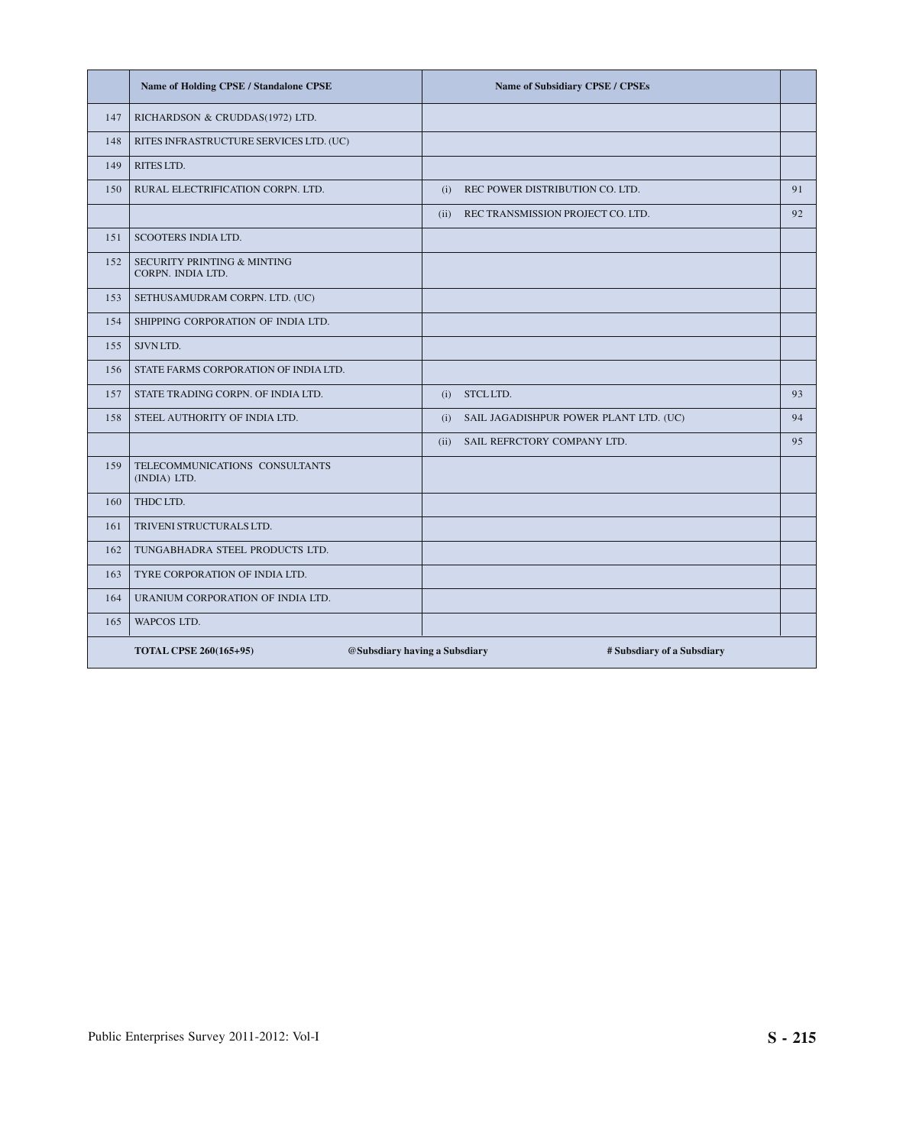|     | Name of Holding CPSE / Standalone CPSE                      | Name of Subsidiary CPSE / CPSEs                             |    |
|-----|-------------------------------------------------------------|-------------------------------------------------------------|----|
| 147 | RICHARDSON & CRUDDAS(1972) LTD.                             |                                                             |    |
| 148 | RITES INFRASTRUCTURE SERVICES LTD. (UC)                     |                                                             |    |
| 149 | RITES LTD.                                                  |                                                             |    |
| 150 | RURAL ELECTRIFICATION CORPN. LTD.                           | REC POWER DISTRIBUTION CO. LTD.<br>(i)                      | 91 |
|     |                                                             | (ii)<br>REC TRANSMISSION PROJECT CO. LTD.                   | 92 |
| 151 | SCOOTERS INDIA LTD.                                         |                                                             |    |
| 152 | <b>SECURITY PRINTING &amp; MINTING</b><br>CORPN. INDIA LTD. |                                                             |    |
| 153 | SETHUSAMUDRAM CORPN. LTD. (UC)                              |                                                             |    |
| 154 | SHIPPING CORPORATION OF INDIA LTD.                          |                                                             |    |
| 155 | SJVN LTD.                                                   |                                                             |    |
| 156 | STATE FARMS CORPORATION OF INDIA LTD.                       |                                                             |    |
| 157 | STATE TRADING CORPN. OF INDIA LTD.                          | STCL LTD.<br>(i)                                            | 93 |
| 158 | STEEL AUTHORITY OF INDIA LTD.                               | SAIL JAGADISHPUR POWER PLANT LTD. (UC)<br>(i)               | 94 |
|     |                                                             | SAIL REFRCTORY COMPANY LTD.<br>(ii)                         | 95 |
| 159 | TELECOMMUNICATIONS CONSULTANTS<br>(INDIA) LTD.              |                                                             |    |
| 160 | THDC LTD.                                                   |                                                             |    |
| 161 | TRIVENI STRUCTURALS LTD.                                    |                                                             |    |
| 162 | TUNGABHADRA STEEL PRODUCTS LTD.                             |                                                             |    |
| 163 | TYRE CORPORATION OF INDIA LTD.                              |                                                             |    |
| 164 | URANIUM CORPORATION OF INDIA LTD.                           |                                                             |    |
| 165 | WAPCOS LTD.                                                 |                                                             |    |
|     | <b>TOTAL CPSE 260(165+95)</b>                               | @Subsdiary having a Subsdiary<br># Subsdiary of a Subsdiary |    |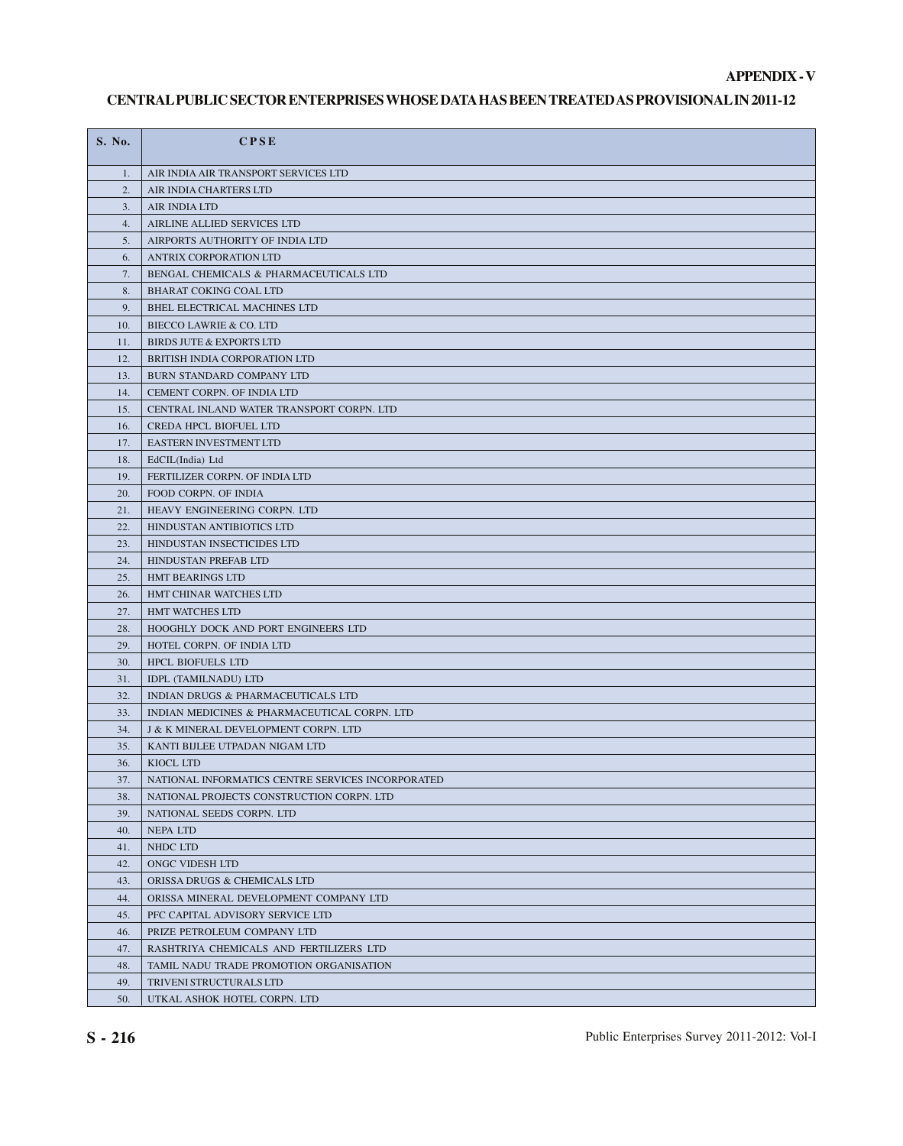#### **APPENDIX - V**

### **CENTRAL PUBLIC SECTOR ENTERPRISES WHOSE DATA HAS BEEN TREATED AS PROVISIONAL IN 2011-12**

| S. No.     | <b>CPSE</b>                                                                                    |
|------------|------------------------------------------------------------------------------------------------|
| 1.         | AIR INDIA AIR TRANSPORT SERVICES LTD                                                           |
| 2.         | AIR INDIA CHARTERS LTD                                                                         |
| 3.         | AIR INDIA LTD                                                                                  |
| 4.         | AIRLINE ALLIED SERVICES LTD                                                                    |
| 5.         | AIRPORTS AUTHORITY OF INDIA LTD                                                                |
| 6.         | ANTRIX CORPORATION LTD                                                                         |
| 7.         | BENGAL CHEMICALS & PHARMACEUTICALS LTD                                                         |
| 8.         | BHARAT COKING COAL LTD                                                                         |
| 9.         | BHEL ELECTRICAL MACHINES LTD                                                                   |
| 10.        | BIECCO LAWRIE & CO. LTD                                                                        |
| 11.        | BIRDS JUTE & EXPORTS LTD                                                                       |
| 12.        | BRITISH INDIA CORPORATION LTD                                                                  |
| 13.        | BURN STANDARD COMPANY LTD                                                                      |
| 14.        | CEMENT CORPN. OF INDIA LTD                                                                     |
| 15.        | CENTRAL INLAND WATER TRANSPORT CORPN. LTD                                                      |
| 16.        | CREDA HPCL BIOFUEL LTD                                                                         |
| 17.        | EASTERN INVESTMENT LTD                                                                         |
| 18.        | EdCIL(India) Ltd                                                                               |
| 19.        | FERTILIZER CORPN. OF INDIA LTD                                                                 |
| 20.        | FOOD CORPN. OF INDIA                                                                           |
| 21.        | HEAVY ENGINEERING CORPN. LTD                                                                   |
| 22.        | HINDUSTAN ANTIBIOTICS LTD                                                                      |
| 23.        | HINDUSTAN INSECTICIDES LTD                                                                     |
| 24.        | HINDUSTAN PREFAB LTD                                                                           |
| 25.        | HMT BEARINGS LTD                                                                               |
| 26.        | HMT CHINAR WATCHES LTD                                                                         |
| 27.        | HMT WATCHES LTD                                                                                |
| 28.        | HOOGHLY DOCK AND PORT ENGINEERS LTD                                                            |
| 29.        | HOTEL CORPN. OF INDIA LTD                                                                      |
| 30.        | HPCL BIOFUELS LTD                                                                              |
| 31.        | IDPL (TAMILNADU) LTD                                                                           |
| 32.        | <b>INDIAN DRUGS &amp; PHARMACEUTICALS LTD</b>                                                  |
| 33.        | INDIAN MEDICINES & PHARMACEUTICAL CORPN. LTD                                                   |
| 34.        | <b>J &amp; K MINERAL DEVELOPMENT CORPN. LTD</b>                                                |
| 35.        | KANTI BIJLEE UTPADAN NIGAM LTD                                                                 |
| 36.        | KIOCL LTD                                                                                      |
| 37.<br>38. | NATIONAL INFORMATICS CENTRE SERVICES INCORPORATED<br>NATIONAL PROJECTS CONSTRUCTION CORPN. LTD |
| 39.        | NATIONAL SEEDS CORPN. LTD                                                                      |
| 40.        | <b>NEPALTD</b>                                                                                 |
| 41.        | NHDC LTD                                                                                       |
| 42.        | ONGC VIDESH LTD                                                                                |
| 43.        | ORISSA DRUGS & CHEMICALS LTD                                                                   |
| 44.        | ORISSA MINERAL DEVELOPMENT COMPANY LTD                                                         |
| 45.        | PFC CAPITAL ADVISORY SERVICE LTD                                                               |
| 46.        | PRIZE PETROLEUM COMPANY LTD                                                                    |
| 47.        | RASHTRIYA CHEMICALS AND FERTILIZERS LTD                                                        |
| 48.        | TAMIL NADU TRADE PROMOTION ORGANISATION                                                        |
| 49.        | TRIVENI STRUCTURALS LTD                                                                        |
| 50.        | UTKAL ASHOK HOTEL CORPN. LTD                                                                   |
|            |                                                                                                |